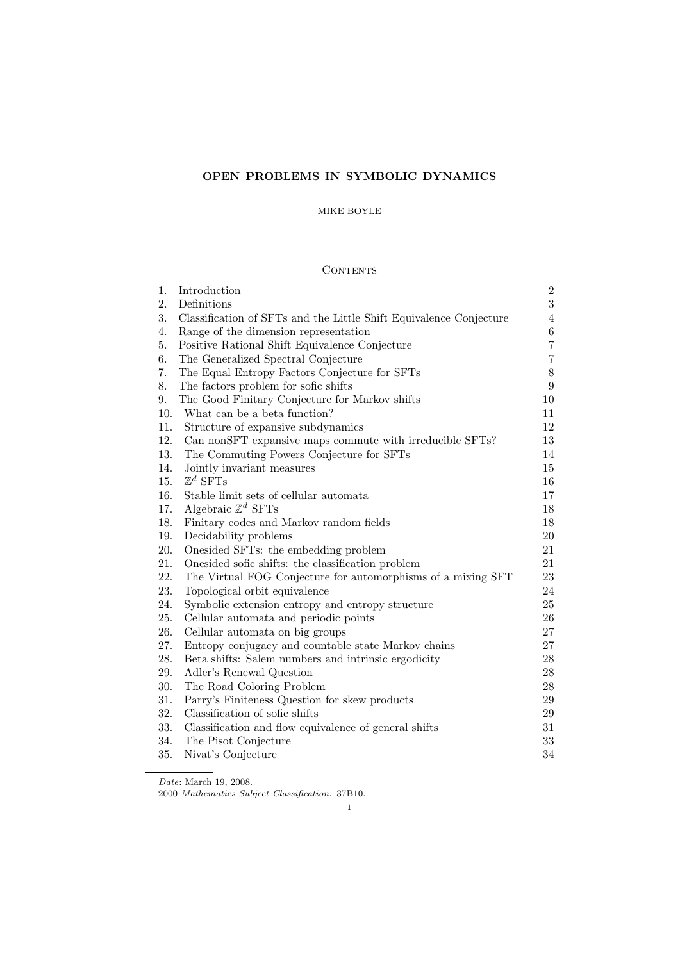# OPEN PROBLEMS IN SYMBOLIC DYNAMICS

# MIKE BOYLE

# CONTENTS

| 1.  | Introduction                                                       | $\overline{2}$ |
|-----|--------------------------------------------------------------------|----------------|
| 2.  | Definitions                                                        | $\overline{3}$ |
| 3.  | Classification of SFTs and the Little Shift Equivalence Conjecture | $\overline{4}$ |
| 4.  | Range of the dimension representation                              | $\,6$          |
| 5.  | Positive Rational Shift Equivalence Conjecture                     | $\overline{7}$ |
| 6.  | The Generalized Spectral Conjecture                                | $\overline{7}$ |
| 7.  | The Equal Entropy Factors Conjecture for SFTs                      | $8\,$          |
| 8.  | The factors problem for sofic shifts                               | 9              |
| 9.  | The Good Finitary Conjecture for Markov shifts                     | 10             |
| 10. | What can be a beta function?                                       | 11             |
| 11. | Structure of expansive subdynamics                                 | 12             |
| 12. | Can nonSFT expansive maps commute with irreducible SFTs?           | 13             |
| 13. | The Commuting Powers Conjecture for SFTs                           | 14             |
| 14. | Jointly invariant measures                                         | 15             |
| 15. | $\mathbb{Z}^d$ SFTs                                                | 16             |
| 16. | Stable limit sets of cellular automata                             | 17             |
| 17. | Algebraic $\mathbb{Z}^d$ SFTs                                      | $18\,$         |
| 18. | Finitary codes and Markov random fields                            | $18\,$         |
| 19. | Decidability problems                                              | 20             |
| 20. | Onesided SFTs: the embedding problem                               | 21             |
| 21. | Onesided sofic shifts: the classification problem                  | 21             |
| 22. | The Virtual FOG Conjecture for automorphisms of a mixing SFT       | 23             |
| 23. | Topological orbit equivalence                                      | 24             |
| 24. | Symbolic extension entropy and entropy structure                   | $25\,$         |
| 25. | Cellular automata and periodic points                              | $26\,$         |
| 26. | Cellular automata on big groups                                    | 27             |
| 27. | Entropy conjugacy and countable state Markov chains                | 27             |
| 28. | Beta shifts: Salem numbers and intrinsic ergodicity                | $28\,$         |
| 29. | Adler's Renewal Question                                           | 28             |
| 30. | The Road Coloring Problem                                          | 28             |
| 31. | Parry's Finiteness Question for skew products                      | 29             |
| 32. | Classification of sofic shifts                                     | $\,29$         |
| 33. | Classification and flow equivalence of general shifts              | 31             |
| 34. | The Pisot Conjecture                                               | $33\,$         |
| 35. | Nivat's Conjecture                                                 | $34\,$         |

Date: March 19, 2008.

<sup>2000</sup> Mathematics Subject Classification. 37B10.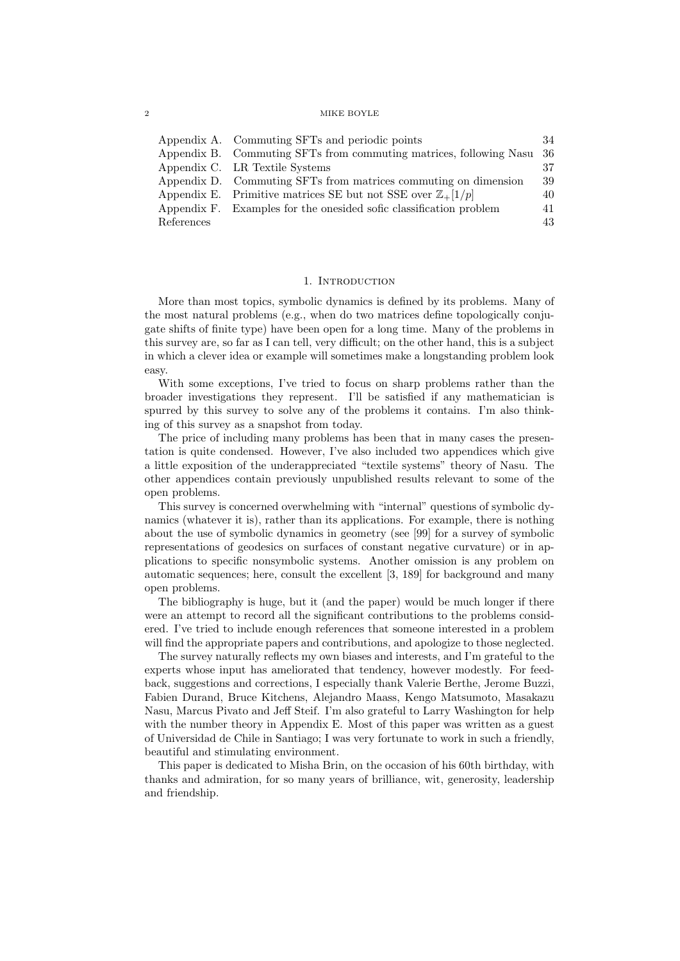|            | Appendix A. Commuting SFTs and periodic points                         | 34  |
|------------|------------------------------------------------------------------------|-----|
|            | Appendix B. Commuting SFTs from commuting matrices, following Nasu     | -36 |
|            | Appendix C. LR Textile Systems                                         | 37  |
|            | Appendix D. Commuting SFTs from matrices commuting on dimension        | 39  |
|            | Appendix E. Primitive matrices SE but not SSE over $\mathbb{Z}_+[1/p]$ | 40  |
|            | Appendix F. Examples for the onesided sofic classification problem     | 41  |
| References |                                                                        | 43  |

# 1. INTRODUCTION

More than most topics, symbolic dynamics is defined by its problems. Many of the most natural problems (e.g., when do two matrices define topologically conjugate shifts of finite type) have been open for a long time. Many of the problems in this survey are, so far as I can tell, very difficult; on the other hand, this is a subject in which a clever idea or example will sometimes make a longstanding problem look easy.

With some exceptions, I've tried to focus on sharp problems rather than the broader investigations they represent. I'll be satisfied if any mathematician is spurred by this survey to solve any of the problems it contains. I'm also thinking of this survey as a snapshot from today.

The price of including many problems has been that in many cases the presentation is quite condensed. However, I've also included two appendices which give a little exposition of the underappreciated "textile systems" theory of Nasu. The other appendices contain previously unpublished results relevant to some of the open problems.

This survey is concerned overwhelming with "internal" questions of symbolic dynamics (whatever it is), rather than its applications. For example, there is nothing about the use of symbolic dynamics in geometry (see [99] for a survey of symbolic representations of geodesics on surfaces of constant negative curvature) or in applications to specific nonsymbolic systems. Another omission is any problem on automatic sequences; here, consult the excellent [3, 189] for background and many open problems.

The bibliography is huge, but it (and the paper) would be much longer if there were an attempt to record all the significant contributions to the problems considered. I've tried to include enough references that someone interested in a problem will find the appropriate papers and contributions, and apologize to those neglected.

The survey naturally reflects my own biases and interests, and I'm grateful to the experts whose input has ameliorated that tendency, however modestly. For feedback, suggestions and corrections, I especially thank Valerie Berthe, Jerome Buzzi, Fabien Durand, Bruce Kitchens, Alejandro Maass, Kengo Matsumoto, Masakazu Nasu, Marcus Pivato and Jeff Steif. I'm also grateful to Larry Washington for help with the number theory in Appendix E. Most of this paper was written as a guest of Universidad de Chile in Santiago; I was very fortunate to work in such a friendly, beautiful and stimulating environment.

This paper is dedicated to Misha Brin, on the occasion of his 60th birthday, with thanks and admiration, for so many years of brilliance, wit, generosity, leadership and friendship.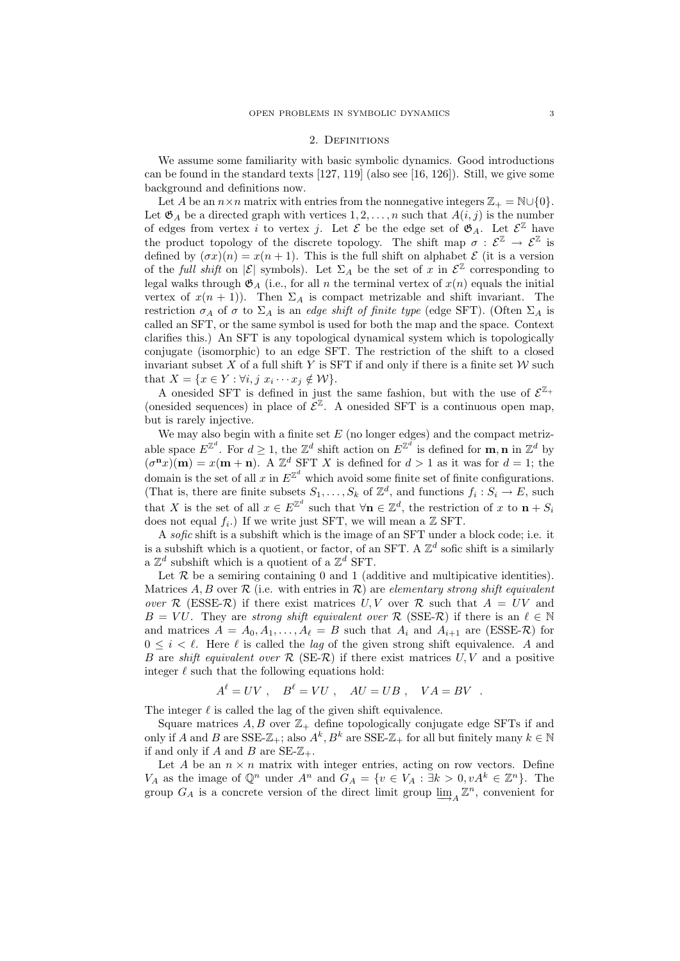#### 2. DEFINITIONS

We assume some familiarity with basic symbolic dynamics. Good introductions can be found in the standard texts  $[127, 119]$  (also see  $[16, 126]$ ). Still, we give some background and definitions now.

Let A be an  $n \times n$  matrix with entries from the nonnegative integers  $\mathbb{Z}_+ = \mathbb{N} \cup \{0\}.$ Let  $\mathfrak{G}_A$  be a directed graph with vertices  $1, 2, \ldots, n$  such that  $A(i, j)$  is the number of edges from vertex i to vertex j. Let  $\mathcal E$  be the edge set of  $\mathfrak{G}_A$ . Let  $\mathcal E^{\mathbb Z}$  have the product topology of the discrete topology. The shift map  $\sigma : \mathcal{E}^{\mathbb{Z}} \to \mathcal{E}^{\mathbb{Z}}$  is defined by  $(\sigma x)(n) = x(n+1)$ . This is the full shift on alphabet  $\mathcal E$  (it is a version of the full shift on  $|\mathcal{E}|$  symbols). Let  $\Sigma_A$  be the set of x in  $\mathcal{E}^{\mathbb{Z}}$  corresponding to legal walks through  $\mathfrak{G}_A$  (i.e., for all n the terminal vertex of  $x(n)$  equals the initial vertex of  $x(n + 1)$ . Then  $\Sigma_A$  is compact metrizable and shift invariant. The restriction  $\sigma_A$  of  $\sigma$  to  $\Sigma_A$  is an edge shift of finite type (edge SFT). (Often  $\Sigma_A$  is called an SFT, or the same symbol is used for both the map and the space. Context clarifies this.) An SFT is any topological dynamical system which is topologically conjugate (isomorphic) to an edge SFT. The restriction of the shift to a closed invariant subset X of a full shift Y is SFT if and only if there is a finite set  $W$  such that  $X = \{x \in Y : \forall i, j \ x_i \cdots x_j \notin \mathcal{W}\}.$ 

A onesided SFT is defined in just the same fashion, but with the use of  $\mathcal{E}^{\mathbb{Z}_+}$ (onesided sequences) in place of  $\mathcal{E}^{\mathbb{Z}}$ . A onesided SFT is a continuous open map, but is rarely injective.

We may also begin with a finite set  $E$  (no longer edges) and the compact metrizable space  $E^{\mathbb{Z}^d}$ . For  $d \geq 1$ , the  $\mathbb{Z}^d$  shift action on  $E^{\mathbb{Z}^d}$  is defined for **m**, **n** in  $\mathbb{Z}^d$  by  $(\sigma^{\mathbf{n}}x)(\mathbf{m}) = x(\mathbf{m} + \mathbf{n})$ . A  $\mathbb{Z}^d$  SFT X is defined for  $d > 1$  as it was for  $d = 1$ ; the domain is the set of all x in  $E^{\mathbb{Z}^d}$  which avoid some finite set of finite configurations. (That is, there are finite subsets  $S_1, \ldots, S_k$  of  $\mathbb{Z}^d$ , and functions  $f_i : S_i \to E$ , such that X is the set of all  $x \in E^{\mathbb{Z}^d}$  such that  $\forall n \in \mathbb{Z}^d$ , the restriction of x to  $n + S_i$ does not equal  $f_i$ .) If we write just SFT, we will mean a  $\mathbb Z$  SFT.

A sofic shift is a subshift which is the image of an SFT under a block code; i.e. it is a subshift which is a quotient, or factor, of an SFT. A  $\mathbb{Z}^d$  sofic shift is a similarly a  $\mathbb{Z}^d$  subshift which is a quotient of a  $\mathbb{Z}^d$  SFT.

Let  $R$  be a semiring containing 0 and 1 (additive and multipicative identities). Matrices A, B over  $\mathcal R$  (i.e. with entries in  $\mathcal R$ ) are elementary strong shift equivalent over R (ESSE-R) if there exist matrices  $U, V$  over R such that  $A = UV$  and  $B = VU$ . They are strong shift equivalent over R (SSE-R) if there is an  $\ell \in \mathbb{N}$ and matrices  $A = A_0, A_1, \ldots, A_\ell = B$  such that  $A_i$  and  $A_{i+1}$  are (ESSE-R) for  $0 \leq i \leq \ell$ . Here  $\ell$  is called the *lag* of the given strong shift equivalence. A and B are shift equivalent over  $\mathcal R$  (SE- $\mathcal R$ ) if there exist matrices  $U, V$  and a positive integer  $\ell$  such that the following equations hold:

$$
A^{\ell} = UV , \quad B^{\ell} = VU , \quad AU = UB , \quad VA = BV .
$$

The integer  $\ell$  is called the lag of the given shift equivalence.

Square matrices  $A, B$  over  $\mathbb{Z}_+$  define topologically conjugate edge SFTs if and only if A and B are SSE- $\mathbb{Z}_+$ ; also  $A^k, B^k$  are SSE- $\mathbb{Z}_+$  for all but finitely many  $k \in \mathbb{N}$ if and only if A and B are  $SE-Z_+$ .

Let A be an  $n \times n$  matrix with integer entries, acting on row vectors. Define  $V_A$  as the image of  $\mathbb{Q}^n$  under  $A^n$  and  $G_A = \{v \in V_A : \exists k > 0, vA^k \in \mathbb{Z}^n\}$ . The group  $G_A$  is a concrete version of the direct limit group  $\varinjlim_A \mathbb{Z}^n$ , convenient for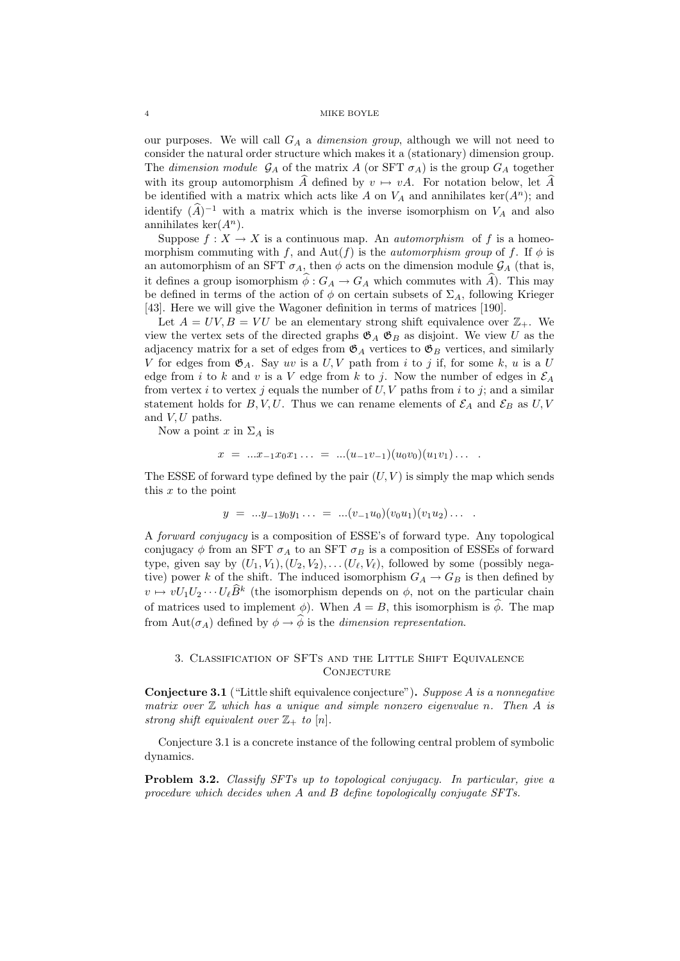our purposes. We will call  $G_A$  a *dimension group*, although we will not need to consider the natural order structure which makes it a (stationary) dimension group. The dimension module  $\mathcal{G}_A$  of the matrix A (or SFT  $\sigma_A$ ) is the group  $G_A$  together with its group automorphism  $\hat{A}$  defined by  $v \mapsto vA$ . For notation below, let  $\hat{A}$ be identified with a matrix which acts like A on  $V_A$  and annihilates ker( $A^n$ ); and identify  $(\widehat{A})^{-1}$  with a matrix which is the inverse isomorphism on  $V_A$  and also annihilates ker $(A^n)$ .

Suppose  $f: X \to X$  is a continuous map. An *automorphism* of f is a homeomorphism commuting with f, and Aut(f) is the *automorphism group* of f. If  $\phi$  is an automorphism of an SFT  $\sigma_A$ , then  $\phi$  acts on the dimension module  $\mathcal{G}_A$  (that is, it defines a group isomorphism  $\hat{\phi}: G_A \to G_A$  which commutes with  $\hat{A}$ ). This may be defined in terms of the action of  $\phi$  on certain subsets of  $\Sigma_A$ , following Krieger [43]. Here we will give the Wagoner definition in terms of matrices [190].

Let  $A = UV, B = VU$  be an elementary strong shift equivalence over  $\mathbb{Z}_+$ . We view the vertex sets of the directed graphs  $\mathfrak{G}_A$   $\mathfrak{G}_B$  as disjoint. We view U as the adjacency matrix for a set of edges from  $\mathfrak{G}_A$  vertices to  $\mathfrak{G}_B$  vertices, and similarly V for edges from  $\mathfrak{G}_A$ . Say uv is a U, V path from i to j if, for some k, u is a U edge from i to k and v is a V edge from k to j. Now the number of edges in  $\mathcal{E}_A$ from vertex i to vertex j equals the number of  $U, V$  paths from i to j; and a similar statement holds for B, V, U. Thus we can rename elements of  $\mathcal{E}_A$  and  $\mathcal{E}_B$  as U, V and  $V, U$  paths.

Now a point x in  $\Sigma_A$  is

$$
x = ...x_{-1}x_0x_1... = ... (u_{-1}v_{-1})(u_0v_0)(u_1v_1)...
$$

The ESSE of forward type defined by the pair  $(U, V)$  is simply the map which sends this  $x$  to the point

$$
y = ...y_{-1}y_0y_1... = ... (v_{-1}u_0)(v_0u_1)(v_1u_2)...
$$

A forward conjugacy is a composition of ESSE's of forward type. Any topological conjugacy  $\phi$  from an SFT  $\sigma_A$  to an SFT  $\sigma_B$  is a composition of ESSEs of forward type, given say by  $(U_1, V_1), (U_2, V_2), \ldots, (U_\ell, V_\ell)$ , followed by some (possibly negative) power k of the shift. The induced isomorphism  $G_A \rightarrow G_B$  is then defined by  $v \mapsto vU_1U_2 \cdots U_\ell \widehat{B}^k$  (the isomorphism depends on  $\phi$ , not on the particular chain of matrices used to implement  $\phi$ ). When  $A = B$ , this isomorphism is  $\widehat{\phi}$ . The map from Aut $(\sigma_A)$  defined by  $\phi \to \widehat{\phi}$  is the *dimension representation*.

# 3. Classification of SFTs and the Little Shift Equivalence **CONJECTURE**

Conjecture 3.1 ("Little shift equivalence conjecture"). Suppose A is a nonnegative matrix over  $\mathbb Z$  which has a unique and simple nonzero eigenvalue n. Then  $A$  is strong shift equivalent over  $\mathbb{Z}_+$  to  $[n]$ .

Conjecture 3.1 is a concrete instance of the following central problem of symbolic dynamics.

Problem 3.2. Classify SFTs up to topological conjugacy. In particular, give a procedure which decides when A and B define topologically conjugate SFTs.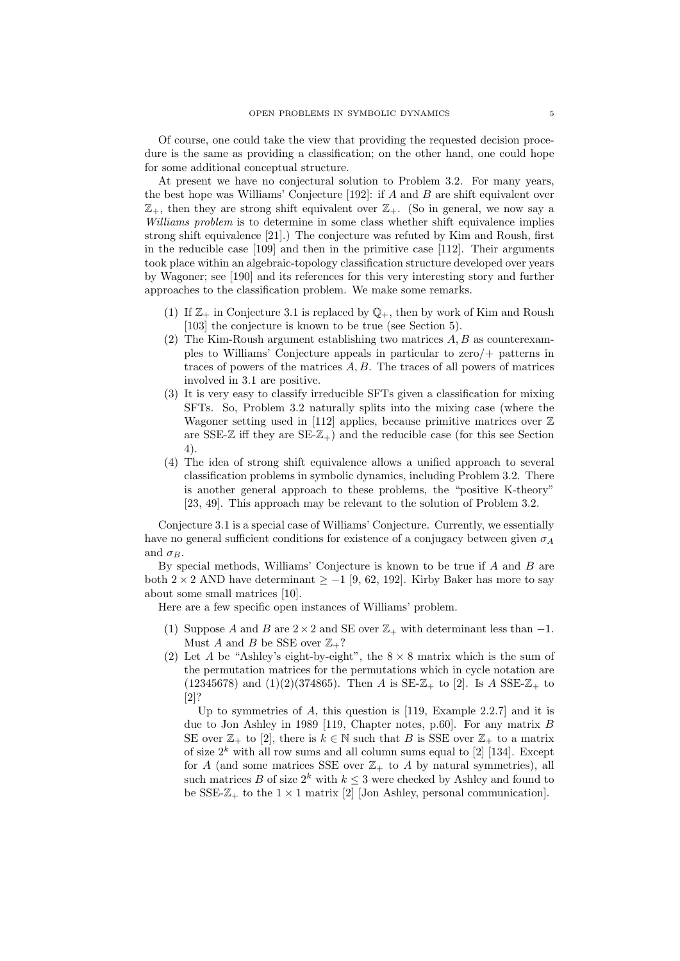Of course, one could take the view that providing the requested decision procedure is the same as providing a classification; on the other hand, one could hope for some additional conceptual structure.

At present we have no conjectural solution to Problem 3.2. For many years, the best hope was Williams' Conjecture  $[192]$ : if A and B are shift equivalent over  $\mathbb{Z}_+$ , then they are strong shift equivalent over  $\mathbb{Z}_+$ . (So in general, we now say a Williams problem is to determine in some class whether shift equivalence implies strong shift equivalence [21].) The conjecture was refuted by Kim and Roush, first in the reducible case [109] and then in the primitive case [112]. Their arguments took place within an algebraic-topology classification structure developed over years by Wagoner; see [190] and its references for this very interesting story and further approaches to the classification problem. We make some remarks.

- (1) If  $\mathbb{Z}_+$  in Conjecture 3.1 is replaced by  $\mathbb{Q}_+$ , then by work of Kim and Roush [103] the conjecture is known to be true (see Section 5).
- (2) The Kim-Roush argument establishing two matrices  $A, B$  as counterexamples to Williams' Conjecture appeals in particular to zero/+ patterns in traces of powers of the matrices  $A, B$ . The traces of all powers of matrices involved in 3.1 are positive.
- (3) It is very easy to classify irreducible SFTs given a classification for mixing SFTs. So, Problem 3.2 naturally splits into the mixing case (where the Wagoner setting used in [112] applies, because primitive matrices over  $\mathbb Z$ are SSE- $\mathbb{Z}$  iff they are SE- $\mathbb{Z}_+$ ) and the reducible case (for this see Section 4).
- (4) The idea of strong shift equivalence allows a unified approach to several classification problems in symbolic dynamics, including Problem 3.2. There is another general approach to these problems, the "positive K-theory" [23, 49]. This approach may be relevant to the solution of Problem 3.2.

Conjecture 3.1 is a special case of Williams' Conjecture. Currently, we essentially have no general sufficient conditions for existence of a conjugacy between given  $\sigma_A$ and  $\sigma_B$ .

By special methods, Williams' Conjecture is known to be true if  $A$  and  $B$  are both 2 × 2 AND have determinant  $\geq -1$  [9, 62, 192]. Kirby Baker has more to say about some small matrices [10].

Here are a few specific open instances of Williams' problem.

- (1) Suppose A and B are  $2 \times 2$  and SE over  $\mathbb{Z}_+$  with determinant less than -1. Must A and B be SSE over  $\mathbb{Z}_+$ ?
- (2) Let A be "Ashley's eight-by-eight", the  $8 \times 8$  matrix which is the sum of the permutation matrices for the permutations which in cycle notation are (12345678) and (1)(2)(374865). Then A is  $SE-Z_+$  to [2]. Is A  $SSE-Z_+$  to [2]?

Up to symmetries of A, this question is [119, Example 2.2.7] and it is due to Jon Ashley in 1989 [119, Chapter notes, p.60]. For any matrix B SE over  $\mathbb{Z}_+$  to [2], there is  $k \in \mathbb{N}$  such that B is SSE over  $\mathbb{Z}_+$  to a matrix of size  $2^k$  with all row sums and all column sums equal to [2] [134]. Except for A (and some matrices SSE over  $\mathbb{Z}_+$  to A by natural symmetries), all such matrices B of size  $2^k$  with  $k \leq 3$  were checked by Ashley and found to be SSE- $\mathbb{Z}_+$  to the  $1 \times 1$  matrix [2] [Jon Ashley, personal communication].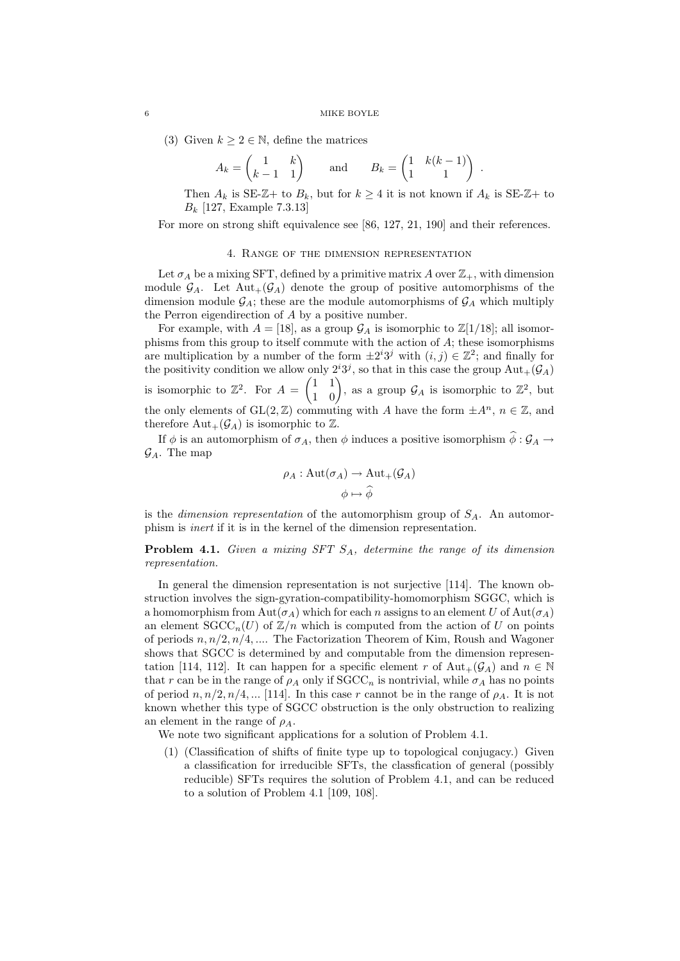(3) Given  $k \geq 2 \in \mathbb{N}$ , define the matrices

$$
A_k = \begin{pmatrix} 1 & k \\ k-1 & 1 \end{pmatrix} \quad \text{and} \quad B_k = \begin{pmatrix} 1 & k(k-1) \\ 1 & 1 \end{pmatrix} .
$$

Then  $A_k$  is SE-Z+ to  $B_k$ , but for  $k \geq 4$  it is not known if  $A_k$  is SE-Z+ to  $B_k$  [127, Example 7.3.13]

For more on strong shift equivalence see [86, 127, 21, 190] and their references.

## 4. Range of the dimension representation

Let  $\sigma_A$  be a mixing SFT, defined by a primitive matrix A over  $\mathbb{Z}_+$ , with dimension module  $\mathcal{G}_A$ . Let  $\text{Aut}_+(\mathcal{G}_A)$  denote the group of positive automorphisms of the dimension module  $\mathcal{G}_A$ ; these are the module automorphisms of  $\mathcal{G}_A$  which multiply the Perron eigendirection of A by a positive number.

For example, with  $A = [18]$ , as a group  $\mathcal{G}_A$  is isomorphic to  $\mathbb{Z}[1/18]$ ; all isomorphisms from this group to itself commute with the action of  $A$ ; these isomorphisms are multiplication by a number of the form  $\pm 2^{i}3^{j}$  with  $(i, j) \in \mathbb{Z}^{2}$ ; and finally for the positivity condition we allow only  $2^{i}3^{j}$ , so that in this case the group  $\text{Aut}_{+}(\mathcal{G}_{A})$ is isomorphic to  $\mathbb{Z}^2$ . For  $A = \begin{pmatrix} 1 & 1 \\ 1 & 0 \end{pmatrix}$ , as a group  $\mathcal{G}_A$  is isomorphic to  $\mathbb{Z}^2$ , but the only elements of  $GL(2,\mathbb{Z})$  commuting with A have the form  $\pm A^n$ ,  $n \in \mathbb{Z}$ , and therefore  $Aut_+(\mathcal{G}_A)$  is isomorphic to  $\mathbb{Z}$ .

If  $\phi$  is an automorphism of  $\sigma_A$ , then  $\phi$  induces a positive isomorphism  $\phi : \mathcal{G}_A \to$  $\mathcal{G}_A$ . The map

$$
\rho_A : \text{Aut}(\sigma_A) \to \text{Aut}_+(\mathcal{G}_A)
$$

$$
\phi \mapsto \widehat{\phi}
$$

is the *dimension representation* of the automorphism group of  $S_A$ . An automorphism is inert if it is in the kernel of the dimension representation.

**Problem 4.1.** Given a mixing SFT  $S_A$ , determine the range of its dimension representation.

In general the dimension representation is not surjective [114]. The known obstruction involves the sign-gyration-compatibility-homomorphism SGGC, which is a homomorphism from  $\text{Aut}(\sigma_A)$  which for each n assigns to an element U of  $\text{Aut}(\sigma_A)$ an element  $SCC_n(U)$  of  $\mathbb{Z}/n$  which is computed from the action of U on points of periods  $n, n/2, n/4, \ldots$  The Factorization Theorem of Kim, Roush and Wagoner shows that SGCC is determined by and computable from the dimension representation [114, 112]. It can happen for a specific element r of  $\text{Aut}_{+}(\mathcal{G}_{A})$  and  $n \in \mathbb{N}$ that r can be in the range of  $\rho_A$  only if  $SGCC_n$  is nontrivial, while  $\sigma_A$  has no points of period  $n, n/2, n/4, \dots$  [114]. In this case r cannot be in the range of  $\rho_A$ . It is not known whether this type of SGCC obstruction is the only obstruction to realizing an element in the range of  $\rho_A$ .

We note two significant applications for a solution of Problem 4.1.

(1) (Classification of shifts of finite type up to topological conjugacy.) Given a classification for irreducible SFTs, the classfication of general (possibly reducible) SFTs requires the solution of Problem 4.1, and can be reduced to a solution of Problem 4.1 [109, 108].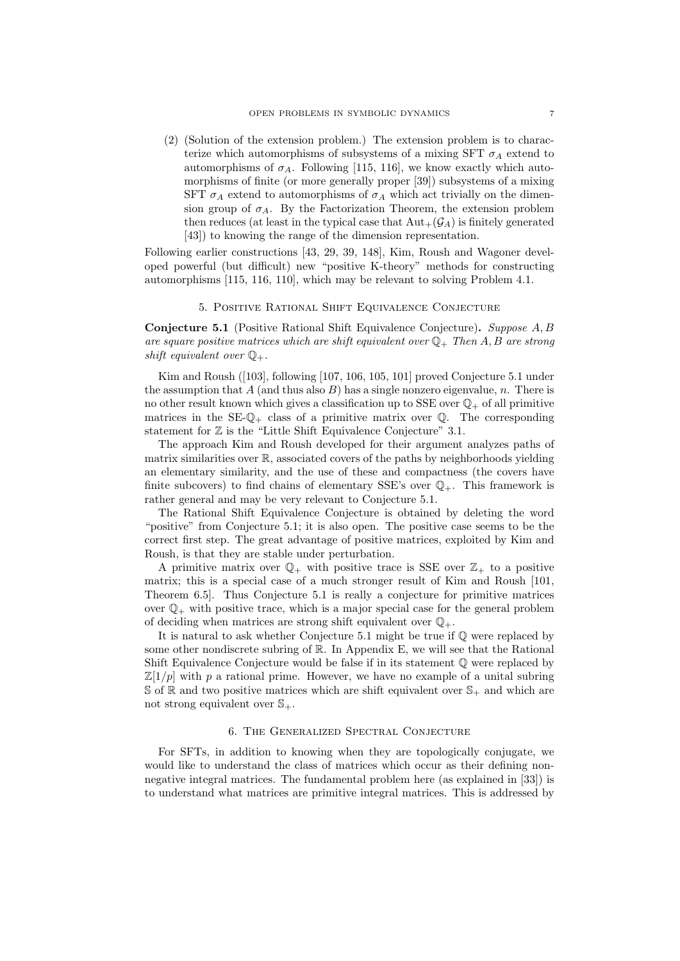(2) (Solution of the extension problem.) The extension problem is to characterize which automorphisms of subsystems of a mixing SFT  $\sigma_A$  extend to automorphisms of  $\sigma_A$ . Following [115, 116], we know exactly which automorphisms of finite (or more generally proper [39]) subsystems of a mixing SFT  $\sigma_A$  extend to automorphisms of  $\sigma_A$  which act trivially on the dimension group of  $\sigma_A$ . By the Factorization Theorem, the extension problem then reduces (at least in the typical case that  $Aut_{+}(\mathcal{G}_{A})$  is finitely generated [43]) to knowing the range of the dimension representation.

Following earlier constructions [43, 29, 39, 148], Kim, Roush and Wagoner developed powerful (but difficult) new "positive K-theory" methods for constructing automorphisms [115, 116, 110], which may be relevant to solving Problem 4.1.

# 5. POSITIVE RATIONAL SHIFT EQUIVALENCE CONJECTURE

Conjecture 5.1 (Positive Rational Shift Equivalence Conjecture). Suppose A, B are square positive matrices which are shift equivalent over  $\mathbb{Q}_+$ . Then A, B are strong shift equivalent over  $\mathbb{Q}_+$ .

Kim and Roush ([103], following [107, 106, 105, 101] proved Conjecture 5.1 under the assumption that A (and thus also  $B$ ) has a single nonzero eigenvalue, n. There is no other result known which gives a classification up to SSE over  $\mathbb{Q}_+$  of all primitive matrices in the  $SE\mathbb{Q}_+$  class of a primitive matrix over  $\mathbb{Q}$ . The corresponding statement for  $\mathbb Z$  is the "Little Shift Equivalence Conjecture" 3.1.

The approach Kim and Roush developed for their argument analyzes paths of matrix similarities over R, associated covers of the paths by neighborhoods yielding an elementary similarity, and the use of these and compactness (the covers have finite subcovers) to find chains of elementary SSE's over  $\mathbb{Q}_+$ . This framework is rather general and may be very relevant to Conjecture 5.1.

The Rational Shift Equivalence Conjecture is obtained by deleting the word "positive" from Conjecture 5.1; it is also open. The positive case seems to be the correct first step. The great advantage of positive matrices, exploited by Kim and Roush, is that they are stable under perturbation.

A primitive matrix over  $\mathbb{Q}_+$  with positive trace is SSE over  $\mathbb{Z}_+$  to a positive matrix; this is a special case of a much stronger result of Kim and Roush [101, Theorem 6.5]. Thus Conjecture 5.1 is really a conjecture for primitive matrices over  $\mathbb{Q}_+$  with positive trace, which is a major special case for the general problem of deciding when matrices are strong shift equivalent over  $\mathbb{Q}_+$ .

It is natural to ask whether Conjecture 5.1 might be true if Q were replaced by some other nondiscrete subring of  $\mathbb R$ . In Appendix E, we will see that the Rational Shift Equivalence Conjecture would be false if in its statement Q were replaced by  $\mathbb{Z}[1/p]$  with p a rational prime. However, we have no example of a unital subring  $\mathcal{S}$  of  $\mathbb{R}$  and two positive matrices which are shift equivalent over  $\mathcal{S}_+$  and which are not strong equivalent over  $\mathbb{S}_+$ .

# 6. The Generalized Spectral Conjecture

For SFTs, in addition to knowing when they are topologically conjugate, we would like to understand the class of matrices which occur as their defining nonnegative integral matrices. The fundamental problem here (as explained in [33]) is to understand what matrices are primitive integral matrices. This is addressed by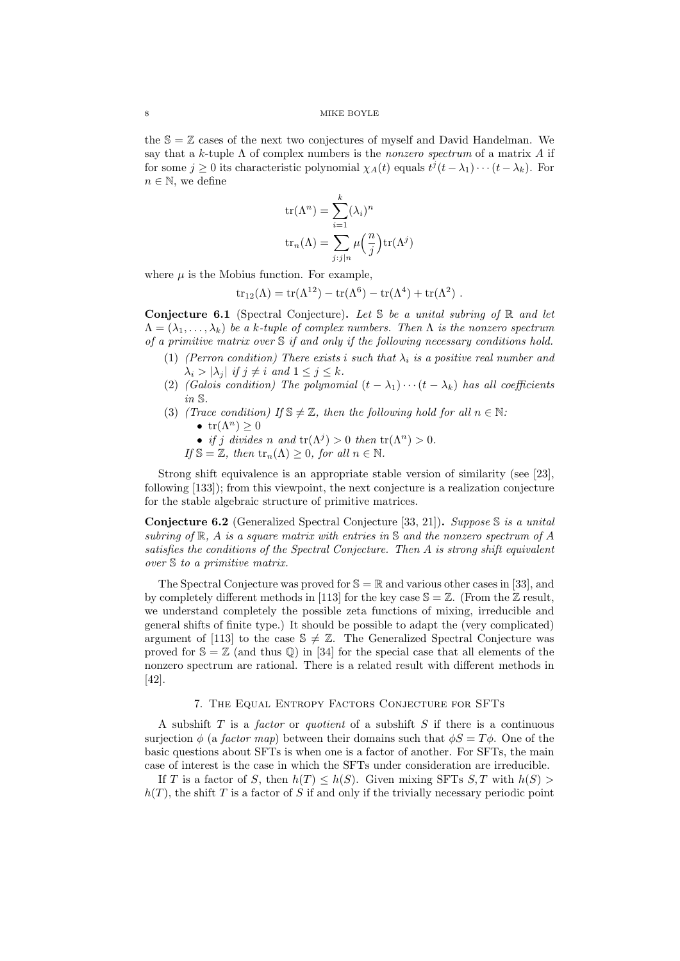the  $\mathcal{S} = \mathbb{Z}$  cases of the next two conjectures of myself and David Handelman. We say that a k-tuple  $\Lambda$  of complex numbers is the *nonzero spectrum* of a matrix A if for some  $j \geq 0$  its characteristic polynomial  $\chi_A(t)$  equals  $t^j(t - \lambda_1) \cdots (t - \lambda_k)$ . For  $n \in \mathbb{N}$ , we define

$$
tr(\Lambda^n) = \sum_{i=1}^k (\lambda_i)^n
$$
  

$$
tr_n(\Lambda) = \sum_{j:j|n} \mu\left(\frac{n}{j}\right) tr(\Lambda^j)
$$

where  $\mu$  is the Mobius function. For example,

$$
tr_{12}(\Lambda) = tr(\Lambda^{12}) - tr(\Lambda^6) - tr(\Lambda^4) + tr(\Lambda^2) .
$$

**Conjecture 6.1** (Spectral Conjecture). Let S be a unital subring of R and let  $\Lambda = (\lambda_1, \ldots, \lambda_k)$  be a k-tuple of complex numbers. Then  $\Lambda$  is the nonzero spectrum of a primitive matrix over  $S$  if and only if the following necessary conditions hold.

- (1) (Perron condition) There exists i such that  $\lambda_i$  is a positive real number and  $\lambda_i > |\lambda_i|$  if  $j \neq i$  and  $1 \leq j \leq k$ .
- (2) (Galois condition) The polynomial  $(t \lambda_1) \cdots (t \lambda_k)$  has all coefficients in S.
- (3) (Trace condition) If  $\mathbb{S} \neq \mathbb{Z}$ , then the following hold for all  $n \in \mathbb{N}$ : •  $tr(\Lambda^n) > 0$ 
	- if j divides n and  $tr(\Lambda^j) > 0$  then  $tr(\Lambda^n) > 0$ .
	- If  $\mathbb{S} = \mathbb{Z}$ , then  $\text{tr}_n(\Lambda) \geq 0$ , for all  $n \in \mathbb{N}$ .

Strong shift equivalence is an appropriate stable version of similarity (see [23], following [133]); from this viewpoint, the next conjecture is a realization conjecture for the stable algebraic structure of primitive matrices.

**Conjecture 6.2** (Generalized Spectral Conjecture [33, 21]). Suppose  $\mathcal{S}$  is a unital subring of  $\mathbb{R}$ , A is a square matrix with entries in S and the nonzero spectrum of A satisfies the conditions of the Spectral Conjecture. Then A is strong shift equivalent over S to a primitive matrix.

The Spectral Conjecture was proved for  $\mathcal{S} = \mathbb{R}$  and various other cases in [33], and by completely different methods in [113] for the key case  $\mathbb{S} = \mathbb{Z}$ . (From the  $\mathbb{Z}$  result, we understand completely the possible zeta functions of mixing, irreducible and general shifts of finite type.) It should be possible to adapt the (very complicated) argument of [113] to the case  $\mathcal{S} \neq \mathbb{Z}$ . The Generalized Spectral Conjecture was proved for  $\mathcal{S} = \mathbb{Z}$  (and thus  $\mathbb{Q}$ ) in [34] for the special case that all elements of the nonzero spectrum are rational. There is a related result with different methods in [42].

# 7. The Equal Entropy Factors Conjecture for SFTs

A subshift  $T$  is a *factor* or *quotient* of a subshift  $S$  if there is a continuous surjection  $\phi$  (a *factor map*) between their domains such that  $\phi S = T\phi$ . One of the basic questions about SFTs is when one is a factor of another. For SFTs, the main case of interest is the case in which the SFTs under consideration are irreducible.

If T is a factor of S, then  $h(T) \leq h(S)$ . Given mixing SFTs S, T with  $h(S)$  $h(T)$ , the shift T is a factor of S if and only if the trivially necessary periodic point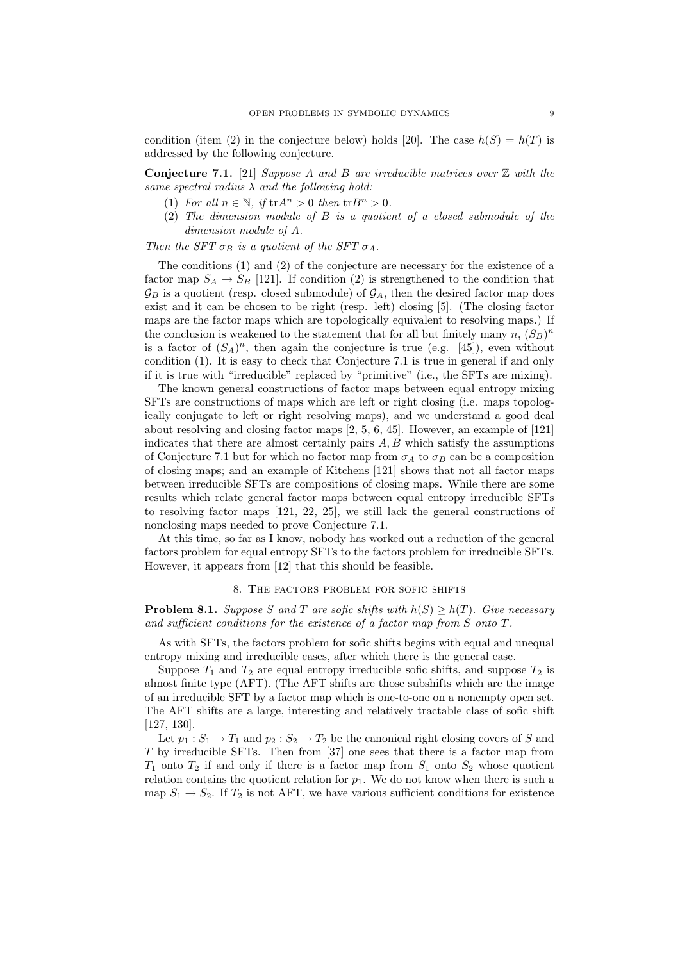condition (item (2) in the conjecture below) holds [20]. The case  $h(S) = h(T)$  is addressed by the following conjecture.

**Conjecture 7.1.** [21] Suppose A and B are irreducible matrices over  $\mathbb{Z}$  with the same spectral radius  $\lambda$  and the following hold:

- (1) For all  $n \in \mathbb{N}$ , if  $\text{tr} A^n > 0$  then  $\text{tr} B^n > 0$ .
- (2) The dimension module of B is a quotient of a closed submodule of the dimension module of A.

Then the SFT  $\sigma_B$  is a quotient of the SFT  $\sigma_A$ .

The conditions (1) and (2) of the conjecture are necessary for the existence of a factor map  $S_A \to S_B$  [121]. If condition (2) is strengthened to the condition that  $\mathcal{G}_B$  is a quotient (resp. closed submodule) of  $\mathcal{G}_A$ , then the desired factor map does exist and it can be chosen to be right (resp. left) closing [5]. (The closing factor maps are the factor maps which are topologically equivalent to resolving maps.) If the conclusion is weakened to the statement that for all but finitely many  $n, (S_B)^n$ is a factor of  $(S_A)^n$ , then again the conjecture is true (e.g. [45]), even without condition (1). It is easy to check that Conjecture 7.1 is true in general if and only if it is true with "irreducible" replaced by "primitive" (i.e., the SFTs are mixing).

The known general constructions of factor maps between equal entropy mixing SFTs are constructions of maps which are left or right closing (i.e. maps topologically conjugate to left or right resolving maps), and we understand a good deal about resolving and closing factor maps [2, 5, 6, 45]. However, an example of [121] indicates that there are almost certainly pairs  $A, B$  which satisfy the assumptions of Conjecture 7.1 but for which no factor map from  $\sigma_A$  to  $\sigma_B$  can be a composition of closing maps; and an example of Kitchens [121] shows that not all factor maps between irreducible SFTs are compositions of closing maps. While there are some results which relate general factor maps between equal entropy irreducible SFTs to resolving factor maps [121, 22, 25], we still lack the general constructions of nonclosing maps needed to prove Conjecture 7.1.

At this time, so far as I know, nobody has worked out a reduction of the general factors problem for equal entropy SFTs to the factors problem for irreducible SFTs. However, it appears from [12] that this should be feasible.

# 8. The factors problem for sofic shifts

**Problem 8.1.** Suppose S and T are sofic shifts with  $h(S) \ge h(T)$ . Give necessary and sufficient conditions for the existence of a factor map from S onto T.

As with SFTs, the factors problem for sofic shifts begins with equal and unequal entropy mixing and irreducible cases, after which there is the general case.

Suppose  $T_1$  and  $T_2$  are equal entropy irreducible sofic shifts, and suppose  $T_2$  is almost finite type (AFT). (The AFT shifts are those subshifts which are the image of an irreducible SFT by a factor map which is one-to-one on a nonempty open set. The AFT shifts are a large, interesting and relatively tractable class of sofic shift [127, 130].

Let  $p_1 : S_1 \to T_1$  and  $p_2 : S_2 \to T_2$  be the canonical right closing covers of S and T by irreducible SFTs. Then from [37] one sees that there is a factor map from  $T_1$  onto  $T_2$  if and only if there is a factor map from  $S_1$  onto  $S_2$  whose quotient relation contains the quotient relation for  $p_1$ . We do not know when there is such a map  $S_1 \rightarrow S_2$ . If  $T_2$  is not AFT, we have various sufficient conditions for existence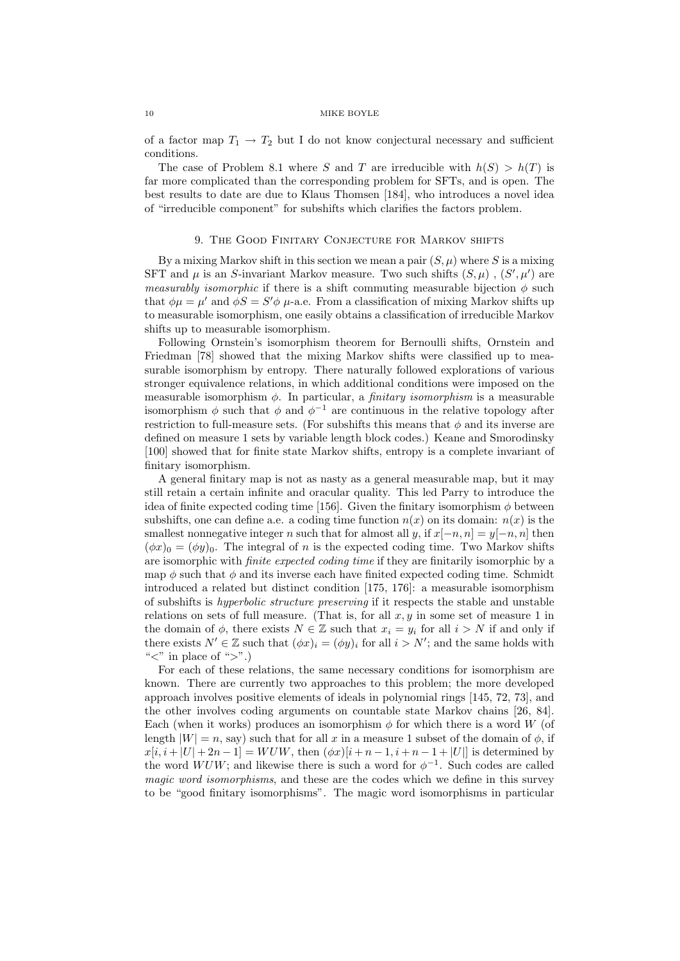of a factor map  $T_1 \rightarrow T_2$  but I do not know conjectural necessary and sufficient conditions.

The case of Problem 8.1 where S and T are irreducible with  $h(S) > h(T)$  is far more complicated than the corresponding problem for SFTs, and is open. The best results to date are due to Klaus Thomsen [184], who introduces a novel idea of "irreducible component" for subshifts which clarifies the factors problem.

# 9. THE GOOD FINITARY CONJECTURE FOR MARKOV SHIFTS

By a mixing Markov shift in this section we mean a pair  $(S, \mu)$  where S is a mixing SFT and  $\mu$  is an S-invariant Markov measure. Two such shifts  $(S, \mu)$ ,  $(S', \mu')$  are *measurably isomorphic* if there is a shift commuting measurable bijection  $\phi$  such that  $\phi\mu = \mu'$  and  $\phi S = S'\phi\mu$ -a.e. From a classification of mixing Markov shifts up to measurable isomorphism, one easily obtains a classification of irreducible Markov shifts up to measurable isomorphism.

Following Ornstein's isomorphism theorem for Bernoulli shifts, Ornstein and Friedman [78] showed that the mixing Markov shifts were classified up to measurable isomorphism by entropy. There naturally followed explorations of various stronger equivalence relations, in which additional conditions were imposed on the measurable isomorphism  $\phi$ . In particular, a *finitary isomorphism* is a measurable isomorphism  $\phi$  such that  $\phi$  and  $\phi^{-1}$  are continuous in the relative topology after restriction to full-measure sets. (For subshifts this means that  $\phi$  and its inverse are defined on measure 1 sets by variable length block codes.) Keane and Smorodinsky [100] showed that for finite state Markov shifts, entropy is a complete invariant of finitary isomorphism.

A general finitary map is not as nasty as a general measurable map, but it may still retain a certain infinite and oracular quality. This led Parry to introduce the idea of finite expected coding time [156]. Given the finitary isomorphism  $\phi$  between subshifts, one can define a.e. a coding time function  $n(x)$  on its domain:  $n(x)$  is the smallest nonnegative integer n such that for almost all y, if  $x[-n, n] = y[-n, n]$  then  $(\phi x)_0 = (\phi y)_0$ . The integral of n is the expected coding time. Two Markov shifts are isomorphic with finite expected coding time if they are finitarily isomorphic by a map  $\phi$  such that  $\phi$  and its inverse each have finited expected coding time. Schmidt introduced a related but distinct condition [175, 176]: a measurable isomorphism of subshifts is hyperbolic structure preserving if it respects the stable and unstable relations on sets of full measure. (That is, for all  $x, y$  in some set of measure 1 in the domain of  $\phi$ , there exists  $N \in \mathbb{Z}$  such that  $x_i = y_i$  for all  $i > N$  if and only if there exists  $N' \in \mathbb{Z}$  such that  $(\phi x)_i = (\phi y)_i$  for all  $i > N'$ ; and the same holds with " $\lt^"$  in place of " $\gt"$ .)

For each of these relations, the same necessary conditions for isomorphism are known. There are currently two approaches to this problem; the more developed approach involves positive elements of ideals in polynomial rings [145, 72, 73], and the other involves coding arguments on countable state Markov chains [26, 84]. Each (when it works) produces an isomorphism  $\phi$  for which there is a word W (of length  $|W| = n$ , say) such that for all x in a measure 1 subset of the domain of  $\phi$ , if  $x[i, i + |U| + 2n - 1] = WUW$ , then  $(\phi x)[i + n - 1, i + n - 1 + |U|]$  is determined by the word  $WUW$ ; and likewise there is such a word for  $\phi^{-1}$ . Such codes are called magic word isomorphisms, and these are the codes which we define in this survey to be "good finitary isomorphisms". The magic word isomorphisms in particular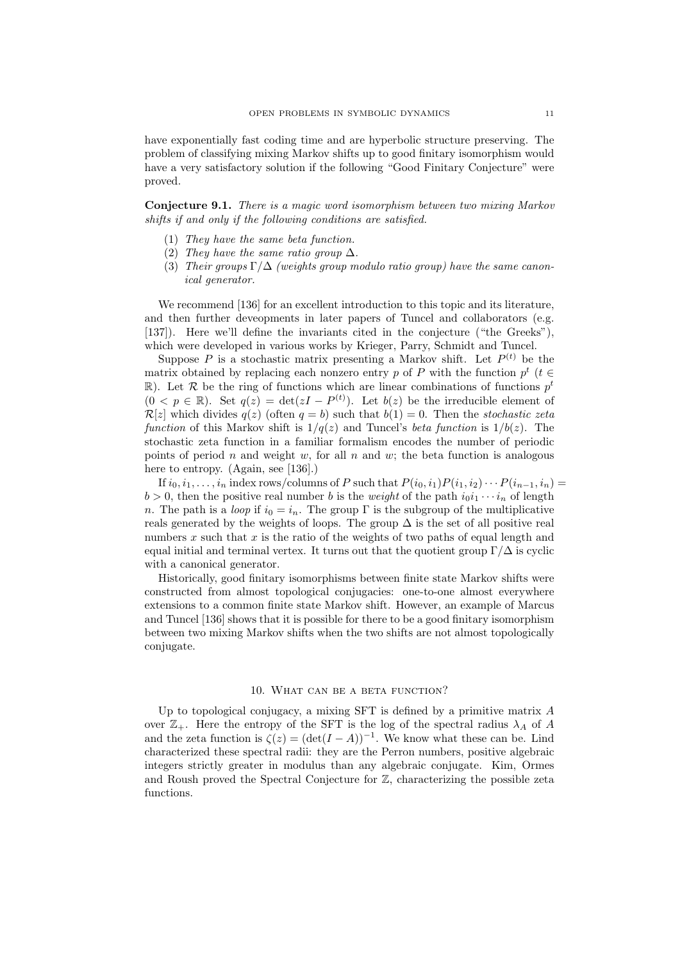have exponentially fast coding time and are hyperbolic structure preserving. The problem of classifying mixing Markov shifts up to good finitary isomorphism would have a very satisfactory solution if the following "Good Finitary Conjecture" were proved.

Conjecture 9.1. There is a magic word isomorphism between two mixing Markov shifts if and only if the following conditions are satisfied.

- (1) They have the same beta function.
- (2) They have the same ratio group  $\Delta$ .
- (3) Their groups  $\Gamma/\Delta$  (weights group modulo ratio group) have the same canonical generator.

We recommend [136] for an excellent introduction to this topic and its literature, and then further deveopments in later papers of Tuncel and collaborators (e.g. [137]). Here we'll define the invariants cited in the conjecture ("the Greeks"), which were developed in various works by Krieger, Parry, Schmidt and Tuncel.

Suppose P is a stochastic matrix presenting a Markov shift. Let  $P^{(t)}$  be the matrix obtained by replacing each nonzero entry p of P with the function  $p^t$  ( $t \in$ R). Let R be the ring of functions which are linear combinations of functions  $p<sup>t</sup>$  $(0 \lt p \in \mathbb{R})$ . Set  $q(z) = \det(zI - P^{(t)})$ . Let  $b(z)$  be the irreducible element of  $\mathcal{R}[z]$  which divides  $q(z)$  (often  $q = b$ ) such that  $b(1) = 0$ . Then the *stochastic zeta* function of this Markov shift is  $1/q(z)$  and Tuncel's *beta function* is  $1/b(z)$ . The stochastic zeta function in a familiar formalism encodes the number of periodic points of period n and weight w, for all n and w; the beta function is analogous here to entropy. (Again, see [136].)

If  $i_0, i_1, \ldots, i_n$  index rows/columns of P such that  $P(i_0, i_1)P(i_1, i_2)\cdots P(i_{n-1}, i_n)$  $b > 0$ , then the positive real number b is the weight of the path  $i_0i_1 \cdots i_n$  of length n. The path is a *loop* if  $i_0 = i_n$ . The group Γ is the subgroup of the multiplicative reals generated by the weights of loops. The group  $\Delta$  is the set of all positive real numbers x such that x is the ratio of the weights of two paths of equal length and equal initial and terminal vertex. It turns out that the quotient group  $\Gamma/\Delta$  is cyclic with a canonical generator.

Historically, good finitary isomorphisms between finite state Markov shifts were constructed from almost topological conjugacies: one-to-one almost everywhere extensions to a common finite state Markov shift. However, an example of Marcus and Tuncel [136] shows that it is possible for there to be a good finitary isomorphism between two mixing Markov shifts when the two shifts are not almost topologically conjugate.

#### 10. What can be a beta function?

Up to topological conjugacy, a mixing SFT is defined by a primitive matrix A over  $\mathbb{Z}_+$ . Here the entropy of the SFT is the log of the spectral radius  $\lambda_A$  of A and the zeta function is  $\zeta(z) = (\det(I - A))^{-1}$ . We know what these can be. Lind characterized these spectral radii: they are the Perron numbers, positive algebraic integers strictly greater in modulus than any algebraic conjugate. Kim, Ormes and Roush proved the Spectral Conjecture for Z, characterizing the possible zeta functions.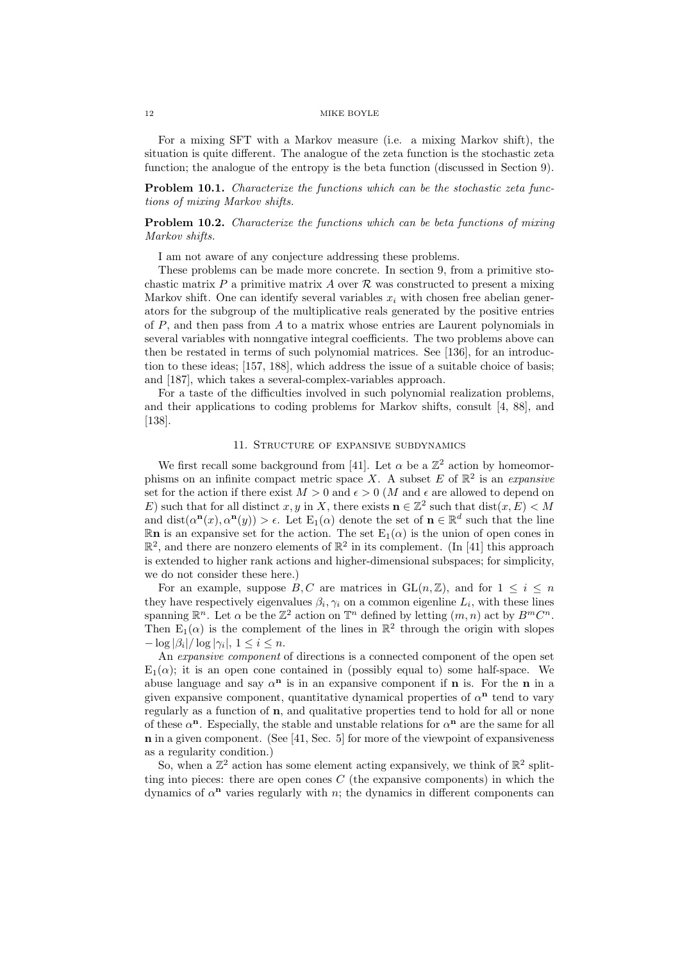For a mixing SFT with a Markov measure (i.e. a mixing Markov shift), the situation is quite different. The analogue of the zeta function is the stochastic zeta function; the analogue of the entropy is the beta function (discussed in Section 9).

Problem 10.1. Characterize the functions which can be the stochastic zeta functions of mixing Markov shifts.

# Problem 10.2. Characterize the functions which can be beta functions of mixing Markov shifts.

I am not aware of any conjecture addressing these problems.

These problems can be made more concrete. In section 9, from a primitive stochastic matrix P a primitive matrix A over  $\mathcal R$  was constructed to present a mixing Markov shift. One can identify several variables  $x_i$  with chosen free abelian generators for the subgroup of the multiplicative reals generated by the positive entries of  $P$ , and then pass from  $A$  to a matrix whose entries are Laurent polynomials in several variables with nonngative integral coefficients. The two problems above can then be restated in terms of such polynomial matrices. See [136], for an introduction to these ideas; [157, 188], which address the issue of a suitable choice of basis; and [187], which takes a several-complex-variables approach.

For a taste of the difficulties involved in such polynomial realization problems, and their applications to coding problems for Markov shifts, consult [4, 88], and [138].

# 11. Structure of expansive subdynamics

We first recall some background from [41]. Let  $\alpha$  be a  $\mathbb{Z}^2$  action by homeomorphisms on an infinite compact metric space X. A subset E of  $\mathbb{R}^2$  is an expansive set for the action if there exist  $M > 0$  and  $\epsilon > 0$  (M and  $\epsilon$  are allowed to depend on E) such that for all distinct x, y in X, there exists  $\mathbf{n} \in \mathbb{Z}^2$  such that  $dist(x, E) < M$ and dist $(\alpha^{n}(x), \alpha^{n}(y)) > \epsilon$ . Let  $E_1(\alpha)$  denote the set of  $n \in \mathbb{R}^d$  such that the line  $\mathbb{R}$ n is an expansive set for the action. The set  $E_1(\alpha)$  is the union of open cones in  $\mathbb{R}^2$ , and there are nonzero elements of  $\mathbb{R}^2$  in its complement. (In [41] this approach is extended to higher rank actions and higher-dimensional subspaces; for simplicity, we do not consider these here.)

For an example, suppose B, C are matrices in  $GL(n, \mathbb{Z})$ , and for  $1 \leq i \leq n$ they have respectively eigenvalues  $\beta_i, \gamma_i$  on a common eigenline  $L_i$ , with these lines spanning  $\mathbb{R}^n$ . Let  $\alpha$  be the  $\mathbb{Z}^2$  action on  $\mathbb{T}^n$  defined by letting  $(m, n)$  act by  $B^m C^n$ . Then  $E_1(\alpha)$  is the complement of the lines in  $\mathbb{R}^2$  through the origin with slopes  $-\log|\beta_i|/\log|\gamma_i|, 1 \leq i \leq n.$ 

An *expansive component* of directions is a connected component of the open set  $E_1(\alpha)$ ; it is an open cone contained in (possibly equal to) some half-space. We abuse language and say  $\alpha^n$  is in an expansive component if **n** is. For the **n** in a given expansive component, quantitative dynamical properties of  $\alpha^n$  tend to vary regularly as a function of n, and qualitative properties tend to hold for all or none of these  $\alpha^{n}$ . Especially, the stable and unstable relations for  $\alpha^{n}$  are the same for all  **in a given component. (See [41, Sec. 5] for more of the viewpoint of expansiveness** as a regularity condition.)

So, when a  $\mathbb{Z}^2$  action has some element acting expansively, we think of  $\mathbb{R}^2$  splitting into pieces: there are open cones  $C$  (the expansive components) in which the dynamics of  $\alpha^n$  varies regularly with n; the dynamics in different components can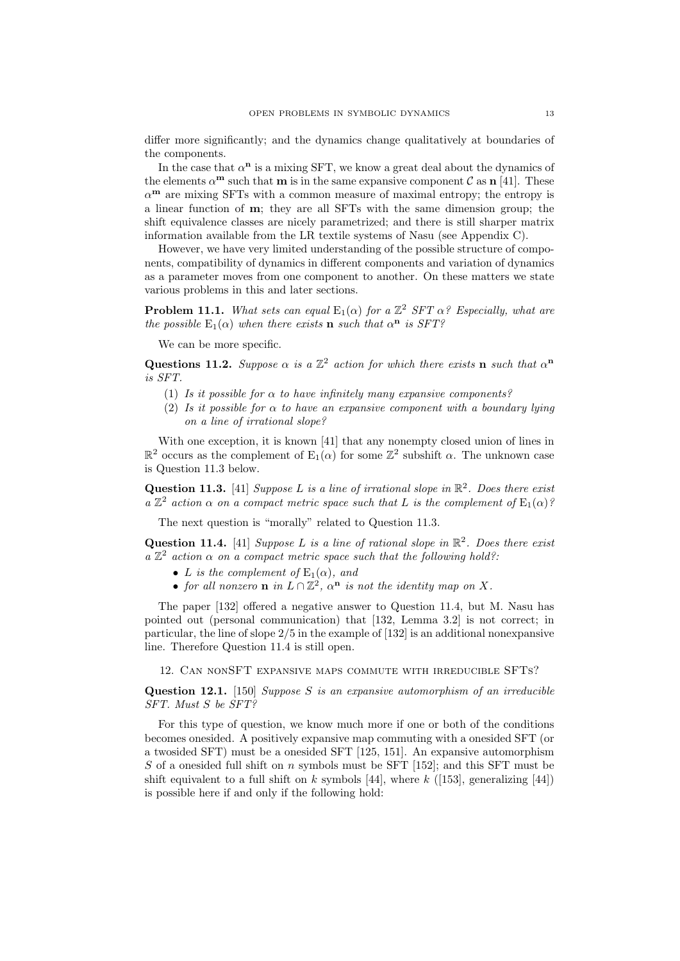differ more significantly; and the dynamics change qualitatively at boundaries of the components.

In the case that  $\alpha^n$  is a mixing SFT, we know a great deal about the dynamics of the elements  $\alpha^{\mathbf{m}}$  such that **m** is in the same expansive component C as **n** [41]. These  $\alpha^{\mathbf{m}}$  are mixing SFTs with a common measure of maximal entropy; the entropy is a linear function of m; they are all SFTs with the same dimension group; the shift equivalence classes are nicely parametrized; and there is still sharper matrix information available from the LR textile systems of Nasu (see Appendix C).

However, we have very limited understanding of the possible structure of components, compatibility of dynamics in different components and variation of dynamics as a parameter moves from one component to another. On these matters we state various problems in this and later sections.

**Problem 11.1.** What sets can equal  $E_1(\alpha)$  for a  $\mathbb{Z}^2$  SFT  $\alpha$ ? Especially, what are the possible  $E_1(\alpha)$  when there exists **n** such that  $\alpha^n$  is SFT?

We can be more specific.

Questions 11.2. Suppose  $\alpha$  is a  $\mathbb{Z}^2$  action for which there exists n such that  $\alpha^n$ is SFT.

- (1) Is it possible for  $\alpha$  to have infinitely many expansive components?
- (2) Is it possible for  $\alpha$  to have an expansive component with a boundary lying on a line of irrational slope?

With one exception, it is known [41] that any nonempty closed union of lines in  $\mathbb{R}^2$  occurs as the complement of  $E_1(\alpha)$  for some  $\mathbb{Z}^2$  subshift  $\alpha$ . The unknown case is Question 11.3 below.

Question 11.3. [41] Suppose L is a line of irrational slope in  $\mathbb{R}^2$ . Does there exist a  $\mathbb{Z}^2$  action  $\alpha$  on a compact metric space such that L is the complement of  $E_1(\alpha)$ ?

The next question is "morally" related to Question 11.3.

Question 11.4. [41] Suppose L is a line of rational slope in  $\mathbb{R}^2$ . Does there exist  $a \mathbb{Z}^2$  action  $\alpha$  on a compact metric space such that the following hold?

- L is the complement of  $E_1(\alpha)$ , and
- for all nonzero **n** in  $L \cap \mathbb{Z}^2$ ,  $\alpha^n$  is not the identity map on X.

The paper [132] offered a negative answer to Question 11.4, but M. Nasu has pointed out (personal communication) that [132, Lemma 3.2] is not correct; in particular, the line of slope 2/5 in the example of [132] is an additional nonexpansive line. Therefore Question 11.4 is still open.

12. Can nonSFT expansive maps commute with irreducible SFTs?

Question 12.1. [150] Suppose S is an expansive automorphism of an irreducible SFT. Must S be SFT?

For this type of question, we know much more if one or both of the conditions becomes onesided. A positively expansive map commuting with a onesided SFT (or a twosided SFT) must be a onesided SFT [125, 151]. An expansive automorphism S of a onesided full shift on  $n$  symbols must be SFT [152]; and this SFT must be shift equivalent to a full shift on k symbols [44], where  $k$  ([153], generalizing [44]) is possible here if and only if the following hold: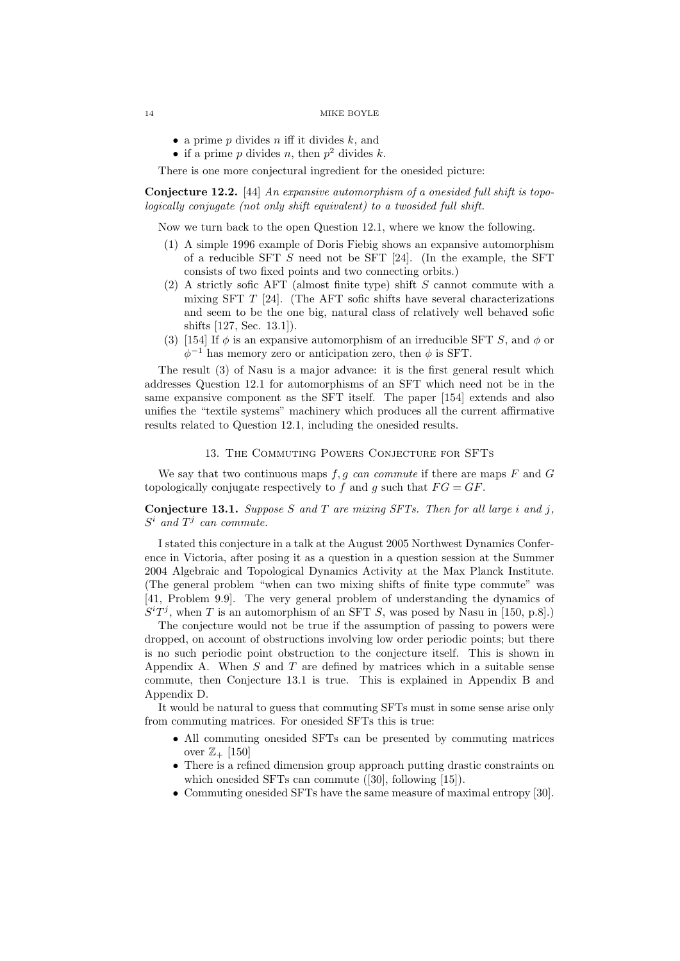- a prime  $p$  divides  $n$  iff it divides  $k$ , and
- if a prime p divides n, then  $p^2$  divides k.

There is one more conjectural ingredient for the onesided picture:

Conjecture 12.2. [44] An expansive automorphism of a onesided full shift is topologically conjugate (not only shift equivalent) to a twosided full shift.

Now we turn back to the open Question 12.1, where we know the following.

- (1) A simple 1996 example of Doris Fiebig shows an expansive automorphism of a reducible SFT  $S$  need not be SFT [24]. (In the example, the SFT consists of two fixed points and two connecting orbits.)
- (2) A strictly sofic AFT (almost finite type) shift S cannot commute with a mixing SFT  $T$  [24]. (The AFT sofic shifts have several characterizations and seem to be the one big, natural class of relatively well behaved sofic shifts [127, Sec. 13.1]).
- (3) [154] If  $\phi$  is an expansive automorphism of an irreducible SFT S, and  $\phi$  or  $\phi^{-1}$  has memory zero or anticipation zero, then  $\phi$  is SFT.

The result (3) of Nasu is a major advance: it is the first general result which addresses Question 12.1 for automorphisms of an SFT which need not be in the same expansive component as the SFT itself. The paper [154] extends and also unifies the "textile systems" machinery which produces all the current affirmative results related to Question 12.1, including the onesided results.

## 13. The Commuting Powers Conjecture for SFTs

We say that two continuous maps  $f, g$  can commute if there are maps  $F$  and  $G$ topologically conjugate respectively to f and g such that  $FG = GF$ .

**Conjecture 13.1.** Suppose S and T are mixing SFTs. Then for all large i and j,  $S^i$  and  $T^j$  can commute.

I stated this conjecture in a talk at the August 2005 Northwest Dynamics Conference in Victoria, after posing it as a question in a question session at the Summer 2004 Algebraic and Topological Dynamics Activity at the Max Planck Institute. (The general problem "when can two mixing shifts of finite type commute" was [41, Problem 9.9]. The very general problem of understanding the dynamics of  $S^{i}T^{j}$ , when T is an automorphism of an SFT S, was posed by Nasu in [150, p.8].)

The conjecture would not be true if the assumption of passing to powers were dropped, on account of obstructions involving low order periodic points; but there is no such periodic point obstruction to the conjecture itself. This is shown in Appendix A. When  $S$  and  $T$  are defined by matrices which in a suitable sense commute, then Conjecture 13.1 is true. This is explained in Appendix B and Appendix D.

It would be natural to guess that commuting SFTs must in some sense arise only from commuting matrices. For onesided SFTs this is true:

- All commuting onesided SFTs can be presented by commuting matrices over  $\mathbb{Z}_+$  [150]
- There is a refined dimension group approach putting drastic constraints on which onesided SFTs can commute ([30], following [15]).
- Commuting onesided SFTs have the same measure of maximal entropy [30].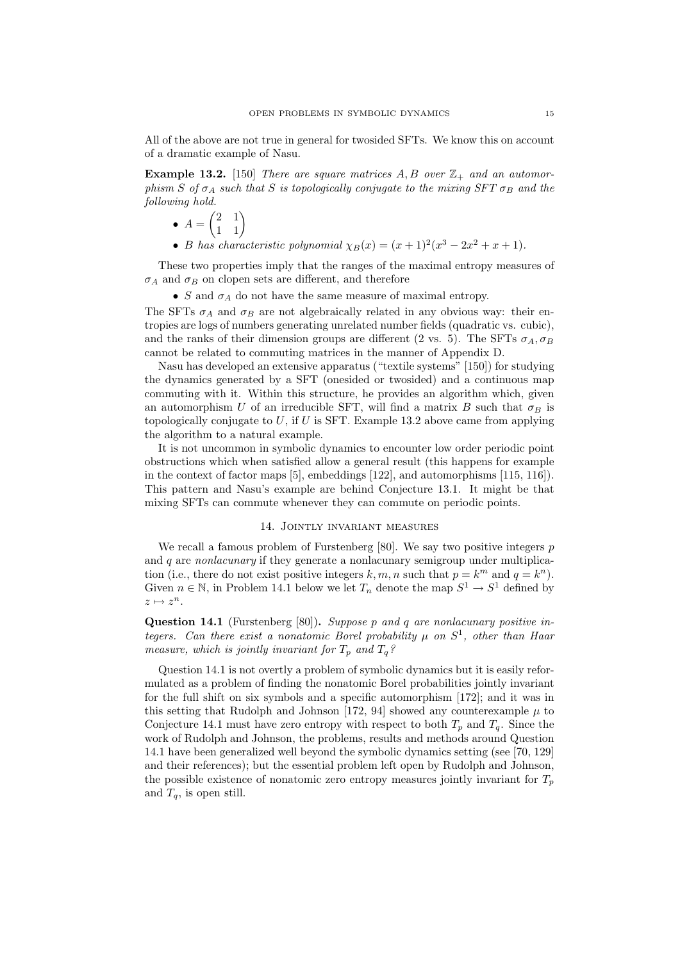All of the above are not true in general for twosided SFTs. We know this on account of a dramatic example of Nasu.

**Example 13.2.** [150] There are square matrices  $A, B$  over  $\mathbb{Z}_+$  and an automorphism S of  $\sigma_A$  such that S is topologically conjugate to the mixing SFT  $\sigma_B$  and the following hold.

$$
\bullet \ \ A = \begin{pmatrix} 2 & 1 \\ 1 & 1 \end{pmatrix}
$$

• B has characteristic polynomial  $\chi_B(x) = (x+1)^2(x^3 - 2x^2 + x + 1)$ .

These two properties imply that the ranges of the maximal entropy measures of  $\sigma_A$  and  $\sigma_B$  on clopen sets are different, and therefore

• S and  $\sigma_A$  do not have the same measure of maximal entropy.

The SFTs  $\sigma_A$  and  $\sigma_B$  are not algebraically related in any obvious way: their entropies are logs of numbers generating unrelated number fields (quadratic vs. cubic), and the ranks of their dimension groups are different (2 vs. 5). The SFTs  $\sigma_A$ ,  $\sigma_B$ cannot be related to commuting matrices in the manner of Appendix D.

Nasu has developed an extensive apparatus ("textile systems" [150]) for studying the dynamics generated by a SFT (onesided or twosided) and a continuous map commuting with it. Within this structure, he provides an algorithm which, given an automorphism U of an irreducible SFT, will find a matrix B such that  $\sigma_B$  is topologically conjugate to  $U$ , if  $U$  is SFT. Example 13.2 above came from applying the algorithm to a natural example.

It is not uncommon in symbolic dynamics to encounter low order periodic point obstructions which when satisfied allow a general result (this happens for example in the context of factor maps [5], embeddings [122], and automorphisms [115, 116]). This pattern and Nasu's example are behind Conjecture 13.1. It might be that mixing SFTs can commute whenever they can commute on periodic points.

#### 14. Jointly invariant measures

We recall a famous problem of Furstenberg  $[80]$ . We say two positive integers p and q are *nonlacunary* if they generate a nonlacunary semigroup under multiplication (i.e., there do not exist positive integers  $k, m, n$  such that  $p = k^m$  and  $q = k^n$ ). Given  $n \in \mathbb{N}$ , in Problem 14.1 below we let  $T_n$  denote the map  $S^1 \to S^1$  defined by  $z \mapsto z^n$ .

Question 14.1 (Furstenberg [80]). Suppose p and q are nonlacunary positive integers. Can there exist a nonatomic Borel probability  $\mu$  on  $S^1$ , other than Haar measure, which is jointly invariant for  $T_p$  and  $T_q$ ?

Question 14.1 is not overtly a problem of symbolic dynamics but it is easily reformulated as a problem of finding the nonatomic Borel probabilities jointly invariant for the full shift on six symbols and a specific automorphism [172]; and it was in this setting that Rudolph and Johnson [172, 94] showed any counterexample  $\mu$  to Conjecture 14.1 must have zero entropy with respect to both  $T_p$  and  $T_q$ . Since the work of Rudolph and Johnson, the problems, results and methods around Question 14.1 have been generalized well beyond the symbolic dynamics setting (see [70, 129] and their references); but the essential problem left open by Rudolph and Johnson, the possible existence of nonatomic zero entropy measures jointly invariant for  $T_p$ and  $T_a$ , is open still.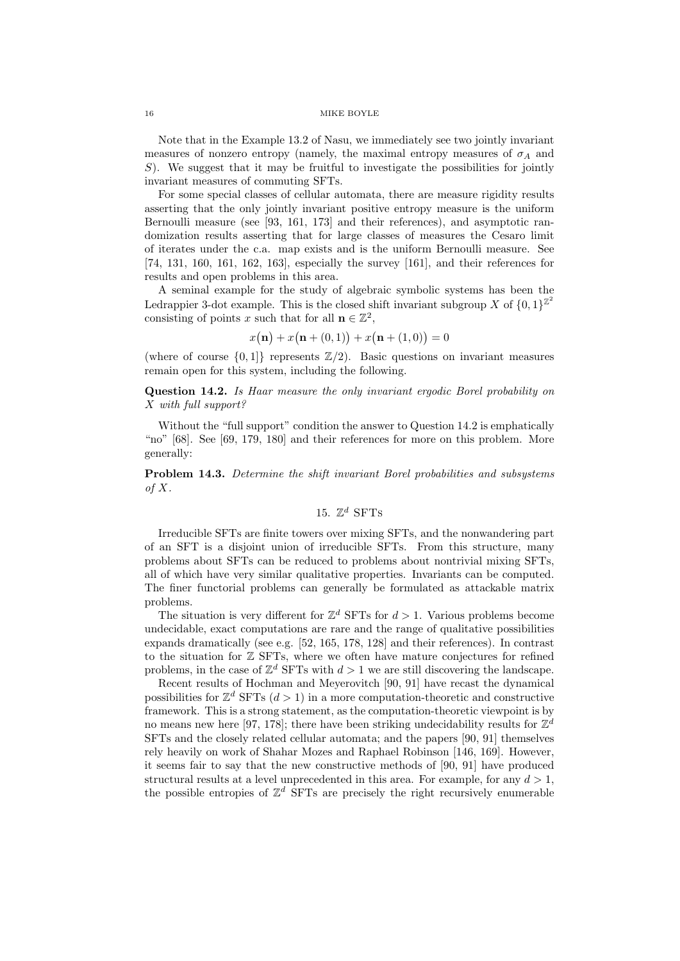Note that in the Example 13.2 of Nasu, we immediately see two jointly invariant measures of nonzero entropy (namely, the maximal entropy measures of  $\sigma_A$  and S). We suggest that it may be fruitful to investigate the possibilities for jointly invariant measures of commuting SFTs.

For some special classes of cellular automata, there are measure rigidity results asserting that the only jointly invariant positive entropy measure is the uniform Bernoulli measure (see [93, 161, 173] and their references), and asymptotic randomization results asserting that for large classes of measures the Cesaro limit of iterates under the c.a. map exists and is the uniform Bernoulli measure. See [74, 131, 160, 161, 162, 163], especially the survey [161], and their references for results and open problems in this area.

A seminal example for the study of algebraic symbolic systems has been the Ledrappier 3-dot example. This is the closed shift invariant subgroup X of  $\{0,1\}^{\mathbb{Z}^2}$ consisting of points x such that for all  $\mathbf{n} \in \mathbb{Z}^2$ ,

$$
x(\mathbf{n}) + x(\mathbf{n} + (0,1)) + x(\mathbf{n} + (1,0)) = 0
$$

(where of course  $\{0,1\}$  represents  $\mathbb{Z}/2$ ). Basic questions on invariant measures remain open for this system, including the following.

Question 14.2. Is Haar measure the only invariant ergodic Borel probability on X with full support?

Without the "full support" condition the answer to Question 14.2 is emphatically "no" [68]. See [69, 179, 180] and their references for more on this problem. More generally:

Problem 14.3. Determine the shift invariant Borel probabilities and subsystems of  $X$ .

# 15.  $\mathbb{Z}^d$  SFTs

Irreducible SFTs are finite towers over mixing SFTs, and the nonwandering part of an SFT is a disjoint union of irreducible SFTs. From this structure, many problems about SFTs can be reduced to problems about nontrivial mixing SFTs, all of which have very similar qualitative properties. Invariants can be computed. The finer functorial problems can generally be formulated as attackable matrix problems.

The situation is very different for  $\mathbb{Z}^d$  SFTs for  $d > 1$ . Various problems become undecidable, exact computations are rare and the range of qualitative possibilities expands dramatically (see e.g. [52, 165, 178, 128] and their references). In contrast to the situation for  $\mathbb Z$  SFTs, where we often have mature conjectures for refined problems, in the case of  $\mathbb{Z}^d$  SFTs with  $d > 1$  we are still discovering the landscape.

Recent results of Hochman and Meyerovitch [90, 91] have recast the dynamical possibilities for  $\mathbb{Z}^d$  SFTs  $(d > 1)$  in a more computation-theoretic and constructive framework. This is a strong statement, as the computation-theoretic viewpoint is by no means new here [97, 178]; there have been striking undecidability results for  $\mathbb{Z}^d$ SFTs and the closely related cellular automata; and the papers [90, 91] themselves rely heavily on work of Shahar Mozes and Raphael Robinson [146, 169]. However, it seems fair to say that the new constructive methods of [90, 91] have produced structural results at a level unprecedented in this area. For example, for any  $d > 1$ , the possible entropies of  $\mathbb{Z}^d$  SFTs are precisely the right recursively enumerable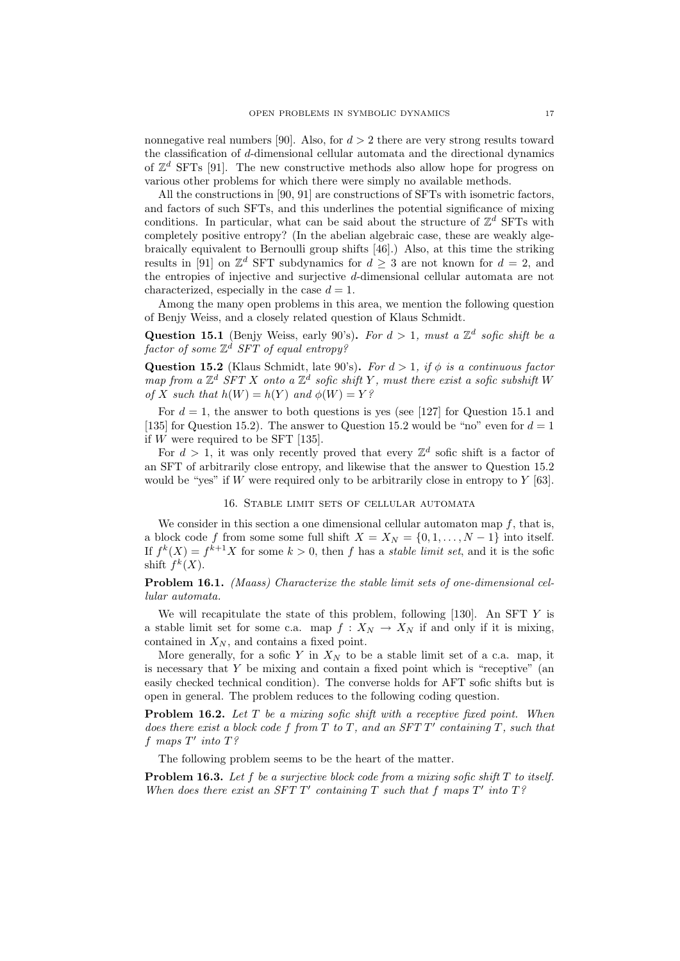nonnegative real numbers [90]. Also, for  $d > 2$  there are very strong results toward the classification of  $d$ -dimensional cellular automata and the directional dynamics of  $\mathbb{Z}^d$  SFTs [91]. The new constructive methods also allow hope for progress on various other problems for which there were simply no available methods.

All the constructions in [90, 91] are constructions of SFTs with isometric factors, and factors of such SFTs, and this underlines the potential significance of mixing conditions. In particular, what can be said about the structure of  $\mathbb{Z}^d$  SFTs with completely positive entropy? (In the abelian algebraic case, these are weakly algebraically equivalent to Bernoulli group shifts [46].) Also, at this time the striking results in [91] on  $\mathbb{Z}^d$  SFT subdynamics for  $d \geq 3$  are not known for  $d = 2$ , and the entropies of injective and surjective d-dimensional cellular automata are not characterized, especially in the case  $d = 1$ .

Among the many open problems in this area, we mention the following question of Benjy Weiss, and a closely related question of Klaus Schmidt.

Question 15.1 (Benjy Weiss, early 90's). For  $d > 1$ , must a  $\mathbb{Z}^d$  sofic shift be a  $factor\ of\ some\ {\mathbb Z}^d\ SFT\ of\ equal\ entropy?$ 

Question 15.2 (Klaus Schmidt, late 90's). For  $d > 1$ , if  $\phi$  is a continuous factor map from a  $\mathbb{Z}^d$  SFT X onto a  $\mathbb{Z}^d$  sofic shift Y, must there exist a sofic subshift W of X such that  $h(W) = h(Y)$  and  $\phi(W) = Y$ ?

For  $d = 1$ , the answer to both questions is yes (see [127] for Question 15.1 and [135] for Question 15.2). The answer to Question 15.2 would be "no" even for  $d = 1$ if W were required to be SFT [135].

For  $d > 1$ , it was only recently proved that every  $\mathbb{Z}^d$  sofic shift is a factor of an SFT of arbitrarily close entropy, and likewise that the answer to Question 15.2 would be "yes" if  $W$  were required only to be arbitrarily close in entropy to  $Y$  [63].

# 16. Stable limit sets of cellular automata

We consider in this section a one dimensional cellular automaton map  $f$ , that is, a block code f from some some full shift  $X = X_N = \{0, 1, \ldots, N - 1\}$  into itself. If  $f^k(X) = f^{k+1}X$  for some  $k > 0$ , then f has a *stable limit set*, and it is the sofic shift  $f^k(X)$ .

# Problem 16.1. (Maass) Characterize the stable limit sets of one-dimensional cellular automata.

We will recapitulate the state of this problem, following [130]. An SFT Y is a stable limit set for some c.a. map  $f: X_N \to X_N$  if and only if it is mixing, contained in  $X_N$ , and contains a fixed point.

More generally, for a sofic Y in  $X_N$  to be a stable limit set of a c.a. map, it is necessary that  $Y$  be mixing and contain a fixed point which is "receptive" (an easily checked technical condition). The converse holds for AFT sofic shifts but is open in general. The problem reduces to the following coding question.

**Problem 16.2.** Let  $T$  be a mixing sofic shift with a receptive fixed point. When does there exist a block code  $f$  from  $T$  to  $T$ , and an  $SFTT'$  containing  $T$ , such that  $f$  maps  $T'$  into  $T$ ?

The following problem seems to be the heart of the matter.

**Problem 16.3.** Let f be a surjective block code from a mixing sofic shift  $T$  to itself. When does there exist an SFT  $T'$  containing  $T$  such that  $f$  maps  $T'$  into  $T$ ?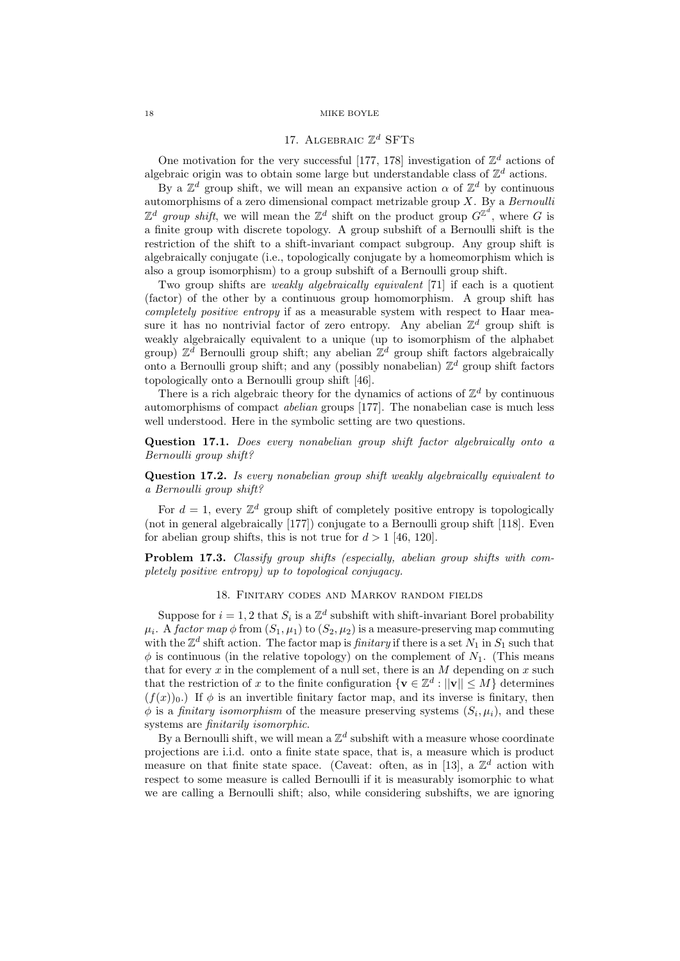# 17. ALGEBRAIC  $\mathbb{Z}^d$  SFTs

One motivation for the very successful [177, 178] investigation of  $\mathbb{Z}^d$  actions of algebraic origin was to obtain some large but understandable class of  $\mathbb{Z}^d$  actions.

By a  $\mathbb{Z}^d$  group shift, we will mean an expansive action  $\alpha$  of  $\mathbb{Z}^d$  by continuous automorphisms of a zero dimensional compact metrizable group  $X$ . By a Bernoulli  $\mathbb{Z}^d$  group shift, we will mean the  $\mathbb{Z}^d$  shift on the product group  $G^{\mathbb{Z}^d}$ , where G is a finite group with discrete topology. A group subshift of a Bernoulli shift is the restriction of the shift to a shift-invariant compact subgroup. Any group shift is algebraically conjugate (i.e., topologically conjugate by a homeomorphism which is also a group isomorphism) to a group subshift of a Bernoulli group shift.

Two group shifts are *weakly algebraically equivalent* [71] if each is a quotient (factor) of the other by a continuous group homomorphism. A group shift has completely positive entropy if as a measurable system with respect to Haar measure it has no nontrivial factor of zero entropy. Any abelian  $\mathbb{Z}^d$  group shift is weakly algebraically equivalent to a unique (up to isomorphism of the alphabet group)  $\mathbb{Z}^d$  Bernoulli group shift; any abelian  $\mathbb{Z}^d$  group shift factors algebraically onto a Bernoulli group shift; and any (possibly nonabelian)  $\mathbb{Z}^d$  group shift factors topologically onto a Bernoulli group shift [46].

There is a rich algebraic theory for the dynamics of actions of  $\mathbb{Z}^d$  by continuous automorphisms of compact abelian groups [177]. The nonabelian case is much less well understood. Here in the symbolic setting are two questions.

Question 17.1. Does every nonabelian group shift factor algebraically onto a Bernoulli group shift?

Question 17.2. Is every nonabelian group shift weakly algebraically equivalent to a Bernoulli group shift?

For  $d = 1$ , every  $\mathbb{Z}^d$  group shift of completely positive entropy is topologically (not in general algebraically [177]) conjugate to a Bernoulli group shift [118]. Even for abelian group shifts, this is not true for  $d > 1$  [46, 120].

Problem 17.3. Classify group shifts (especially, abelian group shifts with completely positive entropy) up to topological conjugacy.

# 18. Finitary codes and Markov random fields

Suppose for  $i = 1, 2$  that  $S_i$  is a  $\mathbb{Z}^d$  subshift with shift-invariant Borel probability  $\mu_i$ . A factor map  $\phi$  from  $(S_1, \mu_1)$  to  $(S_2, \mu_2)$  is a measure-preserving map commuting with the  $\mathbb{Z}^d$  shift action. The factor map is *finitary* if there is a set  $N_1$  in  $S_1$  such that  $\phi$  is continuous (in the relative topology) on the complement of  $N_1$ . (This means that for every x in the complement of a null set, there is an M depending on x such that the restriction of x to the finite configuration  $\{ \mathbf{v} \in \mathbb{Z}^d : ||\mathbf{v}|| \leq M \}$  determines  $(f(x))_0$ .) If  $\phi$  is an invertible finitary factor map, and its inverse is finitary, then  $\phi$  is a *finitary isomorphism* of the measure preserving systems  $(S_i, \mu_i)$ , and these systems are finitarily isomorphic.

By a Bernoulli shift, we will mean a  $\mathbb{Z}^d$  subshift with a measure whose coordinate projections are i.i.d. onto a finite state space, that is, a measure which is product measure on that finite state space. (Caveat: often, as in [13], a  $\mathbb{Z}^d$  action with respect to some measure is called Bernoulli if it is measurably isomorphic to what we are calling a Bernoulli shift; also, while considering subshifts, we are ignoring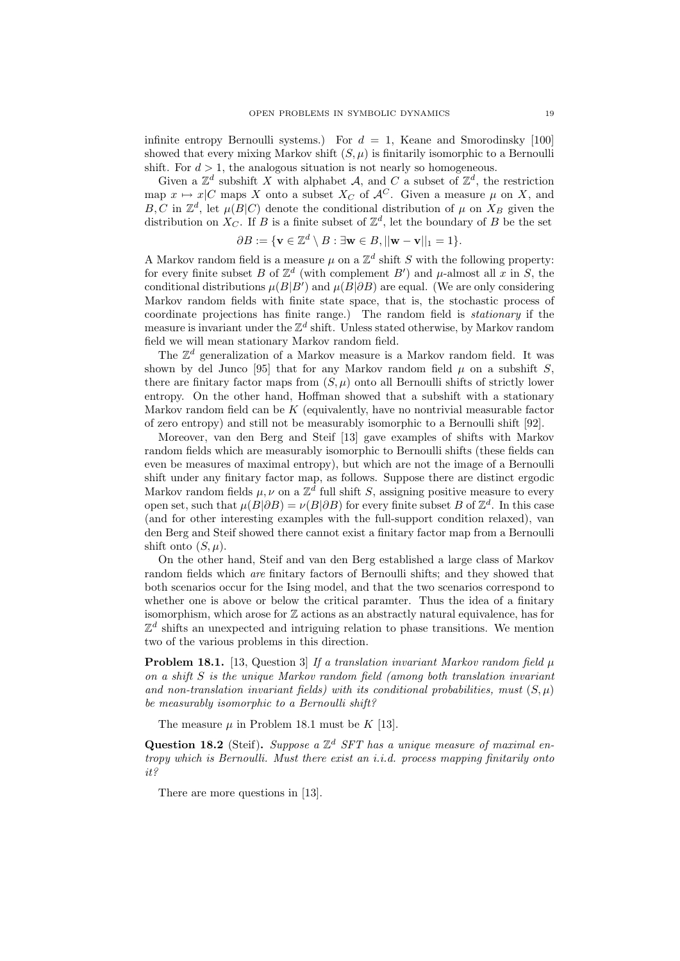infinite entropy Bernoulli systems.) For  $d = 1$ , Keane and Smorodinsky [100] showed that every mixing Markov shift  $(S, \mu)$  is finitarily isomorphic to a Bernoulli shift. For  $d > 1$ , the analogous situation is not nearly so homogeneous.

Given a  $\mathbb{Z}^d$  subshift X with alphabet A, and C a subset of  $\mathbb{Z}^d$ , the restriction map  $x \mapsto x|C$  maps X onto a subset  $X_C$  of  $\mathcal{A}^C$ . Given a measure  $\mu$  on X, and B, C in  $\mathbb{Z}^d$ , let  $\mu(B|C)$  denote the conditional distribution of  $\mu$  on  $X_B$  given the distribution on  $X_C$ . If B is a finite subset of  $\mathbb{Z}^d$ , let the boundary of B be the set

$$
\partial B := \{ \mathbf{v} \in \mathbb{Z}^d \setminus B : \exists \mathbf{w} \in B, ||\mathbf{w} - \mathbf{v}||_1 = 1 \}.
$$

A Markov random field is a measure  $\mu$  on a  $\mathbb{Z}^d$  shift S with the following property: for every finite subset B of  $\mathbb{Z}^d$  (with complement B') and  $\mu$ -almost all x in S, the conditional distributions  $\mu(B|B')$  and  $\mu(B|\partial B)$  are equal. (We are only considering Markov random fields with finite state space, that is, the stochastic process of coordinate projections has finite range.) The random field is stationary if the measure is invariant under the  $\mathbb{Z}^d$  shift. Unless stated otherwise, by Markov random field we will mean stationary Markov random field.

The  $\mathbb{Z}^d$  generalization of a Markov measure is a Markov random field. It was shown by del Junco [95] that for any Markov random field  $\mu$  on a subshift S, there are finitary factor maps from  $(S, \mu)$  onto all Bernoulli shifts of strictly lower entropy. On the other hand, Hoffman showed that a subshift with a stationary Markov random field can be  $K$  (equivalently, have no nontrivial measurable factor of zero entropy) and still not be measurably isomorphic to a Bernoulli shift [92].

Moreover, van den Berg and Steif [13] gave examples of shifts with Markov random fields which are measurably isomorphic to Bernoulli shifts (these fields can even be measures of maximal entropy), but which are not the image of a Bernoulli shift under any finitary factor map, as follows. Suppose there are distinct ergodic Markov random fields  $\mu, \nu$  on a  $\mathbb{Z}^{\bar{d}}$  full shift S, assigning positive measure to every open set, such that  $\mu(B|\partial B) = \nu(B|\partial B)$  for every finite subset B of  $\mathbb{Z}^d$ . In this case (and for other interesting examples with the full-support condition relaxed), van den Berg and Steif showed there cannot exist a finitary factor map from a Bernoulli shift onto  $(S, \mu)$ .

On the other hand, Steif and van den Berg established a large class of Markov random fields which are finitary factors of Bernoulli shifts; and they showed that both scenarios occur for the Ising model, and that the two scenarios correspond to whether one is above or below the critical paramter. Thus the idea of a finitary isomorphism, which arose for  $\mathbb Z$  actions as an abstractly natural equivalence, has for  $\mathbb{Z}^d$  shifts an unexpected and intriguing relation to phase transitions. We mention two of the various problems in this direction.

**Problem 18.1.** [13, Question 3] If a translation invariant Markov random field  $\mu$ on a shift S is the unique Markov random field (among both translation invariant and non-translation invariant fields) with its conditional probabilities, must  $(S, \mu)$ be measurably isomorphic to a Bernoulli shift?

The measure  $\mu$  in Problem 18.1 must be K [13].

Question 18.2 (Steif). Suppose a  $\mathbb{Z}^d$  SFT has a unique measure of maximal entropy which is Bernoulli. Must there exist an i.i.d. process mapping finitarily onto it?

There are more questions in [13].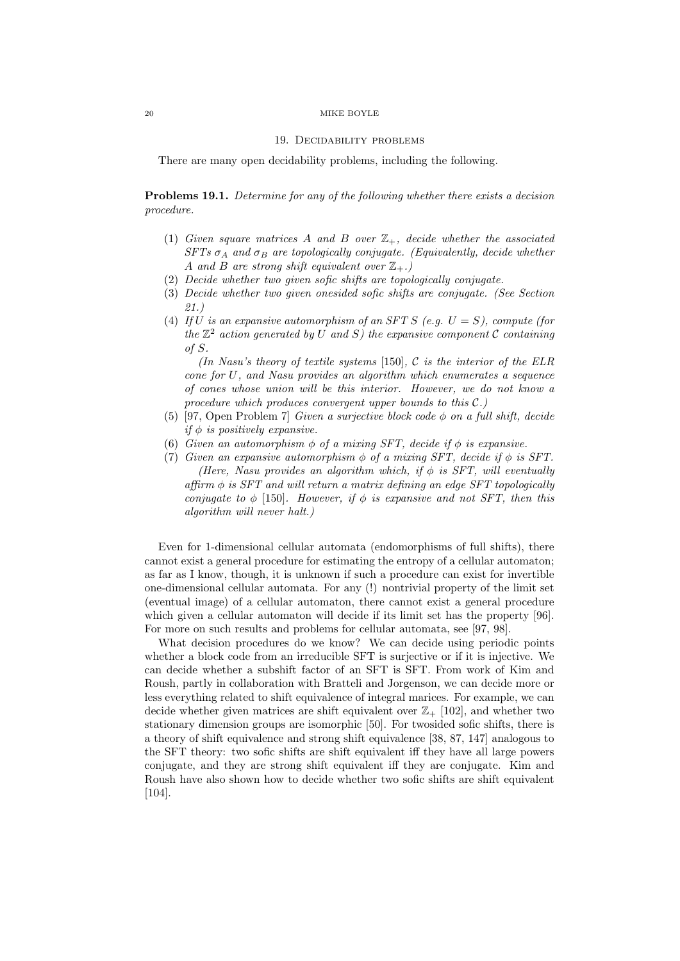### 19. Decidability problems

There are many open decidability problems, including the following.

Problems 19.1. Determine for any of the following whether there exists a decision procedure.

- (1) Given square matrices A and B over  $\mathbb{Z}_+$ , decide whether the associated  $SFTs \sigma_A$  and  $\sigma_B$  are topologically conjugate. (Equivalently, decide whether A and B are strong shift equivalent over  $\mathbb{Z}_+$ .
- (2) Decide whether two given sofic shifts are topologically conjugate.
- (3) Decide whether two given onesided sofic shifts are conjugate. (See Section 21.)
- (4) If U is an expansive automorphism of an SFT S (e.g.  $U = S$ ), compute (for the  $\mathbb{Z}^2$  action generated by U and S) the expansive component C containing of S.

(In Nasu's theory of textile systems [150],  $\mathcal C$  is the interior of the ELR cone for U, and Nasu provides an algorithm which enumerates a sequence of cones whose union will be this interior. However, we do not know a procedure which produces convergent upper bounds to this C.)

- (5) [97, Open Problem 7] Given a surjective block code  $\phi$  on a full shift, decide if  $\phi$  is positively expansive.
- (6) Given an automorphism  $\phi$  of a mixing SFT, decide if  $\phi$  is expansive.
- (7) Given an expansive automorphism  $\phi$  of a mixing SFT, decide if  $\phi$  is SFT. (Here, Nasu provides an algorithm which, if  $\phi$  is SFT, will eventually  $affirm \, \phi \, \text{ is } SFT \, \text{ and } \, will \, return \, \, a \, \, matrix \, \, defining \, \, an \, \, edge \, \, SFT \, \, topologically$ conjugate to  $\phi$  [150]. However, if  $\phi$  is expansive and not SFT, then this algorithm will never halt.)

Even for 1-dimensional cellular automata (endomorphisms of full shifts), there cannot exist a general procedure for estimating the entropy of a cellular automaton; as far as I know, though, it is unknown if such a procedure can exist for invertible one-dimensional cellular automata. For any (!) nontrivial property of the limit set (eventual image) of a cellular automaton, there cannot exist a general procedure which given a cellular automaton will decide if its limit set has the property [96]. For more on such results and problems for cellular automata, see [97, 98].

What decision procedures do we know? We can decide using periodic points whether a block code from an irreducible SFT is surjective or if it is injective. We can decide whether a subshift factor of an SFT is SFT. From work of Kim and Roush, partly in collaboration with Bratteli and Jorgenson, we can decide more or less everything related to shift equivalence of integral marices. For example, we can decide whether given matrices are shift equivalent over  $\mathbb{Z}_+$  [102], and whether two stationary dimension groups are isomorphic [50]. For twosided sofic shifts, there is a theory of shift equivalence and strong shift equivalence [38, 87, 147] analogous to the SFT theory: two sofic shifts are shift equivalent iff they have all large powers conjugate, and they are strong shift equivalent iff they are conjugate. Kim and Roush have also shown how to decide whether two sofic shifts are shift equivalent [104].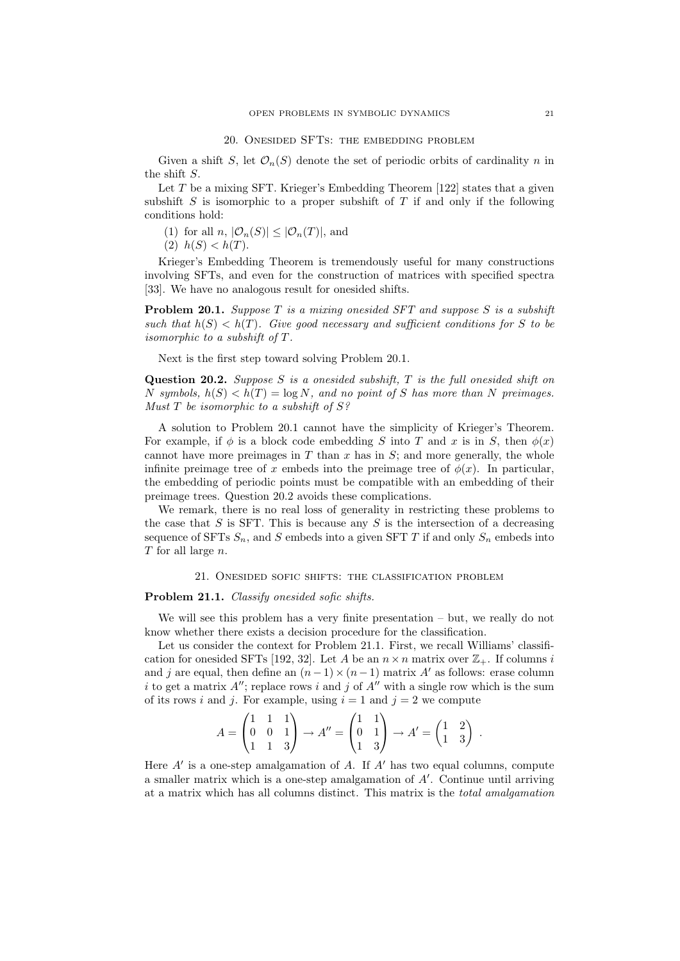### 20. Onesided SFTs: the embedding problem

Given a shift S, let  $\mathcal{O}_n(S)$  denote the set of periodic orbits of cardinality n in the shift S.

Let  $T$  be a mixing SFT. Krieger's Embedding Theorem [122] states that a given subshift  $S$  is isomorphic to a proper subshift of  $T$  if and only if the following conditions hold:

(1) for all n,  $|\mathcal{O}_n(S)| \leq |\mathcal{O}_n(T)|$ , and

$$
(2) \ \ h(S) < h(T).
$$

Krieger's Embedding Theorem is tremendously useful for many constructions involving SFTs, and even for the construction of matrices with specified spectra [33]. We have no analogous result for onesided shifts.

**Problem 20.1.** Suppose  $T$  is a mixing onesided  $SFT$  and suppose  $S$  is a subshift such that  $h(S) < h(T)$ . Give good necessary and sufficient conditions for S to be isomorphic to a subshift of T.

Next is the first step toward solving Problem 20.1.

Question 20.2. Suppose  $S$  is a onesided subshift,  $T$  is the full onesided shift on N symbols,  $h(S) < h(T) = \log N$ , and no point of S has more than N preimages. Must  $T$  be isomorphic to a subshift of  $S$ ?

A solution to Problem 20.1 cannot have the simplicity of Krieger's Theorem. For example, if  $\phi$  is a block code embedding S into T and x is in S, then  $\phi(x)$ cannot have more preimages in  $T$  than  $x$  has in  $S$ ; and more generally, the whole infinite preimage tree of x embeds into the preimage tree of  $\phi(x)$ . In particular, the embedding of periodic points must be compatible with an embedding of their preimage trees. Question 20.2 avoids these complications.

We remark, there is no real loss of generality in restricting these problems to the case that  $S$  is SFT. This is because any  $S$  is the intersection of a decreasing sequence of SFTs  $S_n$ , and S embeds into a given SFT T if and only  $S_n$  embeds into  $T$  for all large  $n$ .

# 21. Onesided sofic shifts: the classification problem

## Problem 21.1. Classify onesided sofic shifts.

We will see this problem has a very finite presentation – but, we really do not know whether there exists a decision procedure for the classification.

Let us consider the context for Problem 21.1. First, we recall Williams' classification for onesided SFTs [192, 32]. Let A be an  $n \times n$  matrix over  $\mathbb{Z}_+$ . If columns i and j are equal, then define an  $(n-1) \times (n-1)$  matrix A' as follows: erase column i to get a matrix  $A''$ ; replace rows i and j of  $A''$  with a single row which is the sum of its rows i and j. For example, using  $i = 1$  and  $j = 2$  we compute

$$
A = \begin{pmatrix} 1 & 1 & 1 \\ 0 & 0 & 1 \\ 1 & 1 & 3 \end{pmatrix} \rightarrow A'' = \begin{pmatrix} 1 & 1 \\ 0 & 1 \\ 1 & 3 \end{pmatrix} \rightarrow A' = \begin{pmatrix} 1 & 2 \\ 1 & 3 \end{pmatrix}.
$$

Here  $A'$  is a one-step amalgamation of  $A$ . If  $A'$  has two equal columns, compute a smaller matrix which is a one-step amalgamation of  $A'$ . Continue until arriving at a matrix which has all columns distinct. This matrix is the total amalgamation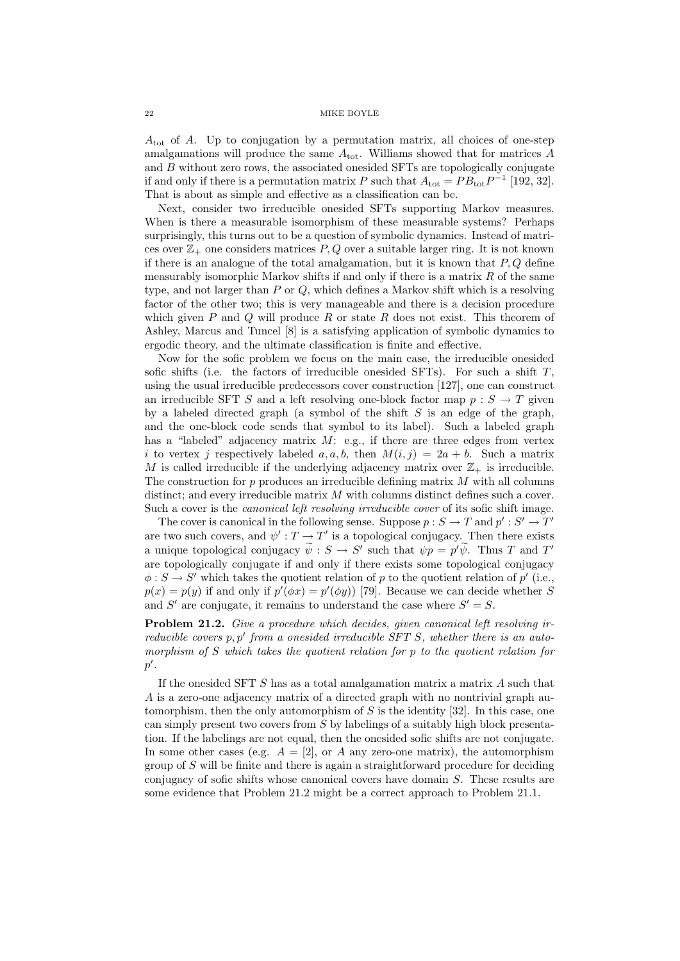$A_{\text{tot}}$  of A. Up to conjugation by a permutation matrix, all choices of one-step amalgamations will produce the same  $A_{\text{tot}}$ . Williams showed that for matrices A and B without zero rows, the associated onesided SFTs are topologically conjugate if and only if there is a permutation matrix P such that  $A_{\text{tot}} = PB_{\text{tot}}P^{-1}$  [192, 32]. That is about as simple and effective as a classification can be.

Next, consider two irreducible onesided SFTs supporting Markov measures. When is there a measurable isomorphism of these measurable systems? Perhaps surprisingly, this turns out to be a question of symbolic dynamics. Instead of matrices over  $\mathbb{Z}_+$  one considers matrices P, Q over a suitable larger ring. It is not known if there is an analogue of the total amalgamation, but it is known that  $P, Q$  define measurably isomorphic Markov shifts if and only if there is a matrix  $R$  of the same type, and not larger than P or Q, which defines a Markov shift which is a resolving factor of the other two; this is very manageable and there is a decision procedure which given  $P$  and  $Q$  will produce  $R$  or state  $R$  does not exist. This theorem of Ashley, Marcus and Tuncel [8] is a satisfying application of symbolic dynamics to ergodic theory, and the ultimate classification is finite and effective.

Now for the sofic problem we focus on the main case, the irreducible onesided sofic shifts (i.e. the factors of irreducible onesided SFTs). For such a shift  $T$ , using the usual irreducible predecessors cover construction [127], one can construct an irreducible SFT S and a left resolving one-block factor map  $p : S \to T$  given by a labeled directed graph (a symbol of the shift  $S$  is an edge of the graph, and the one-block code sends that symbol to its label). Such a labeled graph has a "labeled" adjacency matrix  $M:$  e.g., if there are three edges from vertex i to vertex j respectively labeled a, a, b, then  $M(i, j) = 2a + b$ . Such a matrix M is called irreducible if the underlying adjacency matrix over  $\mathbb{Z}_+$  is irreducible. The construction for  $p$  produces an irreducible defining matrix  $M$  with all columns distinct; and every irreducible matrix M with columns distinct defines such a cover. Such a cover is the *canonical left resolving irreducible cover* of its sofic shift image.

The cover is canonical in the following sense. Suppose  $p : S \to T$  and  $p' : S' \to T'$ are two such covers, and  $\psi': T \to T'$  is a topological conjugacy. Then there exists a unique topological conjugacy  $\tilde{\psi}: S \to S'$  such that  $\psi p = p' \tilde{\psi}$ . Thus T and T' are topologically conjugate if and only if there exists some topological conjugacy  $\phi: S \to S'$  which takes the quotient relation of p to the quotient relation of p' (i.e.,  $p(x) = p(y)$  if and only if  $p'(\phi x) = p'(\phi y)$  [79]. Because we can decide whether S and S' are conjugate, it remains to understand the case where  $S' = S$ .

Problem 21.2. Give a procedure which decides, given canonical left resolving irreducible covers  $p, p'$  from a onesided irreducible SFT S, whether there is an automorphism of S which takes the quotient relation for p to the quotient relation for  $p^{\prime}$ .

If the onesided SFT S has as a total amalgamation matrix a matrix A such that A is a zero-one adjacency matrix of a directed graph with no nontrivial graph automorphism, then the only automorphism of  $S$  is the identity [32]. In this case, one can simply present two covers from S by labelings of a suitably high block presentation. If the labelings are not equal, then the onesided sofic shifts are not conjugate. In some other cases (e.g.  $A = [2]$ , or A any zero-one matrix), the automorphism group of  $S$  will be finite and there is again a straightforward procedure for deciding conjugacy of sofic shifts whose canonical covers have domain S. These results are some evidence that Problem 21.2 might be a correct approach to Problem 21.1.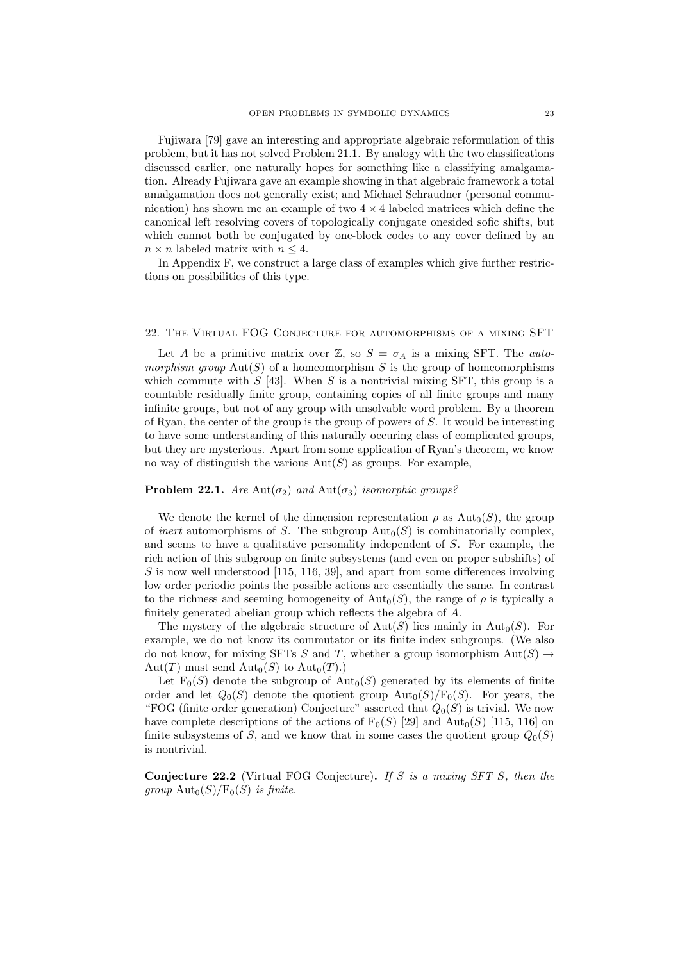Fujiwara [79] gave an interesting and appropriate algebraic reformulation of this problem, but it has not solved Problem 21.1. By analogy with the two classifications discussed earlier, one naturally hopes for something like a classifying amalgamation. Already Fujiwara gave an example showing in that algebraic framework a total amalgamation does not generally exist; and Michael Schraudner (personal communication) has shown me an example of two  $4 \times 4$  labeled matrices which define the canonical left resolving covers of topologically conjugate onesided sofic shifts, but which cannot both be conjugated by one-block codes to any cover defined by an  $n \times n$  labeled matrix with  $n \leq 4$ .

In Appendix F, we construct a large class of examples which give further restrictions on possibilities of this type.

## 22. The Virtual FOG Conjecture for automorphisms of a mixing SFT

Let A be a primitive matrix over  $\mathbb{Z}$ , so  $S = \sigma_A$  is a mixing SFT. The *auto*morphism group  $Aut(S)$  of a homeomorphism S is the group of homeomorphisms which commute with  $S$  [43]. When  $S$  is a nontrivial mixing SFT, this group is a countable residually finite group, containing copies of all finite groups and many infinite groups, but not of any group with unsolvable word problem. By a theorem of Ryan, the center of the group is the group of powers of  $S$ . It would be interesting to have some understanding of this naturally occuring class of complicated groups, but they are mysterious. Apart from some application of Ryan's theorem, we know no way of distinguish the various  $Aut(S)$  as groups. For example,

# **Problem 22.1.** Are Aut $(\sigma_2)$  and Aut $(\sigma_3)$  isomorphic groups?

We denote the kernel of the dimension representation  $\rho$  as  $\text{Aut}_0(S)$ , the group of *inert* automorphisms of S. The subgroup  $\text{Aut}_0(S)$  is combinatorially complex, and seems to have a qualitative personality independent of S. For example, the rich action of this subgroup on finite subsystems (and even on proper subshifts) of  $S$  is now well understood [115, 116, 39], and apart from some differences involving low order periodic points the possible actions are essentially the same. In contrast to the richness and seeming homogeneity of  $\text{Aut}_0(S)$ , the range of  $\rho$  is typically a finitely generated abelian group which reflects the algebra of A.

The mystery of the algebraic structure of  $Aut(S)$  lies mainly in  $Aut_0(S)$ . For example, we do not know its commutator or its finite index subgroups. (We also do not know, for mixing SFTs S and T, whether a group isomorphism  $Aut(S) \rightarrow$ Aut $(T)$  must send Aut<sub>0</sub> $(S)$  to Aut<sub>0</sub> $(T)$ .)

Let  $F_0(S)$  denote the subgroup of  $Aut_0(S)$  generated by its elements of finite order and let  $Q_0(S)$  denote the quotient group  $\text{Aut}_0(S)/\text{F}_0(S)$ . For years, the "FOG (finite order generation) Conjecture" asserted that  $Q_0(S)$  is trivial. We now have complete descriptions of the actions of  $F_0(S)$  [29] and  $Aut_0(S)$  [115, 116] on finite subsystems of S, and we know that in some cases the quotient group  $Q_0(S)$ is nontrivial.

**Conjecture 22.2** (Virtual FOG Conjecture). If S is a mixing SFT S, then the group  $\text{Aut}_0(S)/\text{F}_0(S)$  is finite.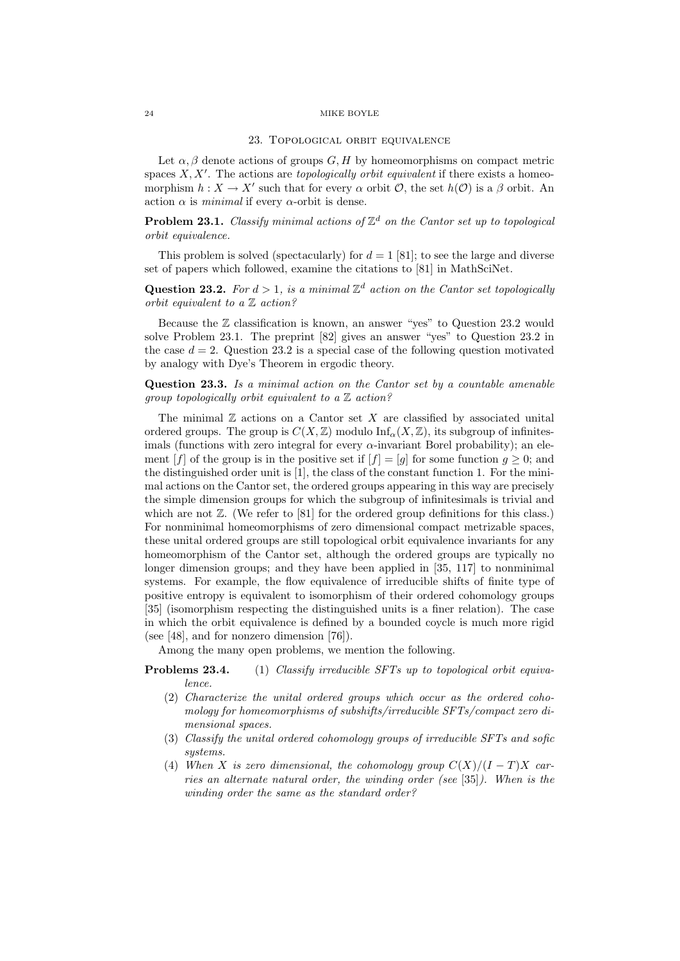#### 23. Topological orbit equivalence

Let  $\alpha$ ,  $\beta$  denote actions of groups  $G$ ,  $H$  by homeomorphisms on compact metric spaces  $X, X'$ . The actions are topologically orbit equivalent if there exists a homeomorphism  $h: X \to X'$  such that for every  $\alpha$  orbit  $\mathcal{O}$ , the set  $h(\mathcal{O})$  is a  $\beta$  orbit. An action  $\alpha$  is *minimal* if every  $\alpha$ -orbit is dense.

**Problem 23.1.** Classify minimal actions of  $\mathbb{Z}^d$  on the Cantor set up to topological orbit equivalence.

This problem is solved (spectacularly) for  $d = 1$  [81]; to see the large and diverse set of papers which followed, examine the citations to [81] in MathSciNet.

**Question 23.2.** For  $d > 1$ , is a minimal  $\mathbb{Z}^d$  action on the Cantor set topologically orbit equivalent to a Z action?

Because the  $\mathbb Z$  classification is known, an answer "yes" to Question 23.2 would solve Problem 23.1. The preprint [82] gives an answer "yes" to Question 23.2 in the case  $d = 2$ . Question 23.2 is a special case of the following question motivated by analogy with Dye's Theorem in ergodic theory.

Question 23.3. Is a minimal action on the Cantor set by a countable amenable group topologically orbit equivalent to a  $\mathbb Z$  action?

The minimal  $\mathbb Z$  actions on a Cantor set X are classified by associated unital ordered groups. The group is  $C(X, \mathbb{Z})$  modulo  $\text{Inf}_{\alpha}(X, \mathbb{Z})$ , its subgroup of infinitesimals (functions with zero integral for every  $\alpha$ -invariant Borel probability); an element [f] of the group is in the positive set if  $[f] = [g]$  for some function  $g \geq 0$ ; and the distinguished order unit is [1], the class of the constant function 1. For the minimal actions on the Cantor set, the ordered groups appearing in this way are precisely the simple dimension groups for which the subgroup of infinitesimals is trivial and which are not  $\mathbb{Z}$ . (We refer to [81] for the ordered group definitions for this class.) For nonminimal homeomorphisms of zero dimensional compact metrizable spaces, these unital ordered groups are still topological orbit equivalence invariants for any homeomorphism of the Cantor set, although the ordered groups are typically no longer dimension groups; and they have been applied in [35, 117] to nonminimal systems. For example, the flow equivalence of irreducible shifts of finite type of positive entropy is equivalent to isomorphism of their ordered cohomology groups [35] (isomorphism respecting the distinguished units is a finer relation). The case in which the orbit equivalence is defined by a bounded coycle is much more rigid (see [48], and for nonzero dimension [76]).

Among the many open problems, we mention the following.

- Problems 23.4. (1) Classify irreducible SFTs up to topological orbit equivalence.
	- (2) Characterize the unital ordered groups which occur as the ordered cohomology for homeomorphisms of subshifts/irreducible SFTs/compact zero dimensional spaces.
	- (3) Classify the unital ordered cohomology groups of irreducible SFTs and sofic systems.
	- (4) When X is zero dimensional, the cohomology group  $C(X)/(I-T)X$  carries an alternate natural order, the winding order (see [35]). When is the winding order the same as the standard order?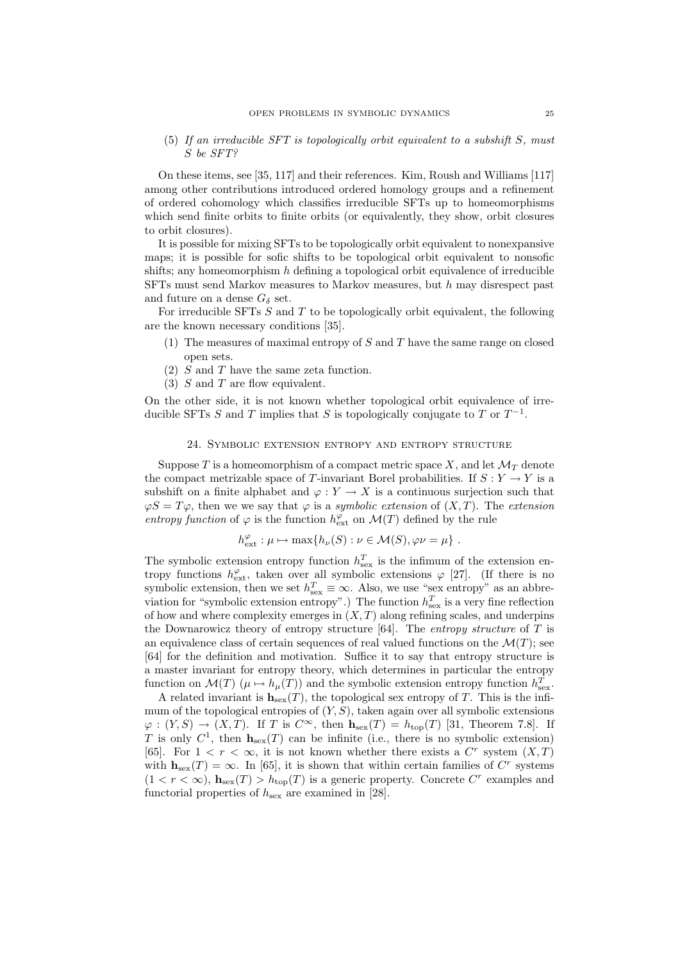(5) If an irreducible SFT is topologically orbit equivalent to a subshift S, must S be SFT?

On these items, see [35, 117] and their references. Kim, Roush and Williams [117] among other contributions introduced ordered homology groups and a refinement of ordered cohomology which classifies irreducible SFTs up to homeomorphisms which send finite orbits to finite orbits (or equivalently, they show, orbit closures to orbit closures).

It is possible for mixing SFTs to be topologically orbit equivalent to nonexpansive maps; it is possible for sofic shifts to be topological orbit equivalent to nonsofic shifts; any homeomorphism  $h$  defining a topological orbit equivalence of irreducible SFTs must send Markov measures to Markov measures, but h may disrespect past and future on a dense  $G_{\delta}$  set.

For irreducible SFTs  $S$  and  $T$  to be topologically orbit equivalent, the following are the known necessary conditions [35].

- (1) The measures of maximal entropy of  $S$  and  $T$  have the same range on closed open sets.
- $(2)$  S and T have the same zeta function.
- $(3)$  S and T are flow equivalent.

On the other side, it is not known whether topological orbit equivalence of irreducible SFTs S and T implies that S is topologically conjugate to T or  $T^{-1}$ .

## 24. Symbolic extension entropy and entropy structure

Suppose T is a homeomorphism of a compact metric space X, and let  $\mathcal{M}_T$  denote the compact metrizable space of T-invariant Borel probabilities. If  $S: Y \to Y$  is a subshift on a finite alphabet and  $\varphi: Y \to X$  is a continuous surjection such that  $\varphi S = T\varphi$ , then we we say that  $\varphi$  is a symbolic extension of  $(X, T)$ . The extension entropy function of  $\varphi$  is the function  $h_{\text{ext}}^{\varphi}$  on  $\mathcal{M}(T)$  defined by the rule

$$
h_{\text{ext}}^{\varphi} : \mu \mapsto \max\{h_{\nu}(S) : \nu \in \mathcal{M}(S), \varphi \nu = \mu\}.
$$

The symbolic extension entropy function  $h_{\text{sex}}^T$  is the infimum of the extension entropy functions  $h_{\text{ext}}^{\varphi}$ , taken over all symbolic extensions  $\varphi$  [27]. (If there is no symbolic extension, then we set  $h_{\text{sex}}^T \equiv \infty$ . Also, we use "sex entropy" as an abbreviation for "symbolic extension entropy".) The function  $h_{\text{sex}}^T$  is a very fine reflection of how and where complexity emerges in  $(X, T)$  along refining scales, and underpins the Downarowicz theory of entropy structure  $[64]$ . The entropy structure of T is an equivalence class of certain sequences of real valued functions on the  $\mathcal{M}(T)$ ; see [64] for the definition and motivation. Suffice it to say that entropy structure is a master invariant for entropy theory, which determines in particular the entropy function on  $\mathcal{M}(T)$  ( $\mu \mapsto h_{\mu}(T)$ ) and the symbolic extension entropy function  $h_{\text{sex}}^T$ .

A related invariant is  $h_{sex}(T)$ , the topological sex entropy of T. This is the infimum of the topological entropies of  $(Y, S)$ , taken again over all symbolic extensions  $\varphi: (Y, S) \to (X, T)$ . If T is  $C^{\infty}$ , then  $h_{\text{sex}}(T) = h_{\text{top}}(T)$  [31, Theorem 7.8]. If T is only  $C^1$ , then  $h_{\text{sex}}(T)$  can be infinite (i.e., there is no symbolic extension) [65]. For  $1 < r < \infty$ , it is not known whether there exists a  $C^r$  system  $(X,T)$ with  $h_{\text{sex}}(T) = \infty$ . In [65], it is shown that within certain families of  $C^r$  systems  $(1 < r < \infty)$ ,  $\mathbf{h}_{\text{sex}}(T) > h_{\text{top}}(T)$  is a generic property. Concrete C<sup>r</sup> examples and functorial properties of  $h_{\text{sex}}$  are examined in [28].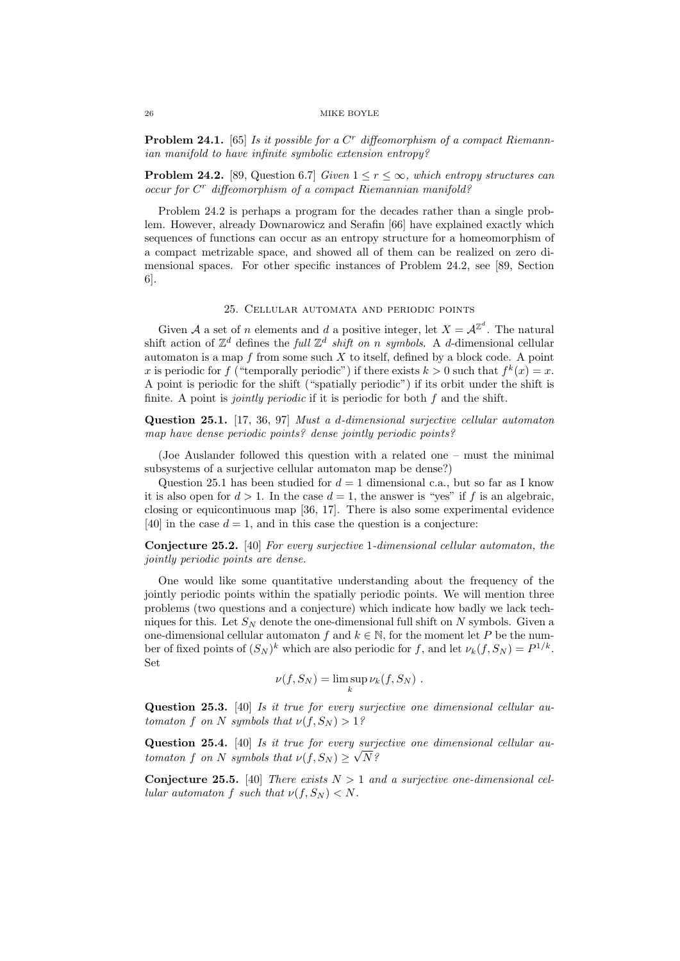**Problem 24.1.** [65] Is it possible for a  $C<sup>r</sup>$  diffeomorphism of a compact Riemannian manifold to have infinite symbolic extension entropy?

**Problem 24.2.** [89, Question 6.7] Given  $1 \leq r \leq \infty$ , which entropy structures can occur for C<sup>r</sup> diffeomorphism of a compact Riemannian manifold?

Problem 24.2 is perhaps a program for the decades rather than a single problem. However, already Downarowicz and Serafin [66] have explained exactly which sequences of functions can occur as an entropy structure for a homeomorphism of a compact metrizable space, and showed all of them can be realized on zero dimensional spaces. For other specific instances of Problem 24.2, see [89, Section 6].

# 25. Cellular automata and periodic points

Given A a set of n elements and d a positive integer, let  $X = \mathcal{A}^{\mathbb{Z}^d}$ . The natural shift action of  $\mathbb{Z}^d$  defines the *full*  $\mathbb{Z}^d$  *shift on n symbols.* A *d*-dimensional cellular automaton is a map  $f$  from some such  $X$  to itself, defined by a block code. A point x is periodic for f ("temporally periodic") if there exists  $k > 0$  such that  $f^k(x) = x$ . A point is periodic for the shift ("spatially periodic") if its orbit under the shift is finite. A point is *jointly periodic* if it is periodic for both  $f$  and the shift.

Question 25.1. [17, 36, 97] Must a d-dimensional surjective cellular automaton map have dense periodic points? dense jointly periodic points?

(Joe Auslander followed this question with a related one – must the minimal subsystems of a surjective cellular automaton map be dense?)

Question 25.1 has been studied for  $d = 1$  dimensional c.a., but so far as I know it is also open for  $d > 1$ . In the case  $d = 1$ , the answer is "yes" if f is an algebraic. closing or equicontinuous map [36, 17]. There is also some experimental evidence [40] in the case  $d = 1$ , and in this case the question is a conjecture:

Conjecture 25.2. [40] For every surjective 1-dimensional cellular automaton, the jointly periodic points are dense.

One would like some quantitative understanding about the frequency of the jointly periodic points within the spatially periodic points. We will mention three problems (two questions and a conjecture) which indicate how badly we lack techniques for this. Let  $S_N$  denote the one-dimensional full shift on N symbols. Given a one-dimensional cellular automaton f and  $k \in \mathbb{N}$ , for the moment let P be the number of fixed points of  $(S_N)^k$  which are also periodic for f, and let  $\nu_k(f, S_N) = P^{1/k}$ . Set

$$
\nu(f, S_N) = \limsup_k \nu_k(f, S_N) .
$$

Question 25.3. [40] Is it true for every surjective one dimensional cellular automaton f on N symbols that  $\nu(f, S_N) > 1$ ?

**Question 25.4.** [40] Is it true for every surjective one dimensional cellular automaton f on N symbols that  $\nu(f, S_N) \geq \sqrt{N}$ ?

**Conjecture 25.5.** [40] There exists  $N > 1$  and a surjective one-dimensional cellular automaton f such that  $\nu(f, S_N) < N$ .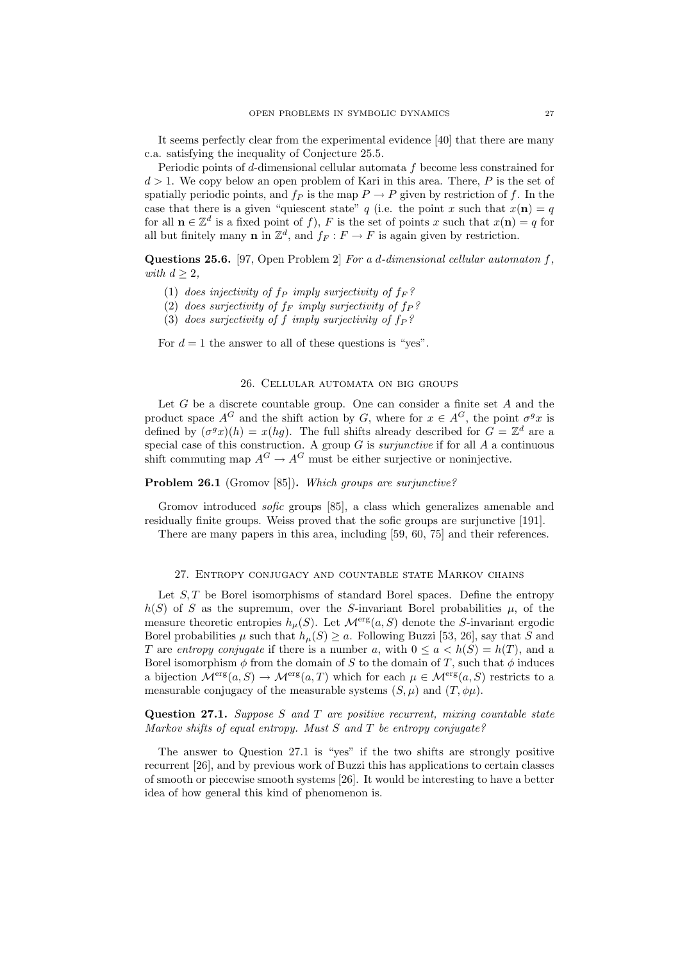It seems perfectly clear from the experimental evidence [40] that there are many c.a. satisfying the inequality of Conjecture 25.5.

Periodic points of d-dimensional cellular automata f become less constrained for  $d > 1$ . We copy below an open problem of Kari in this area. There, P is the set of spatially periodic points, and  $f_P$  is the map  $P \to P$  given by restriction of f. In the case that there is a given "quiescent state" q (i.e. the point x such that  $x(n) = q$ for all  $\mathbf{n} \in \mathbb{Z}^d$  is a fixed point of f), F is the set of points x such that  $x(\mathbf{n}) = q$  for all but finitely many **n** in  $\mathbb{Z}^d$ , and  $f_F : F \to F$  is again given by restriction.

Questions 25.6. [97, Open Problem 2] For a d-dimensional cellular automaton f, with  $d \geq 2$ ,

- (1) does injectivity of  $f_P$  imply surjectivity of  $f_F$ ?
- (2) does surjectivity of  $f_F$  imply surjectivity of  $f_P$ ?
- (3) does surjectivity of f imply surjectivity of  $f_P$ ?

For  $d = 1$  the answer to all of these questions is "yes".

# 26. Cellular automata on big groups

Let  $G$  be a discrete countable group. One can consider a finite set  $A$  and the product space  $A^G$  and the shift action by G, where for  $x \in A^G$ , the point  $\sigma^g x$  is defined by  $(\sigma^g x)(h) = x(hg)$ . The full shifts already described for  $G = \mathbb{Z}^d$  are a special case of this construction. A group  $G$  is *surjunctive* if for all  $A$  a continuous shift commuting map  $A^G \to A^G$  must be either surjective or noninjective.

# Problem 26.1 (Gromov [85]). Which groups are surjunctive?

Gromov introduced *sofic* groups [85], a class which generalizes amenable and residually finite groups. Weiss proved that the sofic groups are surjunctive [191].

There are many papers in this area, including [59, 60, 75] and their references.

#### 27. Entropy conjugacy and countable state Markov chains

Let  $S, T$  be Borel isomorphisms of standard Borel spaces. Define the entropy  $h(S)$  of S as the supremum, over the S-invariant Borel probabilities  $\mu$ , of the measure theoretic entropies  $h_\mu(S)$ . Let  $\mathcal{M}^{\text{erg}}(a, S)$  denote the S-invariant ergodic Borel probabilities  $\mu$  such that  $h_{\mu}(S) \geq a$ . Following Buzzi [53, 26], say that S and T are entropy conjugate if there is a number a, with  $0 \le a \le h(S) = h(T)$ , and a Borel isomorphism  $\phi$  from the domain of S to the domain of T, such that  $\phi$  induces a bijection  $\mathcal{M}^{erg}(a, S) \to \mathcal{M}^{erg}(a, T)$  which for each  $\mu \in \mathcal{M}^{erg}(a, S)$  restricts to a measurable conjugacy of the measurable systems  $(S, \mu)$  and  $(T, \phi\mu)$ .

Question 27.1. Suppose  $S$  and  $T$  are positive recurrent, mixing countable state Markov shifts of equal entropy. Must S and T be entropy conjugate?

The answer to Question 27.1 is "yes" if the two shifts are strongly positive recurrent [26], and by previous work of Buzzi this has applications to certain classes of smooth or piecewise smooth systems [26]. It would be interesting to have a better idea of how general this kind of phenomenon is.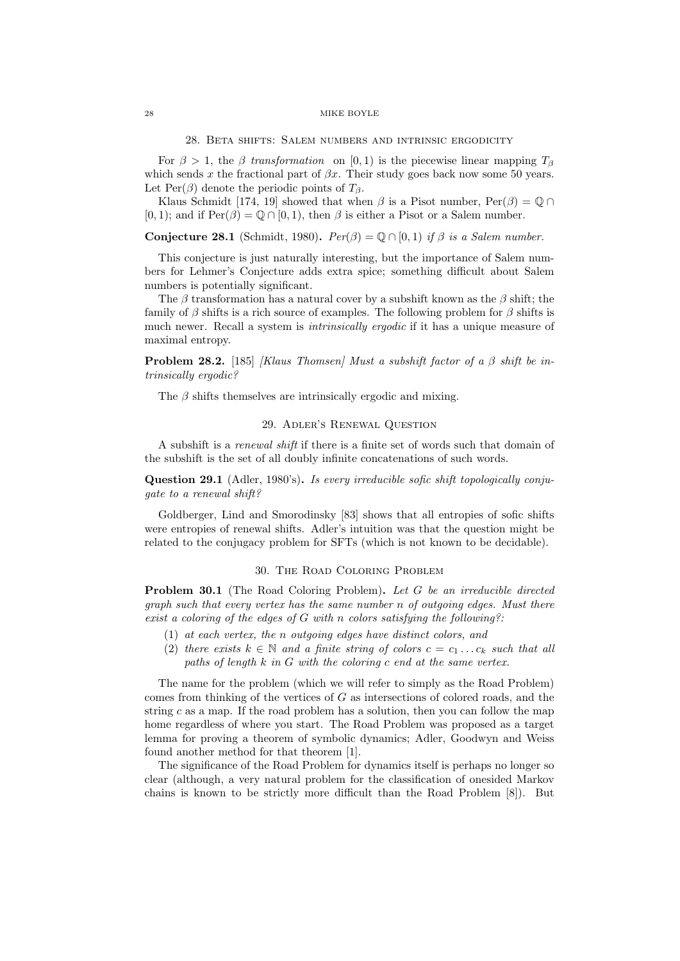#### 28. Beta shifts: Salem numbers and intrinsic ergodicity

For  $\beta > 1$ , the  $\beta$  transformation on [0, 1] is the piecewise linear mapping  $T_{\beta}$ which sends x the fractional part of  $\beta x$ . Their study goes back now some 50 years. Let Per( $\beta$ ) denote the periodic points of  $T_{\beta}$ .

Klaus Schmidt [174, 19] showed that when  $\beta$  is a Pisot number,  $\text{Per}(\beta) = \mathbb{O} \cap$ [0, 1]; and if  $Per(\beta) = \mathbb{Q} \cap [0, 1)$ , then  $\beta$  is either a Pisot or a Salem number.

**Conjecture 28.1** (Schmidt, 1980).  $Per(\beta) = \mathbb{Q} \cap [0,1)$  if  $\beta$  is a Salem number.

This conjecture is just naturally interesting, but the importance of Salem numbers for Lehmer's Conjecture adds extra spice; something difficult about Salem numbers is potentially significant.

The  $\beta$  transformation has a natural cover by a subshift known as the  $\beta$  shift; the family of  $\beta$  shifts is a rich source of examples. The following problem for  $\beta$  shifts is much newer. Recall a system is *intrinsically ergodic* if it has a unique measure of maximal entropy.

**Problem 28.2.** [185] *[Klaus Thomsen] Must a subshift factor of a β shift be in*trinsically ergodic?

The  $\beta$  shifts themselves are intrinsically ergodic and mixing.

# 29. Adler's Renewal Question

A subshift is a renewal shift if there is a finite set of words such that domain of the subshift is the set of all doubly infinite concatenations of such words.

Question 29.1 (Adler, 1980's). Is every irreducible sofic shift topologically conjugate to a renewal shift?

Goldberger, Lind and Smorodinsky [83] shows that all entropies of sofic shifts were entropies of renewal shifts. Adler's intuition was that the question might be related to the conjugacy problem for SFTs (which is not known to be decidable).

# 30. The Road Coloring Problem

**Problem 30.1** (The Road Coloring Problem). Let G be an irreducible directed graph such that every vertex has the same number n of outgoing edges. Must there exist a coloring of the edges of  $G$  with n colors satisfying the following?:

- (1) at each vertex, the n outgoing edges have distinct colors, and
- (2) there exists  $k \in \mathbb{N}$  and a finite string of colors  $c = c_1 \ldots c_k$  such that all paths of length  $k$  in  $G$  with the coloring  $c$  end at the same vertex.

The name for the problem (which we will refer to simply as the Road Problem) comes from thinking of the vertices of G as intersections of colored roads, and the string  $c$  as a map. If the road problem has a solution, then you can follow the map home regardless of where you start. The Road Problem was proposed as a target lemma for proving a theorem of symbolic dynamics; Adler, Goodwyn and Weiss found another method for that theorem [1].

The significance of the Road Problem for dynamics itself is perhaps no longer so clear (although, a very natural problem for the classification of onesided Markov chains is known to be strictly more difficult than the Road Problem [8]). But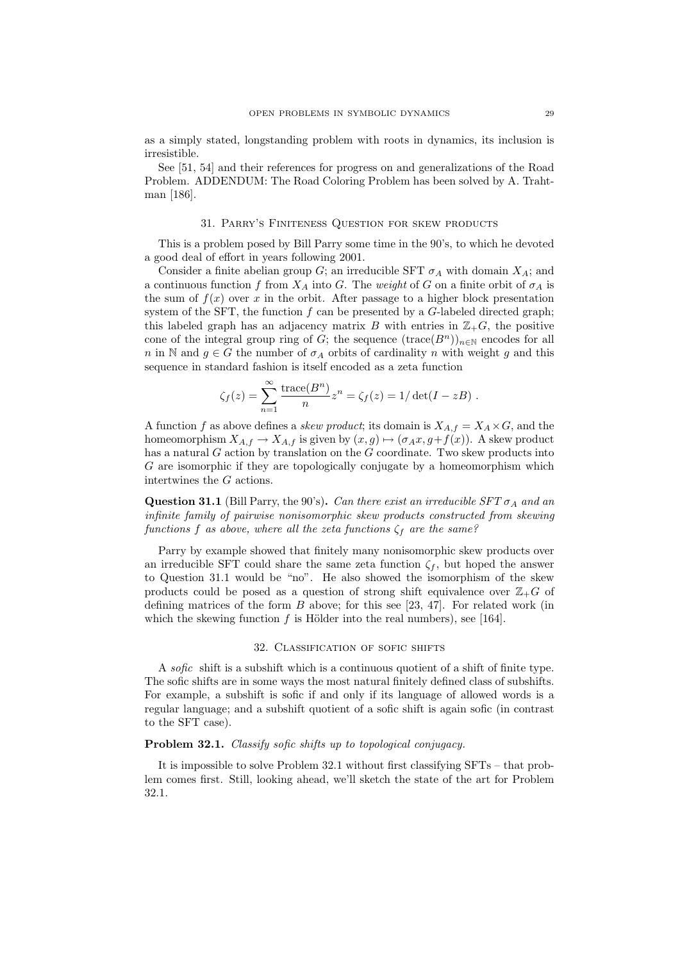as a simply stated, longstanding problem with roots in dynamics, its inclusion is irresistible.

See [51, 54] and their references for progress on and generalizations of the Road Problem. ADDENDUM: The Road Coloring Problem has been solved by A. Trahtman [186].

### 31. Parry's Finiteness Question for skew products

This is a problem posed by Bill Parry some time in the 90's, to which he devoted a good deal of effort in years following 2001.

Consider a finite abelian group G; an irreducible SFT  $\sigma_A$  with domain  $X_A$ ; and a continuous function f from  $X_A$  into G. The weight of G on a finite orbit of  $\sigma_A$  is the sum of  $f(x)$  over x in the orbit. After passage to a higher block presentation system of the SFT, the function  $f$  can be presented by a  $G$ -labeled directed graph; this labeled graph has an adjacency matrix B with entries in  $\mathbb{Z}_+G$ , the positive cone of the integral group ring of G; the sequence  $(\text{trace}(B^n))_{n\in\mathbb{N}}$  encodes for all n in N and  $g \in G$  the number of  $\sigma_A$  orbits of cardinality n with weight g and this sequence in standard fashion is itself encoded as a zeta function

$$
\zeta_f(z) = \sum_{n=1}^{\infty} \frac{\text{trace}(B^n)}{n} z^n = \zeta_f(z) = 1/\det(I - zB) .
$$

A function f as above defines a *skew product*; its domain is  $X_{A,f} = X_A \times G$ , and the homeomorphism  $X_{A,f} \to X_{A,f}$  is given by  $(x,g) \mapsto (\sigma_A x, g+f(x))$ . A skew product has a natural  $G$  action by translation on the  $G$  coordinate. Two skew products into G are isomorphic if they are topologically conjugate by a homeomorphism which intertwines the G actions.

**Question 31.1** (Bill Parry, the 90's). Can there exist an irreducible  $SFT \sigma_A$  and an infinite family of pairwise nonisomorphic skew products constructed from skewing functions f as above, where all the zeta functions  $\zeta_f$  are the same?

Parry by example showed that finitely many nonisomorphic skew products over an irreducible SFT could share the same zeta function  $\zeta_f$ , but hoped the answer to Question 31.1 would be "no". He also showed the isomorphism of the skew products could be posed as a question of strong shift equivalence over  $\mathbb{Z}_+G$  of defining matrices of the form  $B$  above; for this see [23, 47]. For related work (in which the skewing function  $f$  is Hölder into the real numbers), see [164].

### 32. Classification of sofic shifts

A sofic shift is a subshift which is a continuous quotient of a shift of finite type. The sofic shifts are in some ways the most natural finitely defined class of subshifts. For example, a subshift is sofic if and only if its language of allowed words is a regular language; and a subshift quotient of a sofic shift is again sofic (in contrast to the SFT case).

# Problem 32.1. Classify sofic shifts up to topological conjugacy.

It is impossible to solve Problem 32.1 without first classifying SFTs – that problem comes first. Still, looking ahead, we'll sketch the state of the art for Problem 32.1.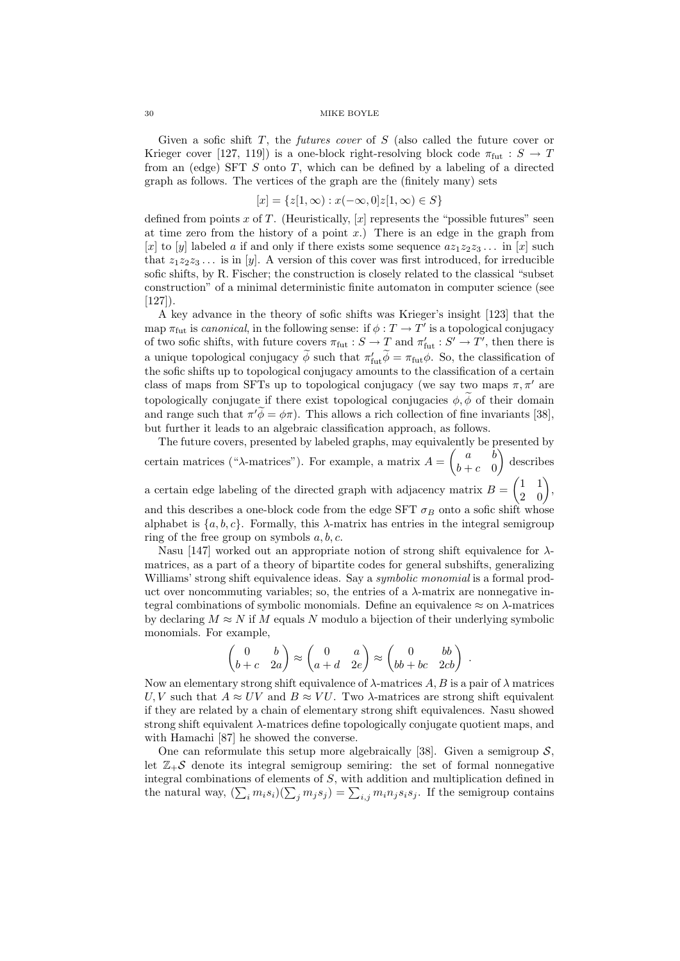Given a sofic shift  $T$ , the *futures cover* of  $S$  (also called the future cover or Krieger cover [127, 119]) is a one-block right-resolving block code  $\pi_{\text{fut}} : S \to T$ from an (edge) SFT  $S$  onto  $T$ , which can be defined by a labeling of a directed graph as follows. The vertices of the graph are the (finitely many) sets

$$
[x] = \{z[1,\infty) : x(-\infty,0]z[1,\infty) \in S\}
$$

defined from points x of T. (Heuristically,  $[x]$  represents the "possible futures" seen at time zero from the history of a point  $x$ .) There is an edge in the graph from [x] to [y] labeled a if and only if there exists some sequence  $az_1z_2z_3...$  in [x] such that  $z_1z_2z_3...$  is in [y]. A version of this cover was first introduced, for irreducible sofic shifts, by R. Fischer; the construction is closely related to the classical "subset construction" of a minimal deterministic finite automaton in computer science (see  $[127]$ ).

A key advance in the theory of sofic shifts was Krieger's insight [123] that the map  $\pi_{\text{fut}}$  is canonical, in the following sense: if  $\phi: T \to T'$  is a topological conjugacy of two sofic shifts, with future covers  $\pi_{\text{fut}} : S \to T$  and  $\pi'_{\text{fut}} : S' \to T'$ , then there is a unique topological conjugacy  $\phi$  such that  $\pi'_{\text{fut}}\phi = \pi_{\text{fut}}\phi$ . So, the classification of the sofic shifts up to topological conjugacy amounts to the classification of a certain class of maps from SFTs up to topological conjugacy (we say two maps  $\pi, \pi'$  are topologically conjugate if there exist topological conjugacies  $\phi$ ,  $\widetilde{\phi}$  of their domain and range such that  $\pi' \tilde{\phi} = \phi \pi$ ). This allows a rich collection of fine invariants [38], but further it leads to an algebraic classification approach, as follows.

The future covers, presented by labeled graphs, may equivalently be presented by certain matrices (" $\lambda$ -matrices"). For example, a matrix  $A = \begin{pmatrix} a & b \\ b & c \end{pmatrix}$  $b+c$  0 describes a certain edge labeling of the directed graph with adjacency matrix  $B = \begin{pmatrix} 1 & 1 \\ 2 & 0 \end{pmatrix}$ , and this describes a one-block code from the edge SFT  $\sigma_B$  onto a sofic shift whose alphabet is  $\{a, b, c\}$ . Formally, this  $\lambda$ -matrix has entries in the integral semigroup ring of the free group on symbols  $a, b, c$ .

Nasu [147] worked out an appropriate notion of strong shift equivalence for  $\lambda$ matrices, as a part of a theory of bipartite codes for general subshifts, generalizing Williams' strong shift equivalence ideas. Say a *symbolic monomial* is a formal product over noncommuting variables; so, the entries of a  $\lambda$ -matrix are nonnegative integral combinations of symbolic monomials. Define an equivalence  $\approx$  on  $\lambda$ -matrices by declaring  $M \approx N$  if M equals N modulo a bijection of their underlying symbolic monomials. For example,

$$
\begin{pmatrix} 0 & b \\ b+c & 2a \end{pmatrix} \approx \begin{pmatrix} 0 & a \\ a+d & 2e \end{pmatrix} \approx \begin{pmatrix} 0 & bb \\ bb+bc & 2cb \end{pmatrix} .
$$

Now an elementary strong shift equivalence of  $\lambda$ -matrices A, B is a pair of  $\lambda$  matrices U, V such that  $A \approx UV$  and  $B \approx VU$ . Two  $\lambda$ -matrices are strong shift equivalent if they are related by a chain of elementary strong shift equivalences. Nasu showed strong shift equivalent  $\lambda$ -matrices define topologically conjugate quotient maps, and with Hamachi [87] he showed the converse.

One can reformulate this setup more algebraically [38]. Given a semigroup  $S$ , let  $\mathbb{Z}_+$ S denote its integral semigroup semiring: the set of formal nonnegative integral combinations of elements of S, with addition and multiplication defined in the natural way,  $(\sum_i m_i s_i)(\sum_j m_j s_j) = \sum_{i,j} m_i n_j s_i s_j$ . If the semigroup contains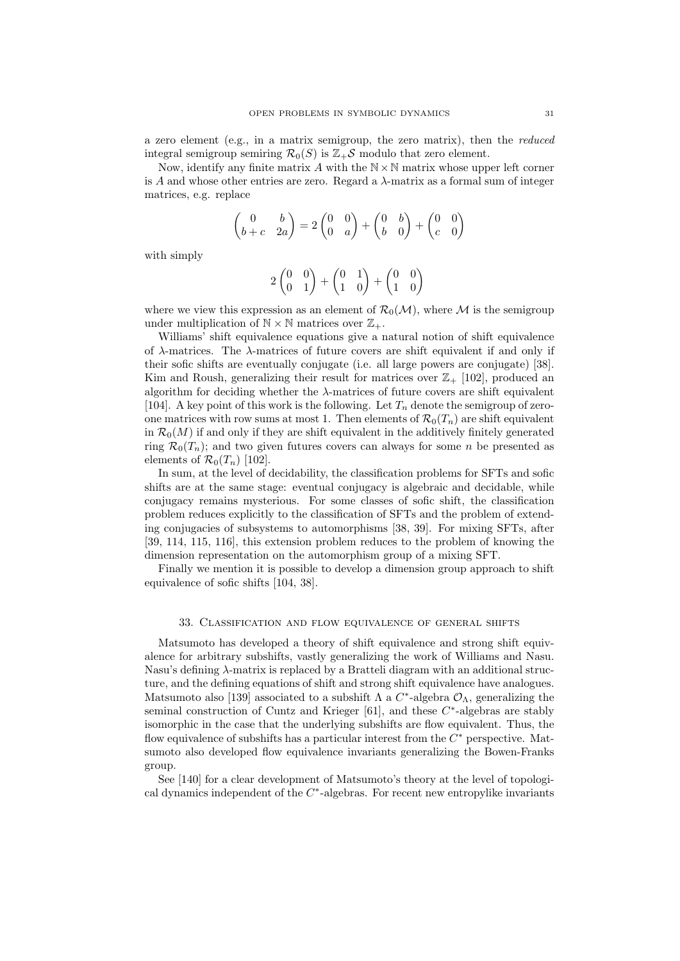a zero element (e.g., in a matrix semigroup, the zero matrix), then the reduced integral semigroup semiring  $\mathcal{R}_0(S)$  is  $\mathbb{Z}_+\mathcal{S}$  modulo that zero element.

Now, identify any finite matrix  $A$  with the  $\mathbb{N}\times\mathbb{N}$  matrix whose upper left corner is A and whose other entries are zero. Regard a  $\lambda$ -matrix as a formal sum of integer matrices, e.g. replace

$$
\begin{pmatrix} 0 & b \ b+c & 2a \end{pmatrix} = 2 \begin{pmatrix} 0 & 0 \ 0 & a \end{pmatrix} + \begin{pmatrix} 0 & b \ b & 0 \end{pmatrix} + \begin{pmatrix} 0 & 0 \ c & 0 \end{pmatrix}
$$

with simply

$$
2\begin{pmatrix}0&0\\0&1\end{pmatrix}+\begin{pmatrix}0&1\\1&0\end{pmatrix}+\begin{pmatrix}0&0\\1&0\end{pmatrix}
$$

where we view this expression as an element of  $\mathcal{R}_0(\mathcal{M})$ , where M is the semigroup under multiplication of  $\mathbb{N} \times \mathbb{N}$  matrices over  $\mathbb{Z}_+$ .

Williams' shift equivalence equations give a natural notion of shift equivalence of  $\lambda$ -matrices. The  $\lambda$ -matrices of future covers are shift equivalent if and only if their sofic shifts are eventually conjugate (i.e. all large powers are conjugate) [38]. Kim and Roush, generalizing their result for matrices over  $\mathbb{Z}_+$  [102], produced an algorithm for deciding whether the  $\lambda$ -matrices of future covers are shift equivalent [104]. A key point of this work is the following. Let  $T_n$  denote the semigroup of zeroone matrices with row sums at most 1. Then elements of  $\mathcal{R}_0(T_n)$  are shift equivalent in  $\mathcal{R}_0(M)$  if and only if they are shift equivalent in the additively finitely generated ring  $\mathcal{R}_0(T_n)$ ; and two given futures covers can always for some *n* be presented as elements of  $\mathcal{R}_0(T_n)$  [102].

In sum, at the level of decidability, the classification problems for SFTs and sofic shifts are at the same stage: eventual conjugacy is algebraic and decidable, while conjugacy remains mysterious. For some classes of sofic shift, the classification problem reduces explicitly to the classification of SFTs and the problem of extending conjugacies of subsystems to automorphisms [38, 39]. For mixing SFTs, after [39, 114, 115, 116], this extension problem reduces to the problem of knowing the dimension representation on the automorphism group of a mixing SFT.

Finally we mention it is possible to develop a dimension group approach to shift equivalence of sofic shifts [104, 38].

# 33. Classification and flow equivalence of general shifts

Matsumoto has developed a theory of shift equivalence and strong shift equivalence for arbitrary subshifts, vastly generalizing the work of Williams and Nasu. Nasu's defining  $\lambda$ -matrix is replaced by a Bratteli diagram with an additional structure, and the defining equations of shift and strong shift equivalence have analogues. Matsumoto also [139] associated to a subshift  $\Lambda$  a  $C^*$ -algebra  $\mathcal{O}_{\Lambda}$ , generalizing the seminal construction of Cuntz and Krieger  $[61]$ , and these  $C^*$ -algebras are stably isomorphic in the case that the underlying subshifts are flow equivalent. Thus, the flow equivalence of subshifts has a particular interest from the  $C^*$  perspective. Matsumoto also developed flow equivalence invariants generalizing the Bowen-Franks group.

See [140] for a clear development of Matsumoto's theory at the level of topological dynamics independent of the  $C^*$ -algebras. For recent new entropylike invariants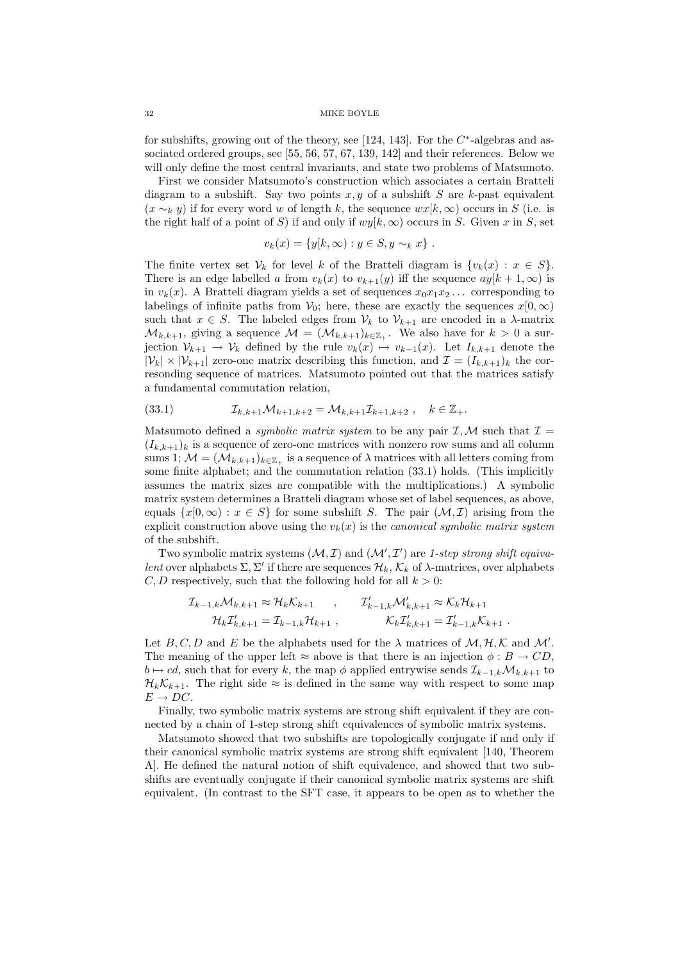for subshifts, growing out of the theory, see [124, 143]. For the  $C^*$ -algebras and associated ordered groups, see [55, 56, 57, 67, 139, 142] and their references. Below we will only define the most central invariants, and state two problems of Matsumoto.

First we consider Matsumoto's construction which associates a certain Bratteli diagram to a subshift. Say two points  $x, y$  of a subshift S are k-past equivalent  $(x \sim_k y)$  if for every word w of length k, the sequence  $wx[k,\infty)$  occurs in S (i.e. is the right half of a point of S) if and only if  $wy[k,\infty)$  occurs in S. Given x in S, set

$$
v_k(x) = \{y[k, \infty) : y \in S, y \sim_k x\}.
$$

The finite vertex set  $\mathcal{V}_k$  for level k of the Bratteli diagram is  $\{v_k(x): x \in S\}.$ There is an edge labelled a from  $v_k(x)$  to  $v_{k+1}(y)$  iff the sequence  $ay[k+1,\infty)$  is in  $v_k(x)$ . A Bratteli diagram yields a set of sequences  $x_0x_1x_2...$  corresponding to labelings of infinite paths from  $V_0$ ; here, these are exactly the sequences  $x[0,\infty)$ such that  $x \in S$ . The labeled edges from  $V_k$  to  $V_{k+1}$  are encoded in a  $\lambda$ -matrix  $\mathcal{M}_{k,k+1}$ , giving a sequence  $\mathcal{M} = (\mathcal{M}_{k,k+1})_{k \in \mathbb{Z}_+}$ . We also have for  $k > 0$  a surjection  $\mathcal{V}_{k+1} \to \mathcal{V}_k$  defined by the rule  $v_k(x) \mapsto v_{k-1}(x)$ . Let  $I_{k,k+1}$  denote the  $|\mathcal{V}_k| \times |\mathcal{V}_{k+1}|$  zero-one matrix describing this function, and  $\mathcal{I} = (I_{k,k+1})_k$  the corresonding sequence of matrices. Matsumoto pointed out that the matrices satisfy a fundamental commutation relation,

(33.1) 
$$
\mathcal{I}_{k,k+1}\mathcal{M}_{k+1,k+2} = \mathcal{M}_{k,k+1}\mathcal{I}_{k+1,k+2} ,\quad k \in \mathbb{Z}_{+}.
$$

Matsumoto defined a *symbolic matrix system* to be any pair  $I, M$  such that  $I =$  $(I_{k,k+1})_k$  is a sequence of zero-one matrices with nonzero row sums and all column sums 1;  $\mathcal{M} = (\mathcal{M}_{k,k+1})_{k \in \mathbb{Z}_+}$  is a sequence of  $\lambda$  matrices with all letters coming from some finite alphabet; and the commutation relation (33.1) holds. (This implicitly assumes the matrix sizes are compatible with the multiplications.) A symbolic matrix system determines a Bratteli diagram whose set of label sequences, as above, equals  $\{x[0,\infty): x \in S\}$  for some subshift S. The pair  $(\mathcal{M},\mathcal{I})$  arising from the explicit construction above using the  $v_k(x)$  is the *canonical symbolic matrix system* of the subshift.

Two symbolic matrix systems  $(M, \mathcal{I})$  and  $(M', \mathcal{I}')$  are 1-step strong shift equivalent over alphabets  $\Sigma, \Sigma'$  if there are sequences  $\mathcal{H}_k, \mathcal{K}_k$  of  $\lambda$ -matrices, over alphabets C, D respectively, such that the following hold for all  $k > 0$ :

$$
\mathcal{I}_{k-1,k}\mathcal{M}_{k,k+1} \approx \mathcal{H}_k \mathcal{K}_{k+1} , \qquad \mathcal{I}'_{k-1,k}\mathcal{M}'_{k,k+1} \approx \mathcal{K}_k \mathcal{H}_{k+1} \mathcal{H}_k \mathcal{I}'_{k,k+1} = \mathcal{I}_{k-1,k}\mathcal{H}_{k+1} , \qquad \mathcal{K}_k \mathcal{I}'_{k,k+1} = \mathcal{I}'_{k-1,k}\mathcal{K}_{k+1} .
$$

Let B, C, D and E be the alphabets used for the  $\lambda$  matrices of  $\mathcal{M}, \mathcal{H}, \mathcal{K}$  and  $\mathcal{M}'$ . The meaning of the upper left  $\approx$  above is that there is an injection  $\phi : B \to CD$ .  $b \mapsto cd$ , such that for every k, the map  $\phi$  applied entrywise sends  $\mathcal{I}_{k-1,k}\mathcal{M}_{k,k+1}$  to  $\mathcal{H}_k \mathcal{K}_{k+1}$ . The right side  $\approx$  is defined in the same way with respect to some map  $E \rightarrow DC.$ 

Finally, two symbolic matrix systems are strong shift equivalent if they are connected by a chain of 1-step strong shift equivalences of symbolic matrix systems.

Matsumoto showed that two subshifts are topologically conjugate if and only if their canonical symbolic matrix systems are strong shift equivalent [140, Theorem A]. He defined the natural notion of shift equivalence, and showed that two subshifts are eventually conjugate if their canonical symbolic matrix systems are shift equivalent. (In contrast to the SFT case, it appears to be open as to whether the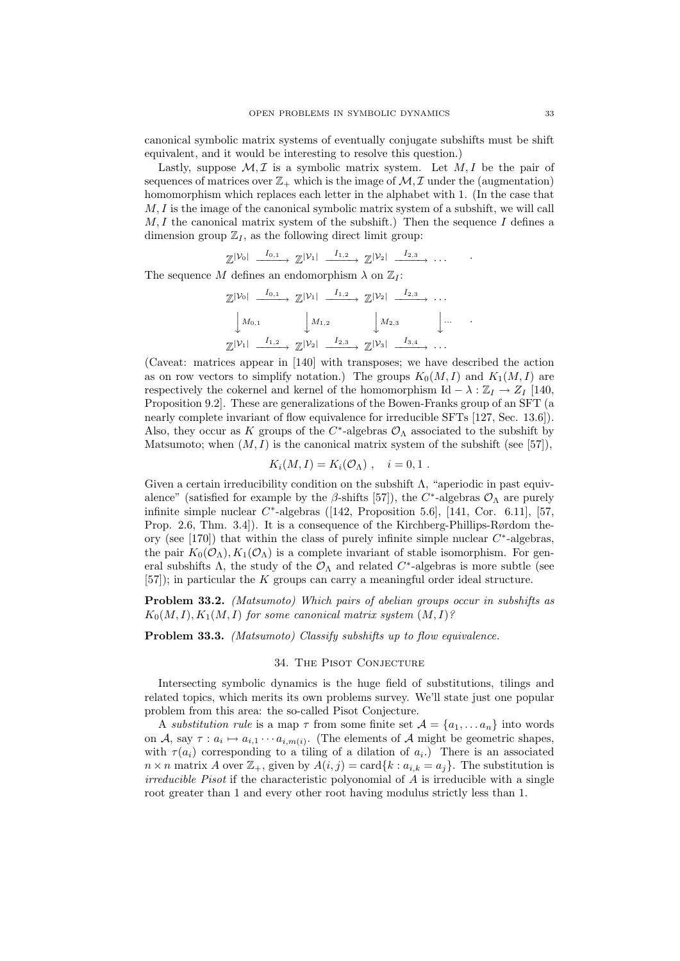canonical symbolic matrix systems of eventually conjugate subshifts must be shift equivalent, and it would be interesting to resolve this question.)

Lastly, suppose  $M, \mathcal{I}$  is a symbolic matrix system. Let  $M, I$  be the pair of sequences of matrices over  $\mathbb{Z}_+$  which is the image of  $\mathcal{M}, \mathcal{I}$  under the (augmentation) homomorphism which replaces each letter in the alphabet with 1. (In the case that  $M, I$  is the image of the canonical symbolic matrix system of a subshift, we will call  $M, I$  the canonical matrix system of the subshift.) Then the sequence I defines a dimension group  $\mathbb{Z}_I$ , as the following direct limit group:

$$
\mathbb{Z}^{|\mathcal{V}_0|} \xrightarrow{I_{0,1}} \mathbb{Z}^{|\mathcal{V}_1|} \xrightarrow{I_{1,2}} \mathbb{Z}^{|\mathcal{V}_2|} \xrightarrow{I_{2,3}} \cdots
$$

The sequence M defines an endomorphism  $\lambda$  on  $\mathbb{Z}_I$ :

$$
\mathbb{Z}^{|\mathcal{V}_0|} \xrightarrow{I_{0,1}} \mathbb{Z}^{|\mathcal{V}_1|} \xrightarrow{I_{1,2}} \mathbb{Z}^{|\mathcal{V}_2|} \xrightarrow{I_{2,3}} \cdots
$$

$$
\downarrow M_{0,1} \qquad \qquad \downarrow M_{1,2} \qquad \qquad \downarrow M_{2,3} \qquad \qquad \downarrow \cdots
$$

$$
\mathbb{Z}^{|\mathcal{V}_1|} \xrightarrow{I_{1,2}} \mathbb{Z}^{|\mathcal{V}_2|} \xrightarrow{I_{2,3}} \mathbb{Z}^{|\mathcal{V}_3|} \xrightarrow{I_{3,4}} \cdots
$$

(Caveat: matrices appear in [140] with transposes; we have described the action as on row vectors to simplify notation.) The groups  $K_0(M, I)$  and  $K_1(M, I)$  are respectively the cokernel and kernel of the homomorphism Id  $- \lambda : \mathbb{Z}_I \to Z_I$  [140, Proposition 9.2]. These are generalizations of the Bowen-Franks group of an SFT (a nearly complete invariant of flow equivalence for irreducible SFTs [127, Sec. 13.6]). Also, they occur as K groups of the  $C^*$ -algebras  $\mathcal{O}_{\Lambda}$  associated to the subshift by Matsumoto; when  $(M, I)$  is the canonical matrix system of the subshift (see [57]),

$$
K_i(M,I) = K_i(\mathcal{O}_\Lambda) , \quad i = 0,1 .
$$

Given a certain irreducibility condition on the subshift Λ, "aperiodic in past equivalence" (satisfied for example by the  $\beta$ -shifts [57]), the C<sup>\*</sup>-algebras  $\mathcal{O}_{\Lambda}$  are purely infinite simple nuclear  $C^*$ -algebras ([142, Proposition 5.6], [141, Cor. 6.11], [57, Prop. 2.6, Thm. 3.4]). It is a consequence of the Kirchberg-Phillips-Rørdom theory (see [170]) that within the class of purely infinite simple nuclear  $C^*$ -algebras, the pair  $K_0(\mathcal{O}_\Lambda), K_1(\mathcal{O}_\Lambda)$  is a complete invariant of stable isomorphism. For general subshifts  $\Lambda$ , the study of the  $\mathcal{O}_{\Lambda}$  and related  $C^*$ -algebras is more subtle (see  $[57]$ ; in particular the K groups can carry a meaningful order ideal structure.

**Problem 33.2.** (Matsumoto) Which pairs of abelian groups occur in subshifts as  $K_0(M, I), K_1(M, I)$  for some canonical matrix system  $(M, I)$ ?

**Problem 33.3.** (Matsumoto) Classify subshifts up to flow equivalence.

# 34. The Pisot Conjecture

Intersecting symbolic dynamics is the huge field of substitutions, tilings and related topics, which merits its own problems survey. We'll state just one popular problem from this area: the so-called Pisot Conjecture.

A substitution rule is a map  $\tau$  from some finite set  $\mathcal{A} = \{a_1, \ldots a_n\}$  into words on A, say  $\tau: a_i \mapsto a_{i,1} \cdots a_{i,m(i)}$ . (The elements of A might be geometric shapes, with  $\tau(a_i)$  corresponding to a tiling of a dilation of  $a_i$ .) There is an associated  $n \times n$  matrix A over  $\mathbb{Z}_+$ , given by  $A(i, j) = \text{card}\{k : a_{i,k} = a_j\}$ . The substitution is  $irreducible$  Pisot if the characteristic polyonomial of  $A$  is irreducible with a single root greater than 1 and every other root having modulus strictly less than 1.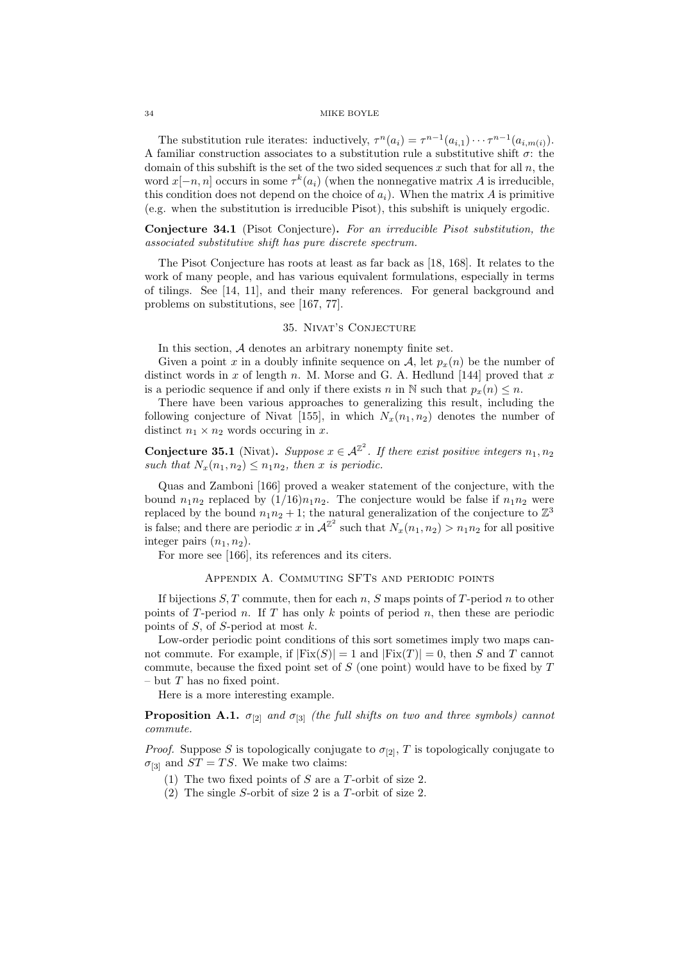The substitution rule iterates: inductively,  $\tau^n(a_i) = \tau^{n-1}(a_{i,1}) \cdots \tau^{n-1}(a_{i,m(i)})$ . A familiar construction associates to a substitution rule a substitutive shift  $\sigma$ : the domain of this subshift is the set of the two sided sequences  $x$  such that for all  $n$ , the word  $x[-n, n]$  occurs in some  $\tau^k(a_i)$  (when the nonnegative matrix A is irreducible, this condition does not depend on the choice of  $a_i$ ). When the matrix A is primitive (e.g. when the substitution is irreducible Pisot), this subshift is uniquely ergodic.

Conjecture 34.1 (Pisot Conjecture). For an irreducible Pisot substitution, the associated substitutive shift has pure discrete spectrum.

The Pisot Conjecture has roots at least as far back as [18, 168]. It relates to the work of many people, and has various equivalent formulations, especially in terms of tilings. See [14, 11], and their many references. For general background and problems on substitutions, see [167, 77].

## 35. Nivat's Conjecture

In this section, A denotes an arbitrary nonempty finite set.

Given a point x in a doubly infinite sequence on A, let  $p<sub>x</sub>(n)$  be the number of distinct words in x of length n. M. Morse and G. A. Hedlund [144] proved that x is a periodic sequence if and only if there exists n in N such that  $p_x(n) \leq n$ .

There have been various approaches to generalizing this result, including the following conjecture of Nivat [155], in which  $N_x(n_1, n_2)$  denotes the number of distinct  $n_1 \times n_2$  words occuring in x.

**Conjecture 35.1** (Nivat). Suppose  $x \in \mathcal{A}^{\mathbb{Z}^2}$ . If there exist positive integers  $n_1, n_2$ such that  $N_x(n_1, n_2) \leq n_1 n_2$ , then x is periodic.

Quas and Zamboni [166] proved a weaker statement of the conjecture, with the bound  $n_1n_2$  replaced by  $(1/16)n_1n_2$ . The conjecture would be false if  $n_1n_2$  were replaced by the bound  $n_1 n_2 + 1$ ; the natural generalization of the conjecture to  $\mathbb{Z}^3$ is false; and there are periodic x in  $\mathcal{A}^{\mathbb{Z}^2}$  such that  $N_x(n_1, n_2) > n_1 n_2$  for all positive integer pairs  $(n_1, n_2)$ .

For more see [166], its references and its citers.

# Appendix A. Commuting SFTs and periodic points

If bijections  $S, T$  commute, then for each n, S maps points of T-period n to other points of T-period n. If T has only k points of period n, then these are periodic points of  $S$ , of  $S$ -period at most  $k$ .

Low-order periodic point conditions of this sort sometimes imply two maps cannot commute. For example, if  $|Fix(S)| = 1$  and  $|Fix(T)| = 0$ , then S and T cannot commute, because the fixed point set of  $S$  (one point) would have to be fixed by  $T$ – but  $T$  has no fixed point.

Here is a more interesting example.

**Proposition A.1.**  $\sigma_{[2]}$  and  $\sigma_{[3]}$  (the full shifts on two and three symbols) cannot commute.

*Proof.* Suppose S is topologically conjugate to  $\sigma_{[2]}$ , T is topologically conjugate to  $\sigma_{[3]}$  and  $ST = TS$ . We make two claims:

- (1) The two fixed points of S are a T-orbit of size 2.
- (2) The single S-orbit of size 2 is a T-orbit of size 2.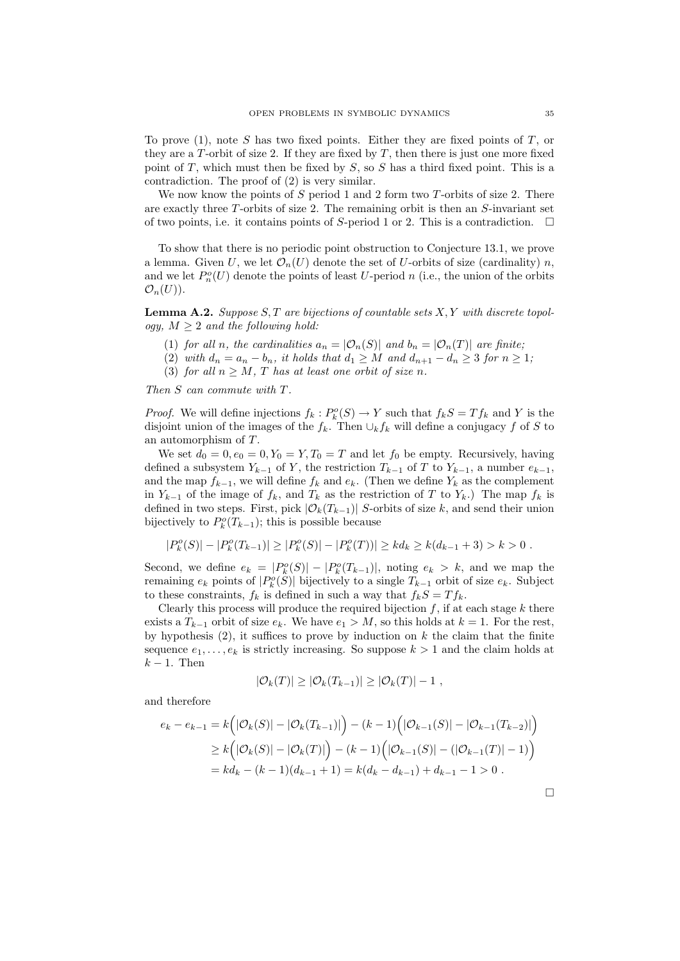To prove  $(1)$ , note S has two fixed points. Either they are fixed points of T, or they are a T-orbit of size 2. If they are fixed by  $T$ , then there is just one more fixed point of  $T$ , which must then be fixed by  $S$ , so  $S$  has a third fixed point. This is a contradiction. The proof of (2) is very similar.

We now know the points of S period 1 and 2 form two T-orbits of size 2. There are exactly three  $T$ -orbits of size 2. The remaining orbit is then an  $S$ -invariant set of two points, i.e. it contains points of S-period 1 or 2. This is a contradiction.  $\Box$ 

To show that there is no periodic point obstruction to Conjecture 13.1, we prove a lemma. Given U, we let  $\mathcal{O}_n(U)$  denote the set of U-orbits of size (cardinality) n, and we let  $P_n^o(U)$  denote the points of least U-period n (i.e., the union of the orbits  $\mathcal{O}_n(U)$ ).

**Lemma A.2.** Suppose  $S, T$  are bijections of countable sets  $X, Y$  with discrete topology,  $M \geq 2$  and the following hold:

- (1) for all n, the cardinalities  $a_n = |\mathcal{O}_n(S)|$  and  $b_n = |\mathcal{O}_n(T)|$  are finite;
- (2) with  $d_n = a_n b_n$ , it holds that  $d_1 \geq M$  and  $d_{n+1} d_n \geq 3$  for  $n \geq 1$ ;
- (3) for all  $n \geq M$ , T has at least one orbit of size n.

Then S can commute with T.

*Proof.* We will define injections  $f_k: P_k^o(S) \to Y$  such that  $f_kS = Tf_k$  and Y is the disjoint union of the images of the  $f_k$ . Then  $\cup_k f_k$  will define a conjugacy f of S to an automorphism of T.

We set  $d_0 = 0, e_0 = 0, Y_0 = Y, T_0 = T$  and let  $f_0$  be empty. Recursively, having defined a subsystem  $Y_{k-1}$  of Y, the restriction  $T_{k-1}$  of T to  $Y_{k-1}$ , a number  $e_{k-1}$ , and the map  $f_{k-1}$ , we will define  $f_k$  and  $e_k$ . (Then we define  $Y_k$  as the complement in  $Y_{k-1}$  of the image of  $f_k$ , and  $T_k$  as the restriction of T to  $Y_k$ .) The map  $f_k$  is defined in two steps. First, pick  $|\mathcal{O}_k(T_{k-1})|$  S-orbits of size k, and send their union bijectively to  $P_k^o(T_{k-1})$ ; this is possible because

$$
|P_k^o(S)| - |P_k^o(T_{k-1})| \ge |P_k^o(S)| - |P_k^o(T)| \ge kd_k \ge k(d_{k-1}+3) > k > 0.
$$

Second, we define  $e_k = |P_k^o(S)| - |P_k^o(T_{k-1})|$ , noting  $e_k > k$ , and we map the remaining  $e_k$  points of  $|P_k^o(S)|$  bijectively to a single  $T_{k-1}$  orbit of size  $e_k$ . Subject to these constraints,  $f_k$  is defined in such a way that  $f_kS = Tf_k$ .

Clearly this process will produce the required bijection  $f$ , if at each stage  $k$  there exists a  $T_{k-1}$  orbit of size  $e_k$ . We have  $e_1 > M$ , so this holds at  $k = 1$ . For the rest, by hypothesis  $(2)$ , it suffices to prove by induction on k the claim that the finite sequence  $e_1, \ldots, e_k$  is strictly increasing. So suppose  $k > 1$  and the claim holds at  $k-1$ . Then

$$
|\mathcal{O}_k(T)| \geq |\mathcal{O}_k(T_{k-1})| \geq |\mathcal{O}_k(T)| - 1,
$$

and therefore

$$
e_k - e_{k-1} = k(|\mathcal{O}_k(S)| - |\mathcal{O}_k(T_{k-1})|) - (k-1)(|\mathcal{O}_{k-1}(S)| - |\mathcal{O}_{k-1}(T_{k-2})|)
$$
  
\n
$$
\geq k(|\mathcal{O}_k(S)| - |\mathcal{O}_k(T)|) - (k-1)(|\mathcal{O}_{k-1}(S)| - (|\mathcal{O}_{k-1}(T)| - 1))
$$
  
\n
$$
= kd_k - (k-1)(d_{k-1} + 1) = k(d_k - d_{k-1}) + d_{k-1} - 1 > 0.
$$

 $\Box$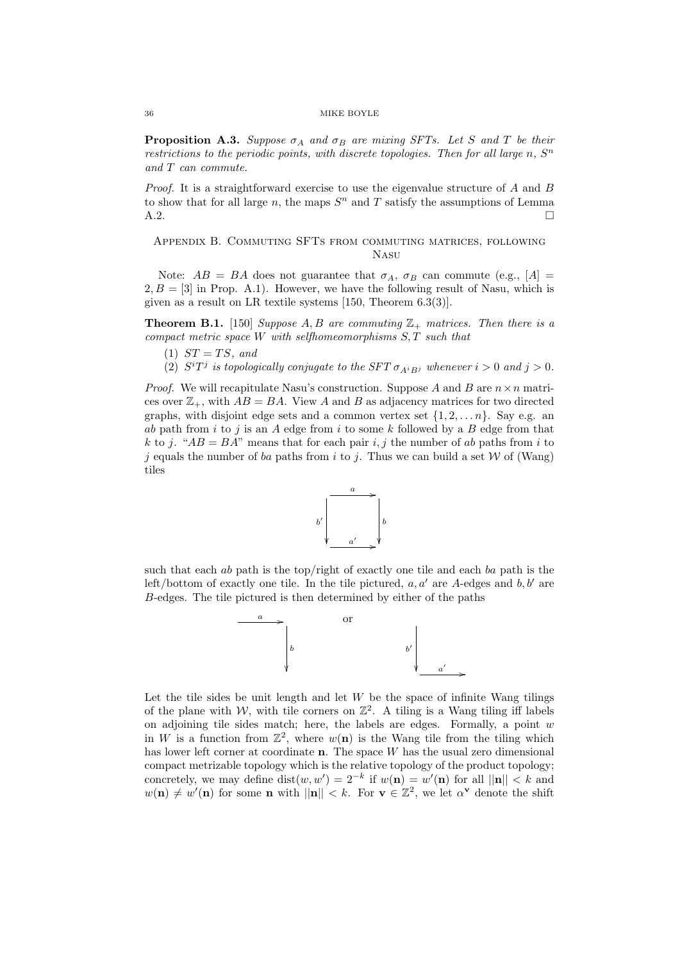**Proposition A.3.** Suppose  $\sigma_A$  and  $\sigma_B$  are mixing SFTs. Let S and T be their restrictions to the periodic points, with discrete topologies. Then for all large  $n$ ,  $S<sup>n</sup>$ and T can commute.

*Proof.* It is a straightforward exercise to use the eigenvalue structure of A and B to show that for all large n, the maps  $S<sup>n</sup>$  and T satisfy the assumptions of Lemma  $A.2.$ 

# Appendix B. Commuting SFTs from commuting matrices, following Nasu

Note:  $AB = BA$  does not guarantee that  $\sigma_A$ ,  $\sigma_B$  can commute (e.g., [A] =  $2, B = [3]$  in Prop. A.1). However, we have the following result of Nasu, which is given as a result on LR textile systems [150, Theorem 6.3(3)].

**Theorem B.1.** [150] Suppose A, B are commuting  $\mathbb{Z}_+$  matrices. Then there is a compact metric space  $W$  with selfhomeomorphisms  $S, T$  such that

- (1)  $ST = TS$ , and
- (2)  $S^{i}T^{j}$  is topologically conjugate to the SFT  $\sigma_{A^{i}B^{j}}$  whenever  $i > 0$  and  $j > 0$ .

*Proof.* We will recapitulate Nasu's construction. Suppose A and B are  $n \times n$  matrices over  $\mathbb{Z}_+$ , with  $AB = BA$ . View A and B as adjacency matrices for two directed graphs, with disjoint edge sets and a common vertex set  $\{1, 2, \ldots n\}$ . Say e.g. an ab path from i to j is an  $A$  edge from i to some  $k$  followed by a  $B$  edge from that k to j. " $AB = BA$ " means that for each pair i, j the number of ab paths from i to j equals the number of ba paths from i to j. Thus we can build a set  $W$  of (Wang) tiles



such that each ab path is the top/right of exactly one tile and each ba path is the left/bottom of exactly one tile. In the tile pictured,  $a, a'$  are A-edges and b, b' are B-edges. The tile pictured is then determined by either of the paths



Let the tile sides be unit length and let  $W$  be the space of infinite Wang tilings of the plane with W, with tile corners on  $\mathbb{Z}^2$ . A tiling is a Wang tiling iff labels on adjoining tile sides match; here, the labels are edges. Formally, a point  $w$ in W is a function from  $\mathbb{Z}^2$ , where  $w(n)$  is the Wang tile from the tiling which has lower left corner at coordinate **n**. The space W has the usual zero dimensional compact metrizable topology which is the relative topology of the product topology; concretely, we may define  $dist(w, w') = 2^{-k}$  if  $w(n) = w'(n)$  for all  $||n|| < k$  and  $w(\mathbf{n}) \neq w'(\mathbf{n})$  for some **n** with  $||\mathbf{n}|| < k$ . For  $\mathbf{v} \in \mathbb{Z}^2$ , we let  $\alpha^{\mathbf{v}}$  denote the shift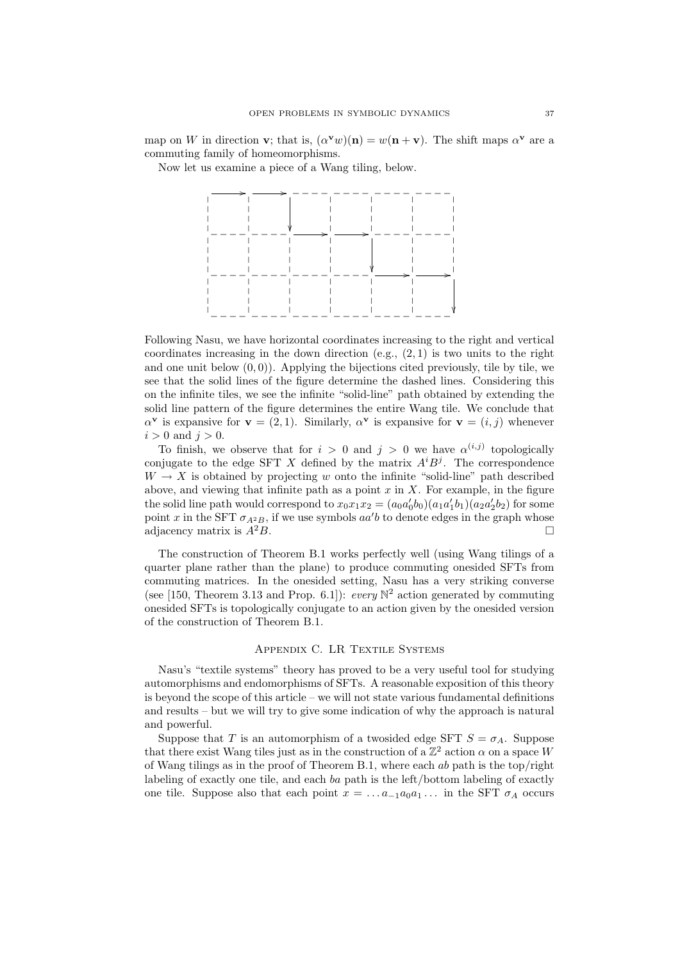map on W in direction **v**; that is,  $(\alpha^{\mathbf{v}} w)(\mathbf{n}) = w(\mathbf{n} + \mathbf{v})$ . The shift maps  $\alpha^{\mathbf{v}}$  are a commuting family of homeomorphisms.

Now let us examine a piece of a Wang tiling, below.



Following Nasu, we have horizontal coordinates increasing to the right and vertical coordinates increasing in the down direction  $(e.g., (2, 1))$  is two units to the right and one unit below  $(0, 0)$ ). Applying the bijections cited previously, tile by tile, we see that the solid lines of the figure determine the dashed lines. Considering this on the infinite tiles, we see the infinite "solid-line" path obtained by extending the solid line pattern of the figure determines the entire Wang tile. We conclude that  $\alpha^{\mathbf{v}}$  is expansive for  $\mathbf{v} = (2, 1)$ . Similarly,  $\alpha^{\mathbf{v}}$  is expansive for  $\mathbf{v} = (i, j)$  whenever  $i > 0$  and  $j > 0$ .

To finish, we observe that for  $i > 0$  and  $j > 0$  we have  $\alpha^{(i,j)}$  topologically conjugate to the edge SFT X defined by the matrix  $A^{i}B^{j}$ . The correspondence  $W \to X$  is obtained by projecting w onto the infinite "solid-line" path described above, and viewing that infinite path as a point  $x$  in  $X$ . For example, in the figure the solid line path would correspond to  $x_0x_1x_2 = (a_0a'_0b_0)(a_1a'_1b_1)(a_2a'_2b_2)$  for some point x in the SFT  $\sigma_{A^2B}$ , if we use symbols  $aa'b$  to denote edges in the graph whose adjacency matrix is  $A^2B$ .

The construction of Theorem B.1 works perfectly well (using Wang tilings of a quarter plane rather than the plane) to produce commuting onesided SFTs from commuting matrices. In the onesided setting, Nasu has a very striking converse (see [150, Theorem 3.13 and Prop. 6.1]): every  $\mathbb{N}^2$  action generated by commuting onesided SFTs is topologically conjugate to an action given by the onesided version of the construction of Theorem B.1.

## Appendix C. LR Textile Systems

Nasu's "textile systems" theory has proved to be a very useful tool for studying automorphisms and endomorphisms of SFTs. A reasonable exposition of this theory is beyond the scope of this article – we will not state various fundamental definitions and results – but we will try to give some indication of why the approach is natural and powerful.

Suppose that T is an automorphism of a twosided edge SFT  $S = \sigma_A$ . Suppose that there exist Wang tiles just as in the construction of a  $\mathbb{Z}^2$  action  $\alpha$  on a space W of Wang tilings as in the proof of Theorem B.1, where each ab path is the top/right labeling of exactly one tile, and each ba path is the left/bottom labeling of exactly one tile. Suppose also that each point  $x = \ldots a_{-1} a_0 a_1 \ldots$  in the SFT  $\sigma_A$  occurs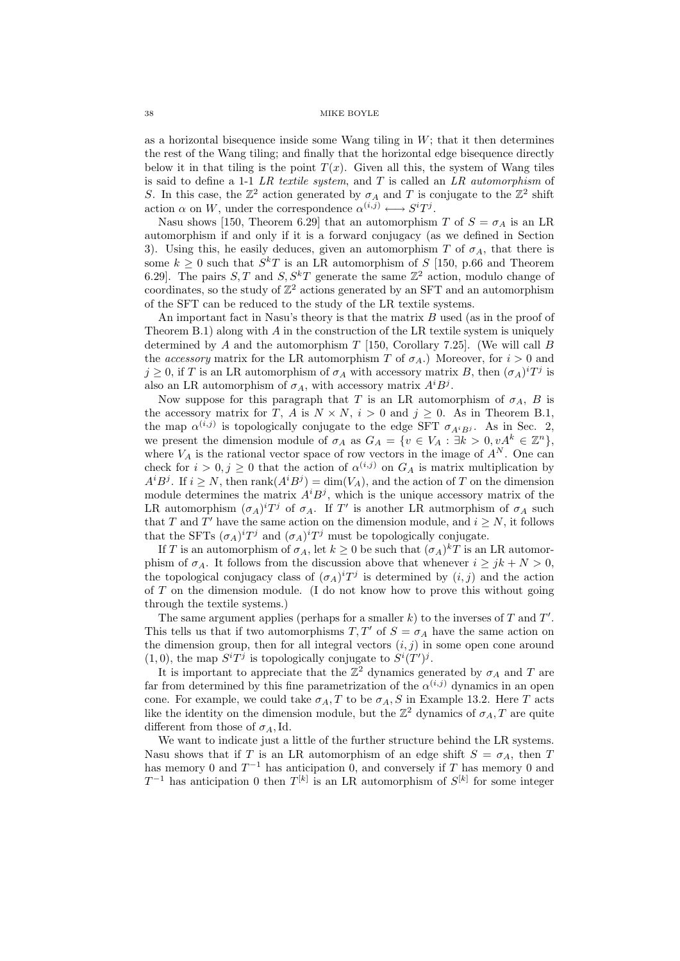as a horizontal bisequence inside some Wang tiling in  $W$ ; that it then determines the rest of the Wang tiling; and finally that the horizontal edge bisequence directly below it in that tiling is the point  $T(x)$ . Given all this, the system of Wang tiles is said to define a 1-1  $LR$  textile system, and  $T$  is called an  $LR$  automorphism of S. In this case, the  $\mathbb{Z}^2$  action generated by  $\sigma_A$  and T is conjugate to the  $\mathbb{Z}^2$  shift action  $\alpha$  on W, under the correspondence  $\alpha^{(i,j)} \longleftrightarrow S^i T^j$ .

Nasu shows [150, Theorem 6.29] that an automorphism T of  $S = \sigma_A$  is an LR automorphism if and only if it is a forward conjugacy (as we defined in Section 3). Using this, he easily deduces, given an automorphism T of  $\sigma_A$ , that there is some  $k \geq 0$  such that  $S^kT$  is an LR automorphism of S [150, p.66 and Theorem 6.29. The pairs  $S, T$  and  $S, S^k T$  generate the same  $\mathbb{Z}^2$  action, modulo change of coordinates, so the study of  $\mathbb{Z}^2$  actions generated by an SFT and an automorphism of the SFT can be reduced to the study of the LR textile systems.

An important fact in Nasu's theory is that the matrix B used (as in the proof of Theorem B.1) along with  $A$  in the construction of the LR textile system is uniquely determined by A and the automorphism  $T$  [150, Corollary 7.25]. (We will call B the accessory matrix for the LR automorphism T of  $\sigma_A$ .) Moreover, for  $i > 0$  and  $j \geq 0$ , if T is an LR automorphism of  $\sigma_A$  with accessory matrix B, then  $(\sigma_A)^i T^j$  is also an LR automorphism of  $\sigma_A$ , with accessory matrix  $A^i B^j$ .

Now suppose for this paragraph that T is an LR automorphism of  $\sigma_A$ , B is the accessory matrix for T, A is  $N \times N$ ,  $i > 0$  and  $j \ge 0$ . As in Theorem B.1, the map  $\alpha^{(i,j)}$  is topologically conjugate to the edge SFT  $\sigma_{A^iB^j}$ . As in Sec. 2, we present the dimension module of  $\sigma_A$  as  $G_A = \{v \in V_A : \exists k > 0, vA^k \in \mathbb{Z}^n\},\$ where  $V_A$  is the rational vector space of row vectors in the image of  $A^N$ . One can check for  $i > 0, j \geq 0$  that the action of  $\alpha^{(i,j)}$  on  $G_A$  is matrix multiplication by  $A^i B^j$ . If  $i \geq N$ , then rank $(A^i B^j) = \dim(V_A)$ , and the action of T on the dimension module determines the matrix  $A^{i}B^{j}$ , which is the unique accessory matrix of the LR automorphism  $(\sigma_A)^i T^j$  of  $\sigma_A$ . If T' is another LR autmorphism of  $\sigma_A$  such that T and T' have the same action on the dimension module, and  $i \geq N$ , it follows that the SFTs  $(\sigma_A)^i T^j$  and  $(\sigma_A)^i T^j$  must be topologically conjugate.

If T is an automorphism of  $\sigma_A$ , let  $k \geq 0$  be such that  $(\sigma_A)^k T$  is an LR automorphism of  $\sigma_A$ . It follows from the discussion above that whenever  $i \geq jk + N > 0$ , the topological conjugacy class of  $(\sigma_A)^i T^j$  is determined by  $(i, j)$  and the action of  $T$  on the dimension module. (I do not know how to prove this without going through the textile systems.)

The same argument applies (perhaps for a smaller  $k$ ) to the inverses of  $T$  and  $T'$ . This tells us that if two automorphisms  $T, T'$  of  $S = \sigma_A$  have the same action on the dimension group, then for all integral vectors  $(i, j)$  in some open cone around  $(1,0)$ , the map  $S^{i}T^{j}$  is topologically conjugate to  $S^{i}(T')^{j}$ .

It is important to appreciate that the  $\mathbb{Z}^2$  dynamics generated by  $\sigma_A$  and T are far from determined by this fine parametrization of the  $\alpha^{(i,j)}$  dynamics in an open cone. For example, we could take  $\sigma_A$ , T to be  $\sigma_A$ , S in Example 13.2. Here T acts like the identity on the dimension module, but the  $\mathbb{Z}^2$  dynamics of  $\sigma_A$ , T are quite different from those of  $\sigma_A$ , Id.

We want to indicate just a little of the further structure behind the LR systems. Nasu shows that if T is an LR automorphism of an edge shift  $S = \sigma_A$ , then T has memory 0 and  $T^{-1}$  has anticipation 0, and conversely if T has memory 0 and  $T^{-1}$  has anticipation 0 then  $T^{[k]}$  is an LR automorphism of  $S^{[k]}$  for some integer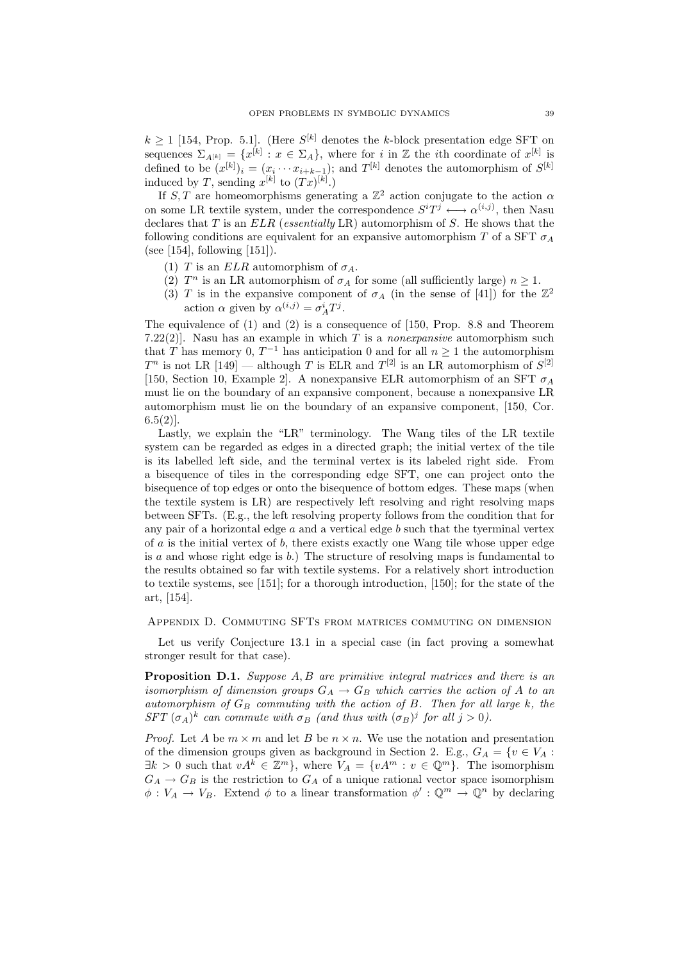$k \geq 1$  [154, Prop. 5.1]. (Here  $S^{[k]}$  denotes the k-block presentation edge SFT on sequences  $\Sigma_{A^{[k]}} = \{x^{[k]} : x \in \Sigma_A\}$ , where for i in Z the ith coordinate of  $x^{[k]}$  is defined to be  $(x^{[k]})_i = (x_i \cdots x_{i+k-1});$  and  $T^{[k]}$  denotes the automorphism of  $S^{[k]}$ induced by T, sending  $x^{[k]}$  to  $(Tx)^{[k]}$ .

If S, T are homeomorphisms generating a  $\mathbb{Z}^2$  action conjugate to the action  $\alpha$ on some LR textile system, under the correspondence  $S^{i}T^{j} \longleftrightarrow \alpha^{(i,j)}$ , then Nasu declares that  $T$  is an  $ELR$  (essentially LR) automorphism of  $S$ . He shows that the following conditions are equivalent for an expansive automorphism T of a SFT  $\sigma_A$ (see [154], following [151]).

- (1) T is an  $ELR$  automorphism of  $\sigma_A$ .
- (2)  $T^n$  is an LR automorphism of  $\sigma_A$  for some (all sufficiently large)  $n \geq 1$ .
- (3) T is in the expansive component of  $\sigma_A$  (in the sense of [41]) for the  $\mathbb{Z}^2$ action  $\alpha$  given by  $\alpha^{(i,j)} = \sigma_A^i T^j$ .

The equivalence of (1) and (2) is a consequence of [150, Prop. 8.8 and Theorem 7.22(2)]. Nasu has an example in which  $T$  is a *nonexpansive* automorphism such that T has memory 0,  $T^{-1}$  has anticipation 0 and for all  $n \geq 1$  the automorphism  $T^n$  is not LR [149] — although T is ELR and  $T^{[2]}$  is an LR automorphism of  $S^{[2]}$ [150, Section 10, Example 2]. A nonexpansive ELR automorphism of an SFT  $\sigma_A$ must lie on the boundary of an expansive component, because a nonexpansive LR automorphism must lie on the boundary of an expansive component, [150, Cor.  $6.5(2)$ ].

Lastly, we explain the "LR" terminology. The Wang tiles of the LR textile system can be regarded as edges in a directed graph; the initial vertex of the tile is its labelled left side, and the terminal vertex is its labeled right side. From a bisequence of tiles in the corresponding edge SFT, one can project onto the bisequence of top edges or onto the bisequence of bottom edges. These maps (when the textile system is LR) are respectively left resolving and right resolving maps between SFTs. (E.g., the left resolving property follows from the condition that for any pair of a horizontal edge  $a$  and a vertical edge  $b$  such that the tyerminal vertex of  $\alpha$  is the initial vertex of  $\beta$ , there exists exactly one Wang tile whose upper edge is a and whose right edge is  $b$ .) The structure of resolving maps is fundamental to the results obtained so far with textile systems. For a relatively short introduction to textile systems, see [151]; for a thorough introduction, [150]; for the state of the art, [154].

## Appendix D. Commuting SFTs from matrices commuting on dimension

Let us verify Conjecture 13.1 in a special case (in fact proving a somewhat stronger result for that case).

**Proposition D.1.** Suppose  $A, B$  are primitive integral matrices and there is an isomorphism of dimension groups  $G_A \rightarrow G_B$  which carries the action of A to an automorphism of  $G_B$  commuting with the action of  $B$ . Then for all large  $k$ , the SFT  $(\sigma_A)^k$  can commute with  $\sigma_B$  (and thus with  $(\sigma_B)^j$  for all  $j > 0$ ).

*Proof.* Let A be  $m \times m$  and let B be  $n \times n$ . We use the notation and presentation of the dimension groups given as background in Section 2. E.g.,  $G_A = \{v \in V_A :$  $\exists k > 0$  such that  $vA^k \in \mathbb{Z}^m$ , where  $V_A = \{vA^m : v \in \mathbb{Q}^m\}$ . The isomorphism  $G_A \rightarrow G_B$  is the restriction to  $G_A$  of a unique rational vector space isomorphism  $\phi: V_A \to V_B$ . Extend  $\phi$  to a linear transformation  $\phi': \mathbb{Q}^m \to \mathbb{Q}^n$  by declaring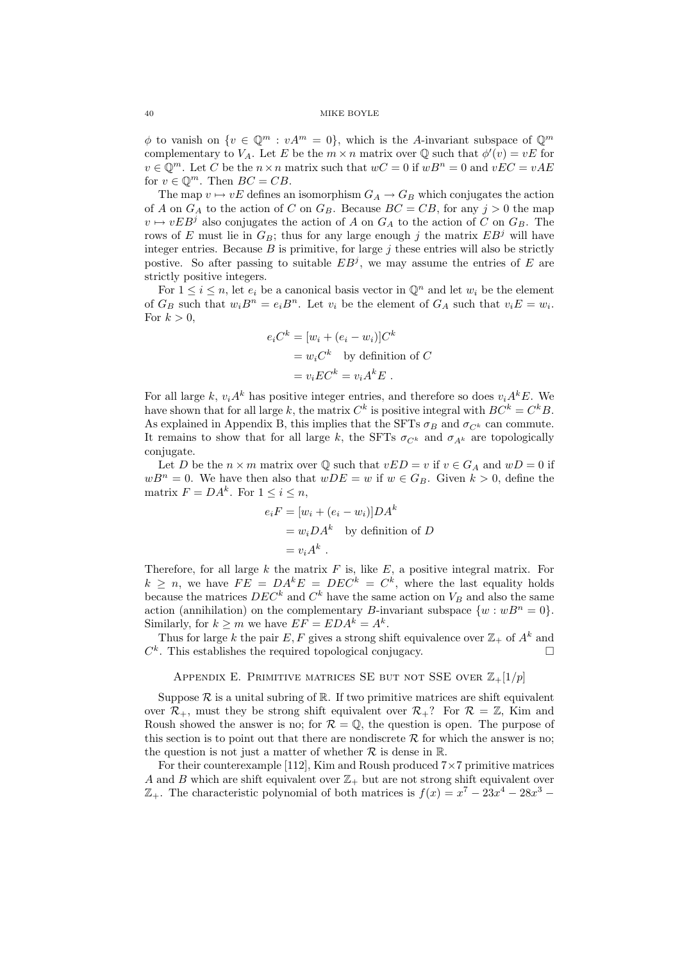$\phi$  to vanish on  $\{v \in \mathbb{Q}^m : vA^m = 0\}$ , which is the A-invariant subspace of  $\mathbb{Q}^m$ complementary to  $V_A$ . Let E be the  $m \times n$  matrix over  $\mathbb Q$  such that  $\phi'(v) = vE$  for  $v \in \mathbb{Q}^m$ . Let C be the  $n \times n$  matrix such that  $wC = 0$  if  $wB^n = 0$  and  $vEC = vAE$ for  $v \in \mathbb{Q}^m$ . Then  $BC = CB$ .

The map  $v \mapsto vE$  defines an isomorphism  $G_A \to G_B$  which conjugates the action of A on  $G_A$  to the action of C on  $G_B$ . Because  $BC = CB$ , for any  $j > 0$  the map  $v \mapsto vEB^j$  also conjugates the action of A on  $G_A$  to the action of C on  $G_B$ . The rows of E must lie in  $G_B$ ; thus for any large enough j the matrix  $EB<sup>j</sup>$  will have integer entries. Because  $B$  is primitive, for large  $j$  these entries will also be strictly postive. So after passing to suitable  $EB<sup>j</sup>$ , we may assume the entries of E are strictly positive integers.

For  $1 \leq i \leq n$ , let  $e_i$  be a canonical basis vector in  $\mathbb{Q}^n$  and let  $w_i$  be the element of  $G_B$  such that  $w_i B^n = e_i B^n$ . Let  $v_i$  be the element of  $G_A$  such that  $v_i E = w_i$ . For  $k > 0$ ,

$$
e_i C^k = [w_i + (e_i - w_i)]C^k
$$
  
=  $w_i C^k$  by definition of  $C$   
=  $v_i EC^k = v_i A^k E$ .

For all large k,  $v_i A^k$  has positive integer entries, and therefore so does  $v_i A^k E$ . We have shown that for all large k, the matrix  $C^k$  is positive integral with  $BC^k = C^kB$ . As explained in Appendix B, this implies that the SFTs  $\sigma_B$  and  $\sigma_{C^k}$  can commute. It remains to show that for all large k, the SFTs  $\sigma_{C^k}$  and  $\sigma_{A^k}$  are topologically conjugate.

Let D be the  $n \times m$  matrix over Q such that  $vED = v$  if  $v \in G_A$  and  $wD = 0$  if  $wB^n = 0$ . We have then also that  $wDE = w$  if  $w \in G_B$ . Given  $k > 0$ , define the matrix  $F = DA^k$ . For  $1 \leq i \leq n$ ,

$$
e_i F = [w_i + (e_i - w_i)]DA^k
$$
  
=  $w_i DA^k$  by definition of  $D$   
=  $v_i A^k$ .

Therefore, for all large  $k$  the matrix  $F$  is, like  $E$ , a positive integral matrix. For  $k \geq n$ , we have  $FE = DA^kE = DEC^k = C^k$ , where the last equality holds because the matrices  $DEC^k$  and  $C^k$  have the same action on  $V_B$  and also the same action (annihilation) on the complementary B-invariant subspace  $\{w : wB^n = 0\}.$ Similarly, for  $k \ge m$  we have  $EF = EDA^k = A^k$ .

Thus for large k the pair E, F gives a strong shift equivalence over  $\mathbb{Z}_+$  of  $A^k$  and  $C^k$ . This establishes the required topological conjugacy.

# APPENDIX E. PRIMITIVE MATRICES SE BUT NOT SSE OVER  $\mathbb{Z}_+[1/p]$

Suppose  $\mathcal R$  is a unital subring of  $\mathbb R$ . If two primitive matrices are shift equivalent over  $\mathcal{R}_+$ , must they be strong shift equivalent over  $\mathcal{R}_+$ ? For  $\mathcal{R} = \mathbb{Z}$ , Kim and Roush showed the answer is no; for  $\mathcal{R} = \mathbb{Q}$ , the question is open. The purpose of this section is to point out that there are nondiscrete  $\mathcal R$  for which the answer is no; the question is not just a matter of whether  $\mathcal R$  is dense in  $\mathbb R$ .

For their counterexample [112], Kim and Roush produced  $7\times7$  primitive matrices A and B which are shift equivalent over  $\mathbb{Z}_+$  but are not strong shift equivalent over  $\mathbb{Z}_+$ . The characteristic polynomial of both matrices is  $f(x) = x^7 - 23x^4 - 28x^3 -$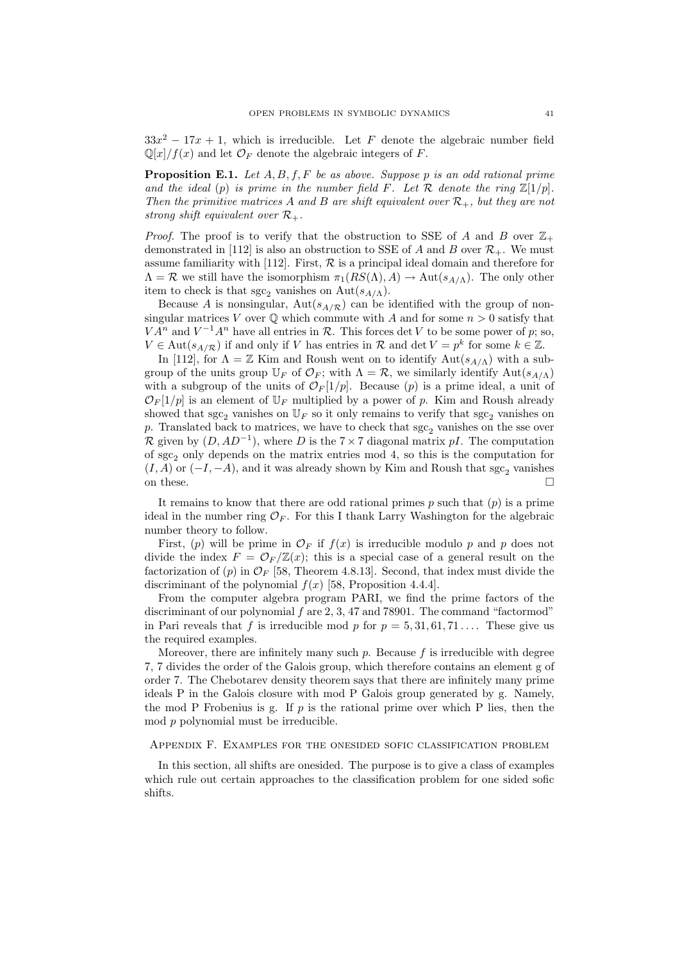$33x^2 - 17x + 1$ , which is irreducible. Let F denote the algebraic number field  $\mathbb{Q}[x]/f(x)$  and let  $\mathcal{O}_F$  denote the algebraic integers of F.

**Proposition E.1.** Let  $A, B, f, F$  be as above. Suppose p is an odd rational prime and the ideal (p) is prime in the number field F. Let R denote the ring  $\mathbb{Z}[1/p]$ . Then the primitive matrices A and B are shift equivalent over  $\mathcal{R}_+$ , but they are not strong shift equivalent over  $\mathcal{R}_+$ .

*Proof.* The proof is to verify that the obstruction to SSE of A and B over  $\mathbb{Z}_+$ demonstrated in [112] is also an obstruction to SSE of A and B over  $\mathcal{R}_+$ . We must assume familiarity with [112]. First,  $R$  is a principal ideal domain and therefore for  $\Lambda = \mathcal{R}$  we still have the isomorphism  $\pi_1(RS(\Lambda), A) \to \text{Aut}(s_{A(\Lambda)})$ . The only other item to check is that  $\sec_2$  vanishes on Aut $(s_{A/\Lambda})$ .

Because A is nonsingular,  $Aut(s_{A/R})$  can be identified with the group of nonsingular matrices V over  $\mathbb Q$  which commute with A and for some  $n > 0$  satisfy that  $VA<sup>n</sup>$  and  $V<sup>-1</sup>A<sup>n</sup>$  have all entries in  $R$ . This forces det V to be some power of p; so,  $V \in \text{Aut}(s_{A/R})$  if and only if V has entries in  $\mathcal{R}$  and  $\det V = p^k$  for some  $k \in \mathbb{Z}$ .

In [112], for  $\Lambda = \mathbb{Z}$  Kim and Roush went on to identify  $\text{Aut}(s_{A/\Lambda})$  with a subgroup of the units group  $\mathbb{U}_F$  of  $\mathcal{O}_F$ ; with  $\Lambda = \mathcal{R}$ , we similarly identify  $\text{Aut}(s_{A/\Lambda})$ with a subgroup of the units of  $\mathcal{O}_F[1/p]$ . Because (p) is a prime ideal, a unit of  $\mathcal{O}_F[1/p]$  is an element of  $\mathbb{U}_F$  multiplied by a power of p. Kim and Roush already showed that sgc<sub>2</sub> vanishes on  $\mathbb{U}_F$  so it only remains to verify that sgc<sub>2</sub> vanishes on p. Translated back to matrices, we have to check that  $\sec_2$  vanishes on the sse over R given by  $(D, AD^{-1})$ , where D is the 7 × 7 diagonal matrix pI. The computation of  $\text{sgc}_2$  only depends on the matrix entries mod 4, so this is the computation for  $(I, A)$  or  $(-I, -A)$ , and it was already shown by Kim and Roush that sgc<sub>2</sub> vanishes on these.  $\Box$ 

It remains to know that there are odd rational primes  $p$  such that  $(p)$  is a prime ideal in the number ring  $\mathcal{O}_F$ . For this I thank Larry Washington for the algebraic number theory to follow.

First, (p) will be prime in  $\mathcal{O}_F$  if  $f(x)$  is irreducible modulo p and p does not divide the index  $F = \mathcal{O}_F/\mathbb{Z}(x)$ ; this is a special case of a general result on the factorization of (p) in  $\mathcal{O}_F$  [58, Theorem 4.8.13]. Second, that index must divide the discriminant of the polynomial  $f(x)$  [58, Proposition 4.4.4].

From the computer algebra program PARI, we find the prime factors of the discriminant of our polynomial  $f$  are 2, 3, 47 and 78901. The command "factormod" in Pari reveals that f is irreducible mod p for  $p = 5, 31, 61, 71...$  These give us the required examples.

Moreover, there are infinitely many such  $p$ . Because  $f$  is irreducible with degree 7, 7 divides the order of the Galois group, which therefore contains an element g of order 7. The Chebotarev density theorem says that there are infinitely many prime ideals P in the Galois closure with mod P Galois group generated by g. Namely, the mod P Frobenius is g. If  $p$  is the rational prime over which P lies, then the mod p polynomial must be irreducible.

# Appendix F. Examples for the onesided sofic classification problem

In this section, all shifts are onesided. The purpose is to give a class of examples which rule out certain approaches to the classification problem for one sided sofic shifts.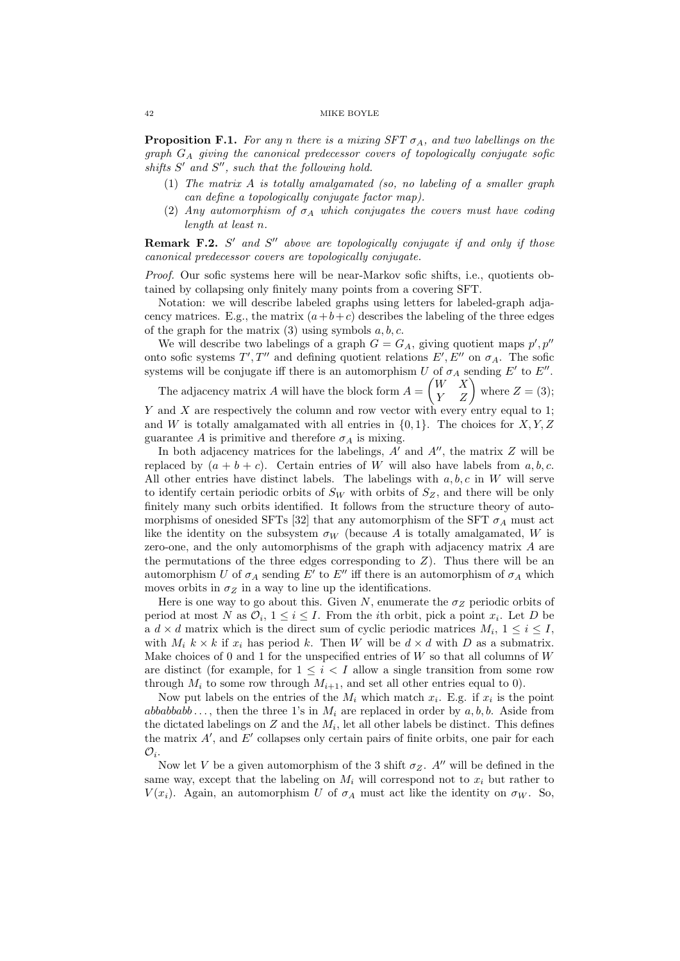**Proposition F.1.** For any n there is a mixing  $SFT \sigma_A$ , and two labellings on the graph  $G_A$  giving the canonical predecessor covers of topologically conjugate sofic shifts  $S'$  and  $S''$ , such that the following hold.

- (1) The matrix A is totally amalgamated (so, no labeling of a smaller graph can define a topologically conjugate factor map).
- (2) Any automorphism of  $\sigma_A$  which conjugates the covers must have coding length at least n.

**Remark F.2.**  $S'$  and  $S''$  above are topologically conjugate if and only if those canonical predecessor covers are topologically conjugate.

Proof. Our sofic systems here will be near-Markov sofic shifts, i.e., quotients obtained by collapsing only finitely many points from a covering SFT.

Notation: we will describe labeled graphs using letters for labeled-graph adjacency matrices. E.g., the matrix  $(a+b+c)$  describes the labeling of the three edges of the graph for the matrix  $(3)$  using symbols  $a, b, c$ .

We will describe two labelings of a graph  $G = G_A$ , giving quotient maps  $p', p''$ onto sofic systems  $T', T''$  and defining quotient relations  $E', E''$  on  $\sigma_A$ . The sofic systems will be conjugate iff there is an automorphism U of  $\sigma_A$  sending E' to E''.

The adjacency matrix A will have the block form  $A = \begin{pmatrix} W & X \\ Y & Z \end{pmatrix}$  where  $Z = (3)$ ; Y and X are respectively the column and row vector with every entry equal to 1;

and W is totally amalgamated with all entries in  $\{0, 1\}$ . The choices for X, Y, Z guarantee A is primitive and therefore  $\sigma_A$  is mixing.

In both adjacency matrices for the labelings,  $A'$  and  $A''$ , the matrix  $Z$  will be replaced by  $(a + b + c)$ . Certain entries of W will also have labels from a, b, c. All other entries have distinct labels. The labelings with  $a, b, c$  in W will serve to identify certain periodic orbits of  $S_W$  with orbits of  $S_Z$ , and there will be only finitely many such orbits identified. It follows from the structure theory of automorphisms of onesided SFTs [32] that any automorphism of the SFT  $\sigma_A$  must act like the identity on the subsystem  $\sigma_W$  (because A is totally amalgamated, W is zero-one, and the only automorphisms of the graph with adjacency matrix A are the permutations of the three edges corresponding to  $Z$ ). Thus there will be an automorphism U of  $\sigma_A$  sending E' to E'' iff there is an automorphism of  $\sigma_A$  which moves orbits in  $\sigma_Z$  in a way to line up the identifications.

Here is one way to go about this. Given N, enumerate the  $\sigma_Z$  periodic orbits of period at most N as  $\mathcal{O}_i$ ,  $1 \leq i \leq I$ . From the *i*th orbit, pick a point  $x_i$ . Let D be a  $d \times d$  matrix which is the direct sum of cyclic periodic matrices  $M_i$ ,  $1 \leq i \leq I$ , with  $M_i$   $k \times k$  if  $x_i$  has period k. Then W will be  $d \times d$  with D as a submatrix. Make choices of 0 and 1 for the unspecified entries of  $W$  so that all columns of  $W$ are distinct (for example, for  $1 \leq i \leq I$  allow a single transition from some row through  $M_i$  to some row through  $M_{i+1}$ , and set all other entries equal to 0).

Now put labels on the entries of the  $M_i$  which match  $x_i$ . E.g. if  $x_i$  is the point abbabbabb..., then the three 1's in  $M_i$  are replaced in order by  $a, b, b$ . Aside from the dictated labelings on  $Z$  and the  $M_i$ , let all other labels be distinct. This defines the matrix  $A'$ , and  $E'$  collapses only certain pairs of finite orbits, one pair for each  $\mathcal{O}_i$ .

Now let V be a given automorphism of the 3 shift  $\sigma_Z$ . A'' will be defined in the same way, except that the labeling on  $M_i$  will correspond not to  $x_i$  but rather to  $V(x_i)$ . Again, an automorphism U of  $\sigma_A$  must act like the identity on  $\sigma_W$ . So,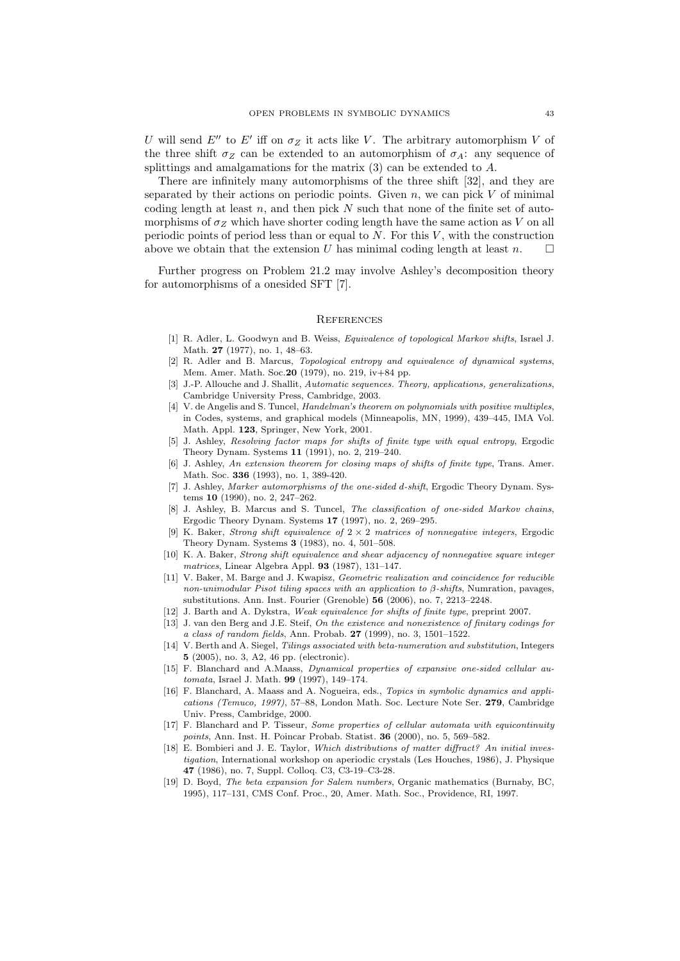U will send  $E''$  to  $E'$  iff on  $\sigma_Z$  it acts like V. The arbitrary automorphism V of the three shift  $\sigma_Z$  can be extended to an automorphism of  $\sigma_A$ : any sequence of splittings and amalgamations for the matrix  $(3)$  can be extended to  $A$ .

There are infinitely many automorphisms of the three shift [32], and they are separated by their actions on periodic points. Given  $n$ , we can pick V of minimal coding length at least  $n$ , and then pick  $N$  such that none of the finite set of automorphisms of  $\sigma_Z$  which have shorter coding length have the same action as V on all periodic points of period less than or equal to  $N$ . For this  $V$ , with the construction above we obtain that the extension  $U$  has minimal coding length at least  $n$ .

Further progress on Problem 21.2 may involve Ashley's decomposition theory for automorphisms of a onesided SFT [7].

# **REFERENCES**

- [1] R. Adler, L. Goodwyn and B. Weiss, Equivalence of topological Markov shifts, Israel J. Math. 27 (1977), no. 1, 48–63.
- [2] R. Adler and B. Marcus, Topological entropy and equivalence of dynamical systems, Mem. Amer. Math. Soc.20 (1979), no. 219, iv+84 pp.
- [3] J.-P. Allouche and J. Shallit, Automatic sequences. Theory, applications, generalizations, Cambridge University Press, Cambridge, 2003.
- [4] V. de Angelis and S. Tuncel, *Handelman's theorem on polynomials with positive multiples*, in Codes, systems, and graphical models (Minneapolis, MN, 1999), 439–445, IMA Vol. Math. Appl. 123, Springer, New York, 2001.
- [5] J. Ashley, Resolving factor maps for shifts of finite type with equal entropy, Ergodic Theory Dynam. Systems 11 (1991), no. 2, 219–240.
- [6] J. Ashley, An extension theorem for closing maps of shifts of finite type, Trans. Amer. Math. Soc. 336 (1993), no. 1, 389-420.
- [7] J. Ashley, Marker automorphisms of the one-sided d-shift, Ergodic Theory Dynam. Systems 10 (1990), no. 2, 247–262.
- [8] J. Ashley, B. Marcus and S. Tuncel, The classification of one-sided Markov chains, Ergodic Theory Dynam. Systems 17 (1997), no. 2, 269–295.
- [9] K. Baker, Strong shift equivalence of  $2 \times 2$  matrices of nonnegative integers, Ergodic Theory Dynam. Systems 3 (1983), no. 4, 501–508.
- [10] K. A. Baker, Strong shift equivalence and shear adjacency of nonnegative square integer matrices, Linear Algebra Appl. 93 (1987), 131–147.
- [11] V. Baker, M. Barge and J. Kwapisz, *Geometric realization and coincidence for reducible* non-unimodular Pisot tiling spaces with an application to  $\beta$ -shifts, Numration, pavages, substitutions. Ann. Inst. Fourier (Grenoble) 56 (2006), no. 7, 2213–2248.
- [12] J. Barth and A. Dykstra, Weak equivalence for shifts of finite type, preprint 2007.
- [13] J. van den Berg and J.E. Steif, On the existence and nonexistence of finitary codings for a class of random fields, Ann. Probab. 27 (1999), no. 3, 1501–1522.
- [14] V. Berth and A. Siegel, Tilings associated with beta-numeration and substitution, Integers 5 (2005), no. 3, A2, 46 pp. (electronic).
- [15] F. Blanchard and A.Maass, Dynamical properties of expansive one-sided cellular automata, Israel J. Math. 99 (1997), 149–174.
- [16] F. Blanchard, A. Maass and A. Nogueira, eds., Topics in symbolic dynamics and applications (Temuco, 1997), 57–88, London Math. Soc. Lecture Note Ser. 279, Cambridge Univ. Press, Cambridge, 2000.
- [17] F. Blanchard and P. Tisseur, Some properties of cellular automata with equicontinuity points, Ann. Inst. H. Poincar Probab. Statist. 36 (2000), no. 5, 569–582.
- [18] E. Bombieri and J. E. Taylor, Which distributions of matter diffract? An initial investigation, International workshop on aperiodic crystals (Les Houches, 1986), J. Physique 47 (1986), no. 7, Suppl. Colloq. C3, C3-19–C3-28.
- [19] D. Bovd, The beta expansion for Salem numbers, Organic mathematics (Burnaby, BC, 1995), 117–131, CMS Conf. Proc., 20, Amer. Math. Soc., Providence, RI, 1997.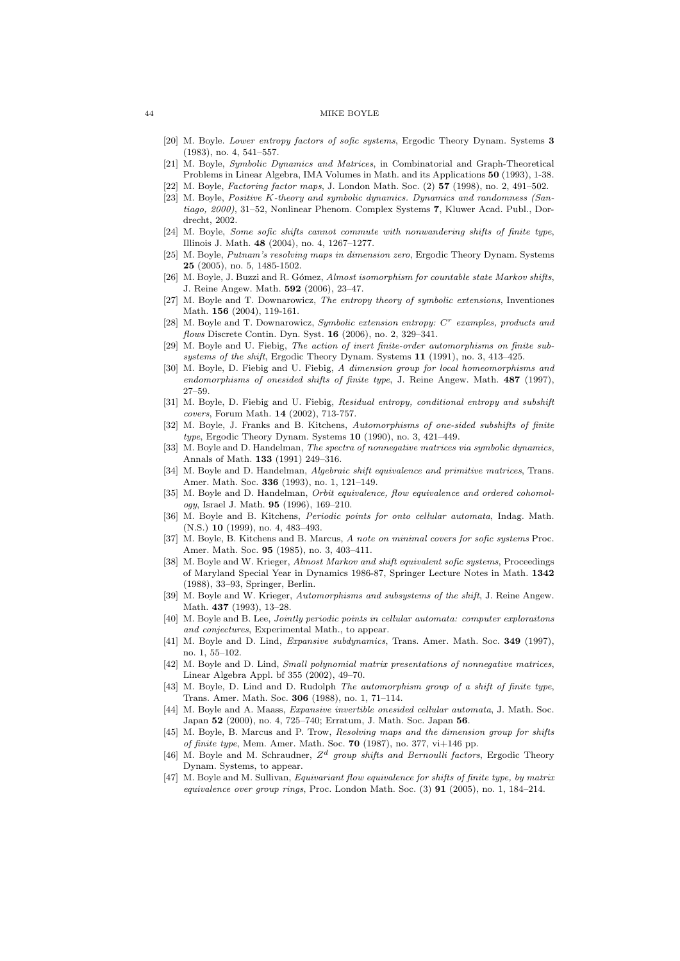- [20] M. Boyle. Lower entropy factors of sofic systems, Ergodic Theory Dynam. Systems 3 (1983), no. 4, 541–557.
- [21] M. Boyle, Symbolic Dynamics and Matrices, in Combinatorial and Graph-Theoretical Problems in Linear Algebra, IMA Volumes in Math. and its Applications 50 (1993), 1-38.
- [22] M. Boyle, Factoring factor maps, J. London Math. Soc. (2) 57 (1998), no. 2, 491–502.
- [23] M. Boyle, Positive K-theory and symbolic dynamics. Dynamics and randomness (Santiago, 2000), 31–52, Nonlinear Phenom. Complex Systems 7, Kluwer Acad. Publ., Dordrecht, 2002.
- [24] M. Boyle, Some sofic shifts cannot commute with nonwandering shifts of finite type, Illinois J. Math. 48 (2004), no. 4, 1267–1277.
- [25] M. Boyle, Putnam's resolving maps in dimension zero, Ergodic Theory Dynam. Systems 25 (2005), no. 5, 1485-1502.
- [26] M. Boyle, J. Buzzi and R. Gómez, Almost isomorphism for countable state Markov shifts, J. Reine Angew. Math. 592 (2006), 23–47.
- [27] M. Boyle and T. Downarowicz, The entropy theory of symbolic extensions, Inventiones Math. 156 (2004), 119-161.
- [28] M. Boyle and T. Downarowicz, Symbolic extension entropy:  $C<sup>r</sup>$  examples, products and flows Discrete Contin. Dyn. Syst. 16 (2006), no. 2, 329-341.
- [29] M. Boyle and U. Fiebig, The action of inert finite-order automorphisms on finite subsystems of the shift, Ergodic Theory Dynam. Systems 11 (1991), no. 3, 413-425.
- [30] M. Boyle, D. Fiebig and U. Fiebig, A dimension group for local homeomorphisms and endomorphisms of onesided shifts of finite type, J. Reine Angew. Math. 487 (1997), 27–59.
- [31] M. Boyle, D. Fiebig and U. Fiebig, Residual entropy, conditional entropy and subshift covers, Forum Math. 14 (2002), 713-757.
- [32] M. Boyle, J. Franks and B. Kitchens, Automorphisms of one-sided subshifts of finite type, Ergodic Theory Dynam. Systems 10 (1990), no. 3, 421–449.
- [33] M. Boyle and D. Handelman, The spectra of nonnegative matrices via symbolic dynamics, Annals of Math. 133 (1991) 249–316.
- [34] M. Boyle and D. Handelman, Algebraic shift equivalence and primitive matrices, Trans. Amer. Math. Soc. 336 (1993), no. 1, 121–149.
- [35] M. Boyle and D. Handelman, Orbit equivalence, flow equivalence and ordered cohomology, Israel J. Math. 95 (1996), 169–210.
- [36] M. Boyle and B. Kitchens, Periodic points for onto cellular automata, Indag. Math. (N.S.) 10 (1999), no. 4, 483–493.
- [37] M. Boyle, B. Kitchens and B. Marcus, A note on minimal covers for sofic systems Proc. Amer. Math. Soc. 95 (1985), no. 3, 403–411.
- [38] M. Boyle and W. Krieger, Almost Markov and shift equivalent sofic systems, Proceedings of Maryland Special Year in Dynamics 1986-87, Springer Lecture Notes in Math. 1342 (1988), 33–93, Springer, Berlin.
- [39] M. Boyle and W. Krieger, Automorphisms and subsystems of the shift, J. Reine Angew. Math. 437 (1993), 13–28.
- [40] M. Boyle and B. Lee, *Jointly periodic points in cellular automata: computer exploraitons* and conjectures, Experimental Math., to appear.
- [41] M. Boyle and D. Lind, Expansive subdynamics, Trans. Amer. Math. Soc. 349 (1997), no. 1, 55–102.
- [42] M. Boyle and D. Lind, Small polynomial matrix presentations of nonnegative matrices, Linear Algebra Appl. bf 355 (2002), 49–70.
- [43] M. Boyle, D. Lind and D. Rudolph The automorphism group of a shift of finite type, Trans. Amer. Math. Soc. 306 (1988), no. 1, 71–114.
- [44] M. Boyle and A. Maass, Expansive invertible onesided cellular automata, J. Math. Soc. Japan 52 (2000), no. 4, 725–740; Erratum, J. Math. Soc. Japan 56.
- [45] M. Boyle, B. Marcus and P. Trow, Resolving maps and the dimension group for shifts of finite type, Mem. Amer. Math. Soc. 70 (1987), no. 377, vi $+146$  pp.
- [46] M. Boyle and M. Schraudner,  $Z^d$  group shifts and Bernoulli factors, Ergodic Theory Dynam. Systems, to appear.
- [47] M. Boyle and M. Sullivan, Equivariant flow equivalence for shifts of finite type, by matrix equivalence over group rings, Proc. London Math. Soc.  $(3)$  91  $(2005)$ , no. 1, 184–214.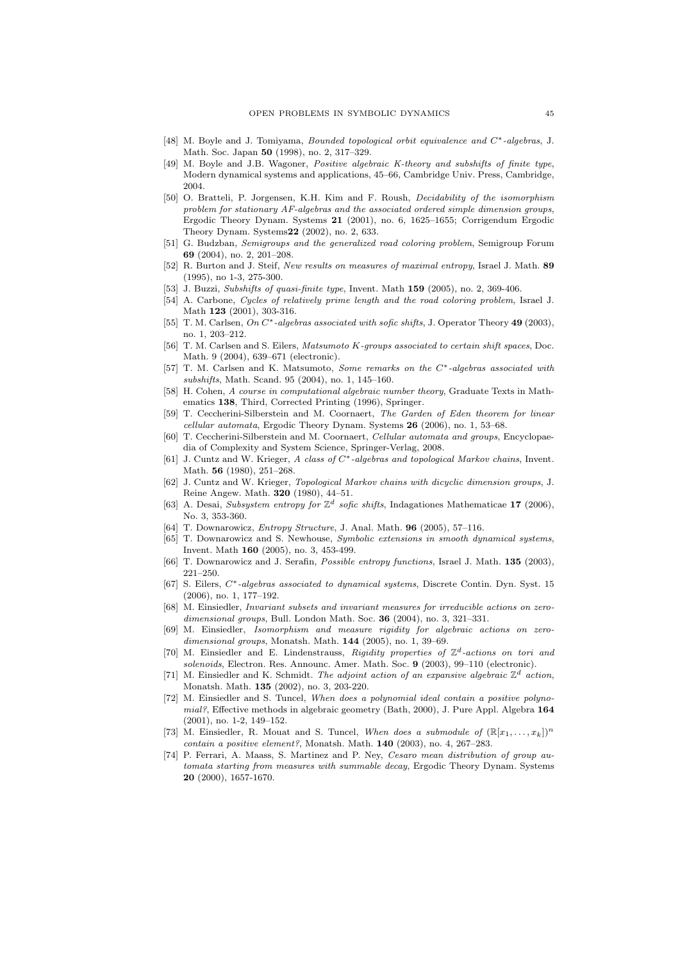- [48] M. Boyle and J. Tomiyama, Bounded topological orbit equivalence and C∗-algebras, J. Math. Soc. Japan 50 (1998), no. 2, 317–329.
- [49] M. Boyle and J.B. Wagoner, Positive algebraic K-theory and subshifts of finite type, Modern dynamical systems and applications, 45–66, Cambridge Univ. Press, Cambridge, 2004.
- [50] O. Bratteli, P. Jorgensen, K.H. Kim and F. Roush, Decidability of the isomorphism problem for stationary AF-algebras and the associated ordered simple dimension groups, Ergodic Theory Dynam. Systems 21 (2001), no. 6, 1625–1655; Corrigendum Ergodic Theory Dynam. Systems22 (2002), no. 2, 633.
- [51] G. Budzban, Semigroups and the generalized road coloring problem, Semigroup Forum 69 (2004), no. 2, 201–208.
- [52] R. Burton and J. Steif, New results on measures of maximal entropy, Israel J. Math. 89 (1995), no 1-3, 275-300.
- [53] J. Buzzi, Subshifts of quasi-finite type, Invent. Math 159 (2005), no. 2, 369-406.
- [54] A. Carbone, Cycles of relatively prime length and the road coloring problem, Israel J. Math 123 (2001), 303-316.
- [55] T. M. Carlsen, On C<sup>∗</sup>-algebras associated with sofic shifts, J. Operator Theory 49 (2003), no. 1, 203–212.
- [56] T. M. Carlsen and S. Eilers, Matsumoto K-groups associated to certain shift spaces, Doc. Math. 9 (2004), 639–671 (electronic).
- [57] T. M. Carlsen and K. Matsumoto, Some remarks on the C∗-algebras associated with subshifts, Math. Scand. 95 (2004), no. 1, 145–160.
- [58] H. Cohen, A course in computational algebraic number theory, Graduate Texts in Mathematics 138, Third, Corrected Printing (1996), Springer.
- [59] T. Ceccherini-Silberstein and M. Coornaert, The Garden of Eden theorem for linear cellular automata, Ergodic Theory Dynam. Systems 26 (2006), no. 1, 53–68.
- [60] T. Ceccherini-Silberstein and M. Coornaert, Cellular automata and groups, Encyclopaedia of Complexity and System Science, Springer-Verlag, 2008.
- [61] J. Cuntz and W. Krieger, A class of C∗-algebras and topological Markov chains, Invent. Math. 56 (1980), 251–268.
- [62] J. Cuntz and W. Krieger, Topological Markov chains with dicyclic dimension groups, J. Reine Angew. Math. 320 (1980), 44–51.
- [63] A. Desai, Subsystem entropy for  $\mathbb{Z}^d$  sofic shifts, Indagationes Mathematicae 17 (2006), No. 3, 353-360.
- [64] T. Downarowicz, Entropy Structure, J. Anal. Math. 96 (2005), 57–116.
- [65] T. Downarowicz and S. Newhouse, Symbolic extensions in smooth dynamical systems, Invent. Math 160 (2005), no. 3, 453-499.
- [66] T. Downarowicz and J. Serafin, Possible entropy functions, Israel J. Math. 135 (2003), 221–250.
- [67] S. Eilers, C∗-algebras associated to dynamical systems, Discrete Contin. Dyn. Syst. 15 (2006), no. 1, 177–192.
- [68] M. Einsiedler, Invariant subsets and invariant measures for irreducible actions on zerodimensional groups, Bull. London Math. Soc. 36 (2004), no. 3, 321-331.
- [69] M. Einsiedler, Isomorphism and measure rigidity for algebraic actions on zerodimensional groups, Monatsh. Math. 144 (2005), no. 1, 39–69.
- [70] M. Einsiedler and E. Lindenstrauss, Rigidity properties of  $\mathbb{Z}^d$ -actions on tori and solenoids, Electron. Res. Announc. Amer. Math. Soc. 9 (2003), 99–110 (electronic).
- [71] M. Einsiedler and K. Schmidt. The adjoint action of an expansive algebraic  $\mathbb{Z}^d$  action, Monatsh. Math. 135 (2002), no. 3, 203-220.
- [72] M. Einsiedler and S. Tuncel, When does a polynomial ideal contain a positive polynomial?, Effective methods in algebraic geometry (Bath, 2000), J. Pure Appl. Algebra 164 (2001), no. 1-2, 149–152.
- [73] M. Einsiedler, R. Mouat and S. Tuncel, When does a submodule of  $(\mathbb{R}[x_1, \ldots, x_k])^n$ contain a positive element?, Monatsh. Math. 140 (2003), no. 4, 267–283.
- [74] P. Ferrari, A. Maass, S. Martinez and P. Ney, Cesaro mean distribution of group automata starting from measures with summable decay, Ergodic Theory Dynam. Systems 20 (2000), 1657-1670.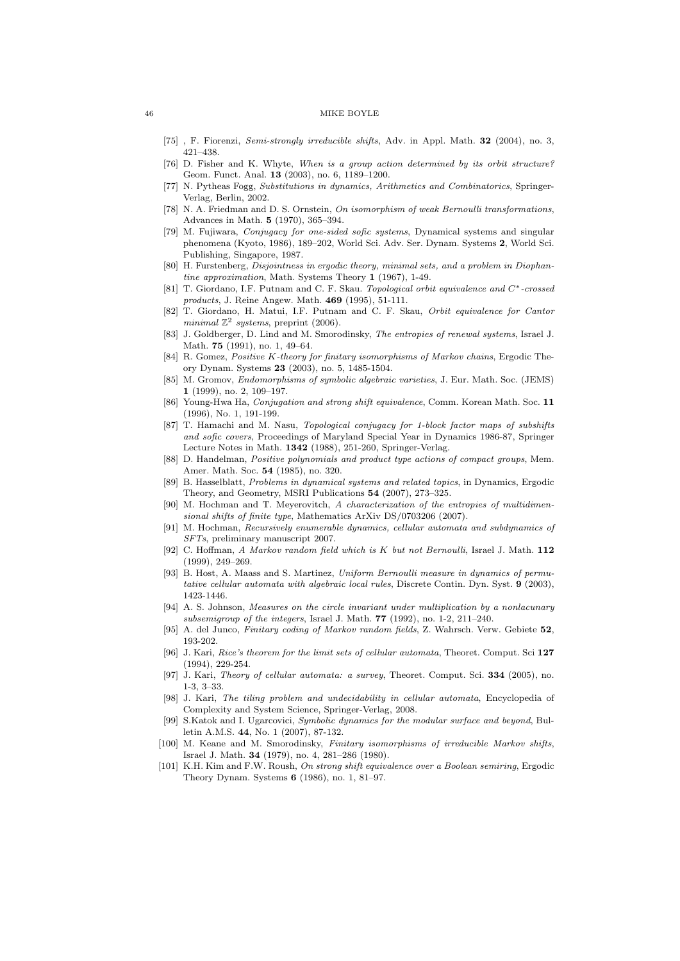- [75] , F. Fiorenzi, Semi-strongly irreducible shifts, Adv. in Appl. Math. 32 (2004), no. 3, 421–438.
- [76] D. Fisher and K. Whyte, When is a group action determined by its orbit structure? Geom. Funct. Anal. 13 (2003), no. 6, 1189–1200.
- [77] N. Pytheas Fogg, Substitutions in dynamics, Arithmetics and Combinatorics, Springer-Verlag, Berlin, 2002.
- [78] N. A. Friedman and D. S. Ornstein, On isomorphism of weak Bernoulli transformations, Advances in Math. 5 (1970), 365–394.
- [79] M. Fujiwara, Conjugacy for one-sided sofic systems, Dynamical systems and singular phenomena (Kyoto, 1986), 189–202, World Sci. Adv. Ser. Dynam. Systems 2, World Sci. Publishing, Singapore, 1987.
- [80] H. Furstenberg, *Disjointness in ergodic theory, minimal sets, and a problem in Diophan*tine approximation, Math. Systems Theory 1 (1967), 1-49.
- [81] T. Giordano, I.F. Putnam and C. F. Skau. Topological orbit equivalence and C∗-crossed products, J. Reine Angew. Math. 469 (1995), 51-111.
- [82] T. Giordano, H. Matui, I.F. Putnam and C. F. Skau, Orbit equivalence for Cantor minimal  $\mathbb{Z}^2$  systems, preprint (2006).
- [83] J. Goldberger, D. Lind and M. Smorodinsky, The entropies of renewal systems, Israel J. Math. 75 (1991), no. 1, 49–64.
- [84] R. Gomez, Positive K-theory for finitary isomorphisms of Markov chains, Ergodic Theory Dynam. Systems 23 (2003), no. 5, 1485-1504.
- [85] M. Gromov, Endomorphisms of symbolic algebraic varieties, J. Eur. Math. Soc. (JEMS) 1 (1999), no. 2, 109–197.
- [86] Young-Hwa Ha, Conjugation and strong shift equivalence, Comm. Korean Math. Soc. 11 (1996), No. 1, 191-199.
- [87] T. Hamachi and M. Nasu, Topological conjugacy for 1-block factor maps of subshifts and sofic covers, Proceedings of Maryland Special Year in Dynamics 1986-87, Springer Lecture Notes in Math. 1342 (1988), 251-260, Springer-Verlag.
- [88] D. Handelman, Positive polynomials and product type actions of compact groups, Mem. Amer. Math. Soc. 54 (1985), no. 320.
- [89] B. Hasselblatt, Problems in dynamical systems and related topics, in Dynamics, Ergodic Theory, and Geometry, MSRI Publications 54 (2007), 273–325.
- [90] M. Hochman and T. Meyerovitch, A characterization of the entropies of multidimensional shifts of finite type, Mathematics ArXiv DS/0703206 (2007).
- [91] M. Hochman, Recursively enumerable dynamics, cellular automata and subdynamics of SFTs, preliminary manuscript 2007.
- [92] C. Hoffman, A Markov random field which is K but not Bernoulli, Israel J. Math. 112 (1999), 249–269.
- [93] B. Host, A. Maass and S. Martinez, Uniform Bernoulli measure in dynamics of permutative cellular automata with algebraic local rules, Discrete Contin. Dyn. Syst. 9 (2003), 1423-1446.
- [94] A. S. Johnson, Measures on the circle invariant under multiplication by a nonlacunary subsemigroup of the integers, Israel J. Math. 77 (1992), no. 1-2, 211–240.
- [95] A. del Junco, Finitary coding of Markov random fields, Z. Wahrsch. Verw. Gebiete 52, 193-202.
- [96] J. Kari, Rice's theorem for the limit sets of cellular automata, Theoret. Comput. Sci 127 (1994), 229-254.
- [97] J. Kari, Theory of cellular automata: a survey, Theoret. Comput. Sci. 334 (2005), no. 1-3, 3–33.
- [98] J. Kari, The tiling problem and undecidability in cellular automata, Encyclopedia of Complexity and System Science, Springer-Verlag, 2008.
- [99] S.Katok and I. Ugarcovici, Symbolic dynamics for the modular surface and beyond, Bulletin A.M.S. 44, No. 1 (2007), 87-132.
- [100] M. Keane and M. Smorodinsky, Finitary isomorphisms of irreducible Markov shifts, Israel J. Math. 34 (1979), no. 4, 281–286 (1980).
- [101] K.H. Kim and F.W. Roush, On strong shift equivalence over a Boolean semiring, Ergodic Theory Dynam. Systems 6 (1986), no. 1, 81–97.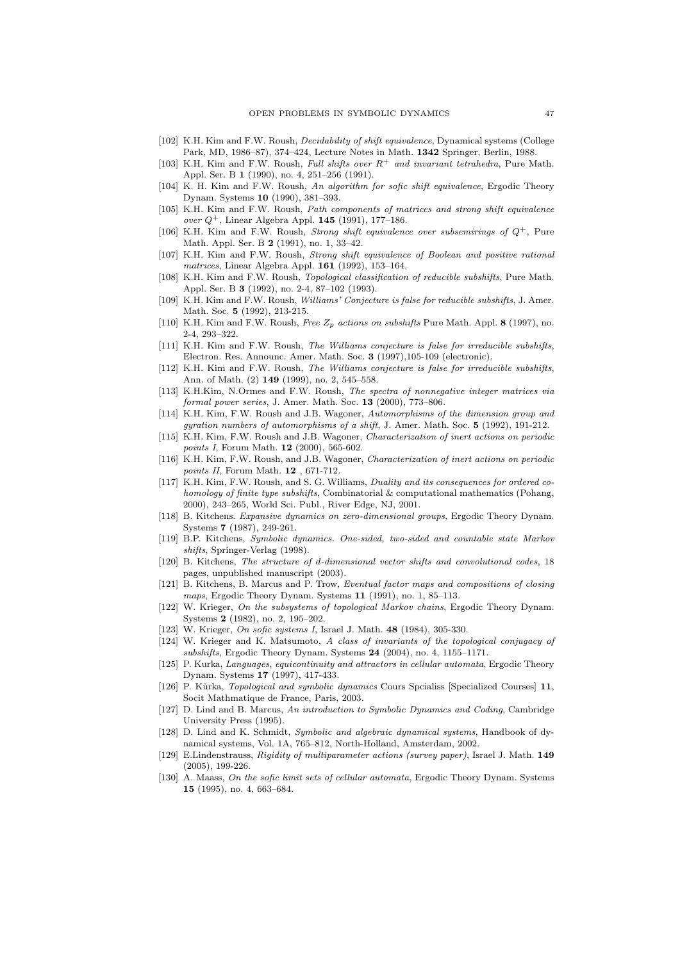- [102] K.H. Kim and F.W. Roush, Decidability of shift equivalence, Dynamical systems (College Park, MD, 1986–87), 374–424, Lecture Notes in Math. 1342 Springer, Berlin, 1988.
- [103] K.H. Kim and F.W. Roush, Full shifts over  $R^+$  and invariant tetrahedra, Pure Math. Appl. Ser. B 1 (1990), no. 4, 251–256 (1991).
- [104] K. H. Kim and F.W. Roush, An algorithm for sofic shift equivalence, Ergodic Theory Dynam. Systems 10 (1990), 381–393.
- [105] K.H. Kim and F.W. Roush, Path components of matrices and strong shift equivalence over  $Q^+$ , Linear Algebra Appl. 145 (1991), 177–186.
- [106] K.H. Kim and F.W. Roush, *Strong shift equivalence over subsemirings of*  $Q^+$ , Pure Math. Appl. Ser. B 2 (1991), no. 1, 33–42.
- [107] K.H. Kim and F.W. Roush, Strong shift equivalence of Boolean and positive rational matrices, Linear Algebra Appl. 161 (1992), 153–164.
- [108] K.H. Kim and F.W. Roush, Topological classification of reducible subshifts, Pure Math. Appl. Ser. B 3 (1992), no. 2-4, 87–102 (1993).
- [109] K.H. Kim and F.W. Roush, Williams' Conjecture is false for reducible subshifts, J. Amer. Math. Soc. 5 (1992), 213-215.
- [110] K.H. Kim and F.W. Roush, Free  $Z_p$  actions on subshifts Pure Math. Appl. 8 (1997), no. 2-4, 293–322.
- [111] K.H. Kim and F.W. Roush, The Williams conjecture is false for irreducible subshifts, Electron. Res. Announc. Amer. Math. Soc. 3 (1997),105-109 (electronic).
- [112] K.H. Kim and F.W. Roush, The Williams conjecture is false for irreducible subshifts, Ann. of Math. (2) 149 (1999), no. 2, 545–558.
- [113] K.H.Kim, N.Ormes and F.W. Roush, The spectra of nonnegative integer matrices via formal power series, J. Amer. Math. Soc. 13 (2000), 773–806.
- [114] K.H. Kim, F.W. Roush and J.B. Wagoner, Automorphisms of the dimension group and gyration numbers of automorphisms of a shift, J. Amer. Math. Soc. 5 (1992), 191-212.
- [115] K.H. Kim, F.W. Roush and J.B. Wagoner, Characterization of inert actions on periodic points I, Forum Math. 12 (2000), 565-602.
- [116] K.H. Kim, F.W. Roush, and J.B. Wagoner, Characterization of inert actions on periodic points II, Forum Math. 12, 671-712.
- [117] K.H. Kim, F.W. Roush, and S. G. Williams, Duality and its consequences for ordered cohomology of finite type subshifts, Combinatorial & computational mathematics (Pohang, 2000), 243–265, World Sci. Publ., River Edge, NJ, 2001.
- [118] B. Kitchens. Expansive dynamics on zero-dimensional groups, Ergodic Theory Dynam. Systems 7 (1987), 249-261.
- [119] B.P. Kitchens, Symbolic dynamics. One-sided, two-sided and countable state Markov shifts, Springer-Verlag (1998).
- [120] B. Kitchens, The structure of d-dimensional vector shifts and convolutional codes, 18 pages, unpublished manuscript (2003).
- [121] B. Kitchens, B. Marcus and P. Trow, Eventual factor maps and compositions of closing maps, Ergodic Theory Dynam. Systems 11 (1991), no. 1, 85-113.
- [122] W. Krieger, On the subsystems of topological Markov chains, Ergodic Theory Dynam. Systems 2 (1982), no. 2, 195–202.
- [123] W. Krieger, On sofic systems I, Israel J. Math. 48 (1984), 305-330.
- [124] W. Krieger and K. Matsumoto, A class of invariants of the topological conjugacy of subshifts, Ergodic Theory Dynam. Systems 24 (2004), no. 4, 1155-1171.
- [125] P. Kurka, Languages, equicontinuity and attractors in cellular automata, Ergodic Theory Dynam. Systems 17 (1997), 417-433.
- [126] P. Kůrka, *Topological and symbolic dynamics* Cours Spcialiss [Specialized Courses] 11, Socit Mathmatique de France, Paris, 2003.
- [127] D. Lind and B. Marcus, An introduction to Symbolic Dynamics and Coding, Cambridge University Press (1995).
- [128] D. Lind and K. Schmidt, Symbolic and algebraic dynamical systems, Handbook of dynamical systems, Vol. 1A, 765–812, North-Holland, Amsterdam, 2002.
- [129] E.Lindenstrauss, Rigidity of multiparameter actions (survey paper), Israel J. Math. 149 (2005), 199-226.
- [130] A. Maass, On the sofic limit sets of cellular automata, Ergodic Theory Dynam. Systems 15 (1995), no. 4, 663–684.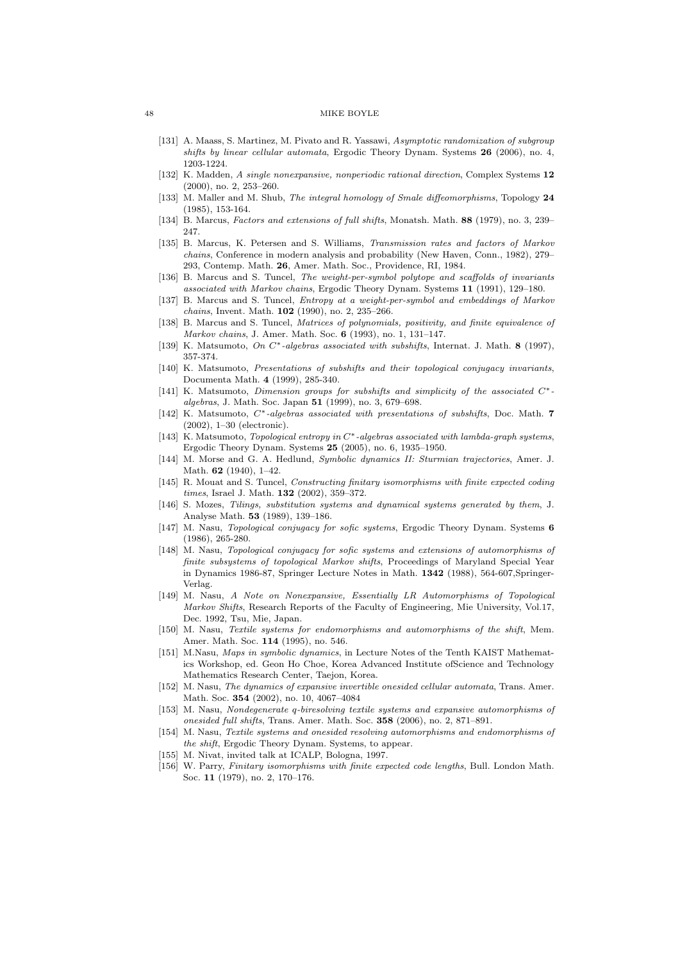- [131] A. Maass, S. Martinez, M. Pivato and R. Yassawi, Asymptotic randomization of subgroup shifts by linear cellular automata, Ergodic Theory Dynam. Systems 26 (2006), no. 4, 1203-1224.
- [132] K. Madden, A single nonexpansive, nonperiodic rational direction, Complex Systems 12 (2000), no. 2, 253–260.
- [133] M. Maller and M. Shub, The integral homology of Smale diffeomorphisms, Topology 24  $(1985)$ , 153-164.
- [134] B. Marcus, Factors and extensions of full shifts, Monatsh. Math. 88 (1979), no. 3, 239– 247.
- [135] B. Marcus, K. Petersen and S. Williams, Transmission rates and factors of Markov chains, Conference in modern analysis and probability (New Haven, Conn., 1982), 279– 293, Contemp. Math. 26, Amer. Math. Soc., Providence, RI, 1984.
- [136] B. Marcus and S. Tuncel, The weight-per-symbol polytope and scaffolds of invariants associated with Markov chains, Ergodic Theory Dynam. Systems 11 (1991), 129–180.
- [137] B. Marcus and S. Tuncel, Entropy at a weight-per-symbol and embeddings of Markov chains, Invent. Math. 102 (1990), no. 2, 235–266.
- [138] B. Marcus and S. Tuncel, Matrices of polynomials, positivity, and finite equivalence of Markov chains, J. Amer. Math. Soc. 6 (1993), no. 1, 131–147.
- [139] K. Matsumoto, On C∗-algebras associated with subshifts, Internat. J. Math. 8 (1997), 357-374.
- [140] K. Matsumoto, Presentations of subshifts and their topological conjugacy invariants, Documenta Math. 4 (1999), 285-340.
- [141] K. Matsumoto, Dimension groups for subshifts and simplicity of the associated C∗ algebras, J. Math. Soc. Japan 51 (1999), no. 3, 679–698.
- [142] K. Matsumoto,  $C^*$ -algebras associated with presentations of subshifts, Doc. Math. 7 (2002), 1–30 (electronic).
- [143] K. Matsumoto, Topological entropy in C∗-algebras associated with lambda-graph systems, Ergodic Theory Dynam. Systems 25 (2005), no. 6, 1935–1950.
- [144] M. Morse and G. A. Hedlund, Symbolic dynamics II: Sturmian trajectories, Amer. J. Math. 62 (1940), 1–42.
- [145] R. Mouat and S. Tuncel, Constructing finitary isomorphisms with finite expected coding times, Israel J. Math. **132** (2002), 359-372.
- [146] S. Mozes, Tilings, substitution systems and dynamical systems generated by them, J. Analyse Math. 53 (1989), 139–186.
- [147] M. Nasu, Topological conjugacy for sofic systems, Ergodic Theory Dynam. Systems 6 (1986), 265-280.
- [148] M. Nasu, Topological conjugacy for sofic systems and extensions of automorphisms of finite subsystems of topological Markov shifts, Proceedings of Maryland Special Year in Dynamics 1986-87, Springer Lecture Notes in Math. 1342 (1988), 564-607,Springer-Verlag.
- [149] M. Nasu, A Note on Nonexpansive, Essentially LR Automorphisms of Topological Markov Shifts, Research Reports of the Faculty of Engineering, Mie University, Vol.17, Dec. 1992, Tsu, Mie, Japan.
- [150] M. Nasu, Textile systems for endomorphisms and automorphisms of the shift, Mem. Amer. Math. Soc. 114 (1995), no. 546.
- [151] M.Nasu, Maps in symbolic dynamics, in Lecture Notes of the Tenth KAIST Mathematics Workshop, ed. Geon Ho Choe, Korea Advanced Institute ofScience and Technology Mathematics Research Center, Taejon, Korea.
- [152] M. Nasu, The dynamics of expansive invertible onesided cellular automata, Trans. Amer. Math. Soc. 354 (2002), no. 10, 4067–4084
- [153] M. Nasu, Nondegenerate q-biresolving textile systems and expansive automorphisms of onesided full shifts, Trans. Amer. Math. Soc. 358 (2006), no. 2, 871–891.
- [154] M. Nasu, Textile systems and onesided resolving automorphisms and endomorphisms of the shift, Ergodic Theory Dynam. Systems, to appear.
- [155] M. Nivat, invited talk at ICALP, Bologna, 1997.
- [156] W. Parry, Finitary isomorphisms with finite expected code lengths, Bull. London Math. Soc. 11 (1979), no. 2, 170–176.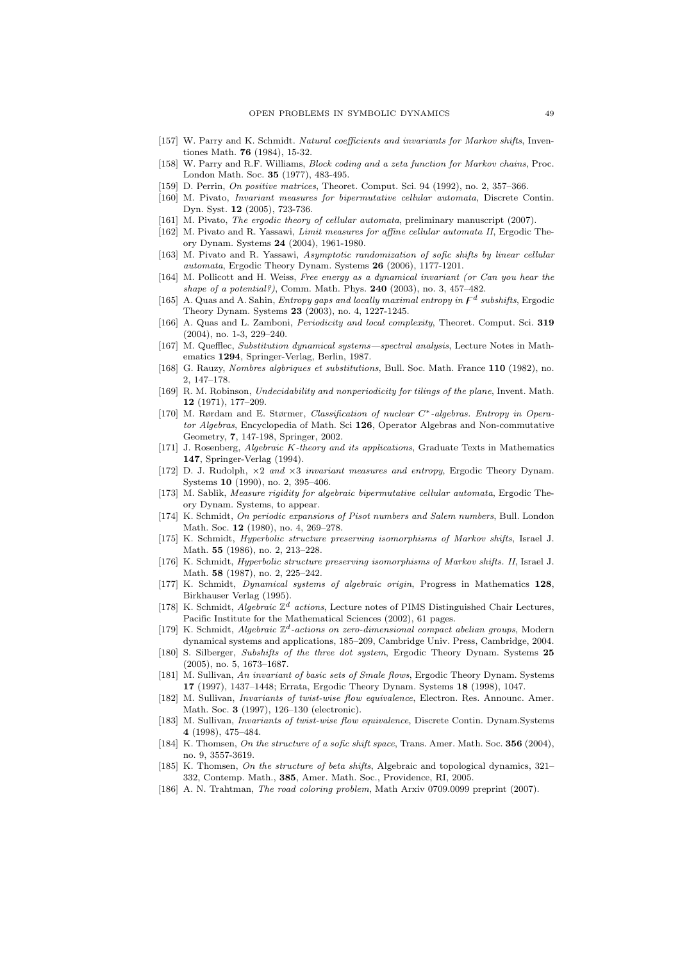- [157] W. Parry and K. Schmidt. Natural coefficients and invariants for Markov shifts, Inventiones Math. 76 (1984), 15-32.
- [158] W. Parry and R.F. Williams, Block coding and a zeta function for Markov chains, Proc. London Math. Soc. 35 (1977), 483-495.
- [159] D. Perrin, On positive matrices, Theoret. Comput. Sci. 94 (1992), no. 2, 357–366.
- [160] M. Pivato, Invariant measures for bipermutative cellular automata, Discrete Contin. Dyn. Syst. 12 (2005), 723-736.
- [161] M. Pivato, The ergodic theory of cellular automata, preliminary manuscript (2007).
- [162] M. Pivato and R. Yassawi, *Limit measures for affine cellular automata II*, Ergodic Theory Dynam. Systems 24 (2004), 1961-1980.
- [163] M. Pivato and R. Yassawi, Asymptotic randomization of sofic shifts by linear cellular automata, Ergodic Theory Dynam. Systems 26 (2006), 1177-1201.
- [164] M. Pollicott and H. Weiss, Free energy as a dynamical invariant (or Can you hear the shape of a potential?), Comm. Math. Phys.  $240$  (2003), no. 3, 457-482.
- [165] A. Quas and A. Sahin, *Entropy gaps and locally maximal entropy in*  $F^d$  subshifts, Ergodic Theory Dynam. Systems 23 (2003), no. 4, 1227-1245.
- [166] A. Quas and L. Zamboni, Periodicity and local complexity, Theoret. Comput. Sci. 319 (2004), no. 1-3, 229–240.
- [167] M. Quefflec, Substitution dynamical systems—spectral analysis, Lecture Notes in Mathematics 1294, Springer-Verlag, Berlin, 1987.
- [168] G. Rauzy, Nombres algbriques et substitutions, Bull. Soc. Math. France 110 (1982), no. 2, 147–178.
- [169] R. M. Robinson, Undecidability and nonperiodicity for tilings of the plane, Invent. Math. 12 (1971), 177–209.
- [170] M. Rørdam and E. Størmer, Classification of nuclear C∗-algebras. Entropy in Operator Algebras, Encyclopedia of Math. Sci 126, Operator Algebras and Non-commutative Geometry, 7, 147-198, Springer, 2002.
- [171] J. Rosenberg, Algebraic K-theory and its applications, Graduate Texts in Mathematics 147, Springer-Verlag (1994).
- [172] D. J. Rudolph, ×2 and ×3 invariant measures and entropy, Ergodic Theory Dynam. Systems 10 (1990), no. 2, 395–406.
- [173] M. Sablik, Measure rigidity for algebraic bipermutative cellular automata, Ergodic Theory Dynam. Systems, to appear.
- [174] K. Schmidt, On periodic expansions of Pisot numbers and Salem numbers, Bull. London Math. Soc. 12 (1980), no. 4, 269-278.
- [175] K. Schmidt, Hyperbolic structure preserving isomorphisms of Markov shifts, Israel J. Math. 55 (1986), no. 2, 213–228.
- [176] K. Schmidt, Hyperbolic structure preserving isomorphisms of Markov shifts. II, Israel J. Math. 58 (1987), no. 2, 225–242.
- [177] K. Schmidt, Dynamical systems of algebraic origin, Progress in Mathematics 128, Birkhauser Verlag (1995).
- [178] K. Schmidt, Algebraic  $\mathbb{Z}^d$  actions, Lecture notes of PIMS Distinguished Chair Lectures, Pacific Institute for the Mathematical Sciences (2002), 61 pages.
- [179] K. Schmidt, Algebraic  $\mathbb{Z}^d$ -actions on zero-dimensional compact abelian groups, Modern dynamical systems and applications, 185–209, Cambridge Univ. Press, Cambridge, 2004.
- [180] S. Silberger, Subshifts of the three dot system, Ergodic Theory Dynam. Systems 25 (2005), no. 5, 1673–1687.
- [181] M. Sullivan, An invariant of basic sets of Smale flows, Ergodic Theory Dynam. Systems 17 (1997), 1437–1448; Errata, Ergodic Theory Dynam. Systems 18 (1998), 1047.
- [182] M. Sullivan, Invariants of twist-wise flow equivalence, Electron. Res. Announc. Amer. Math. Soc. 3 (1997), 126–130 (electronic).
- [183] M. Sullivan, *Invariants of twist-wise flow equivalence*, Discrete Contin. Dynam.Systems 4 (1998), 475–484.
- [184] K. Thomsen, On the structure of a sofic shift space, Trans. Amer. Math. Soc. 356 (2004), no. 9, 3557-3619.
- [185] K. Thomsen, On the structure of beta shifts, Algebraic and topological dynamics, 321-332, Contemp. Math., 385, Amer. Math. Soc., Providence, RI, 2005.
- [186] A. N. Trahtman, The road coloring problem, Math Arxiv 0709.0099 preprint (2007).